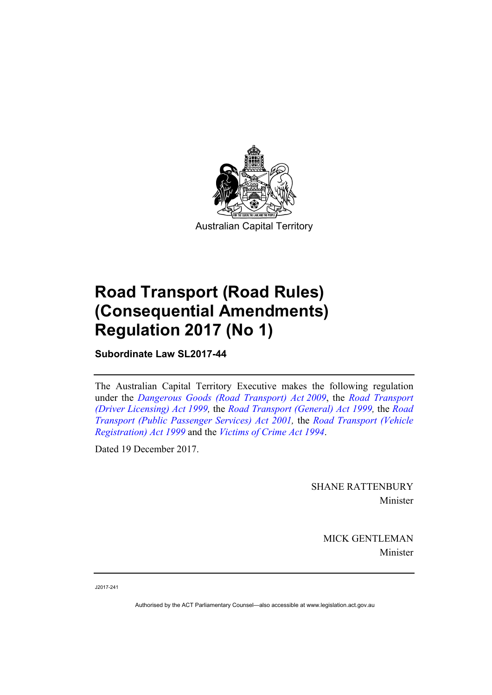

# **Road Transport (Road Rules) (Consequential Amendments) Regulation 2017 (No 1)**

**Subordinate Law SL2017-44** 

The Australian Capital Territory Executive makes the following regulation under the *[Dangerous Goods \(Road Transport\) Act 2009](http://www.legislation.act.gov.au/a/2009-34/default.asp)*, the *[Road Transport](http://www.legislation.act.gov.au/a/1999-78)  [\(Driver Licensing\) Act 1999,](http://www.legislation.act.gov.au/a/1999-78)* the *[Road Transport \(General\) Act 1999](http://www.legislation.act.gov.au/a/1999-77),* the *[Road](http://www.legislation.act.gov.au/a/2001-62)  [Transport \(Public Passenger Services\) Act 2001,](http://www.legislation.act.gov.au/a/2001-62)* the *[Road Transport \(Vehicle](http://www.legislation.act.gov.au/a/1999-81)  [Registration\) Act 1999](http://www.legislation.act.gov.au/a/1999-81)* and the *[Victims of Crime Act 1994](http://www.legislation.act.gov.au/a/1994-83)*.

Dated 19 December 2017.

SHANE RATTENBURY Minister

> MICK GENTLEMAN Minister

J2017-241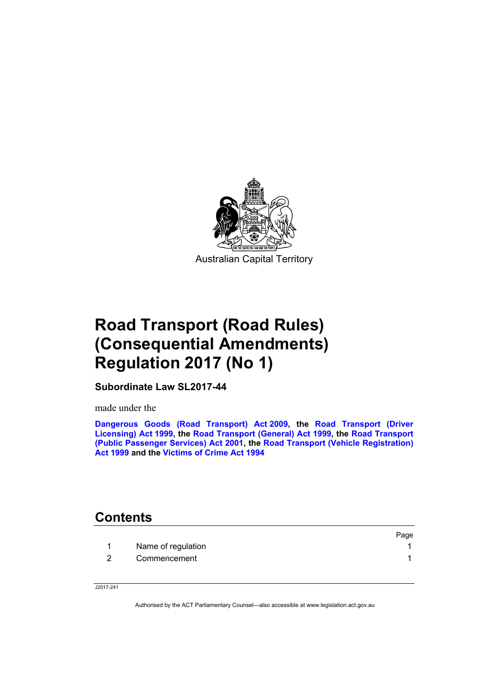

# **Road Transport (Road Rules) (Consequential Amendments) Regulation 2017 (No 1)**

**Subordinate Law SL2017-44** 

made under the

**[Dangerous Goods \(Road Transport\) Act 2009,](http://www.legislation.act.gov.au/a/2009-34/default.asp) the [Road Transport \(Driver](http://www.legislation.act.gov.au/a/1999-78)  [Licensing\) Act 1999,](http://www.legislation.act.gov.au/a/1999-78) the [Road Transport \(General\) Act 1999](http://www.legislation.act.gov.au/a/1999-77), the [Road Transport](http://www.legislation.act.gov.au/a/2001-62)  [\(Public Passenger Services\) Act 2001,](http://www.legislation.act.gov.au/a/2001-62) the [Road Transport \(Vehicle Registration\)](http://www.legislation.act.gov.au/a/1999-81)  [Act 1999](http://www.legislation.act.gov.au/a/1999-81) and the [Victims of Crime Act 1994](http://www.legislation.act.gov.au/a/1994-83)**

## **Contents**

|                    | Page |
|--------------------|------|
| Name of regulation |      |
| Commencement       |      |

J2017-241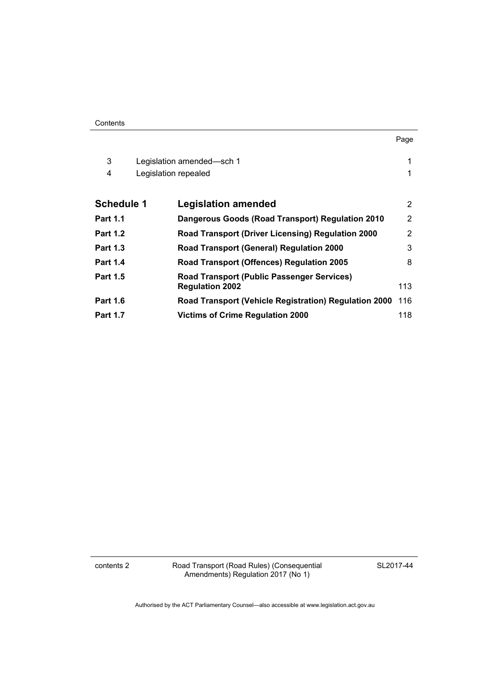| ×<br>۰, |  |
|---------|--|

| 3<br>4            | Legislation amended—sch 1<br>Legislation repealed                           |     |
|-------------------|-----------------------------------------------------------------------------|-----|
| <b>Schedule 1</b> | <b>Legislation amended</b>                                                  | 2   |
| <b>Part 1.1</b>   | Dangerous Goods (Road Transport) Regulation 2010                            | 2   |
| <b>Part 1.2</b>   | Road Transport (Driver Licensing) Regulation 2000                           | 2   |
| <b>Part 1.3</b>   | <b>Road Transport (General) Regulation 2000</b>                             | 3   |
| <b>Part 1.4</b>   | Road Transport (Offences) Regulation 2005                                   | 8   |
| <b>Part 1.5</b>   | <b>Road Transport (Public Passenger Services)</b><br><b>Regulation 2002</b> | 113 |
| <b>Part 1.6</b>   | <b>Road Transport (Vehicle Registration) Regulation 2000</b>                | 116 |
| <b>Part 1.7</b>   | <b>Victims of Crime Regulation 2000</b>                                     | 118 |

contents 2 Road Transport (Road Rules) (Consequential Amendments) Regulation 2017 (No 1)

SL2017-44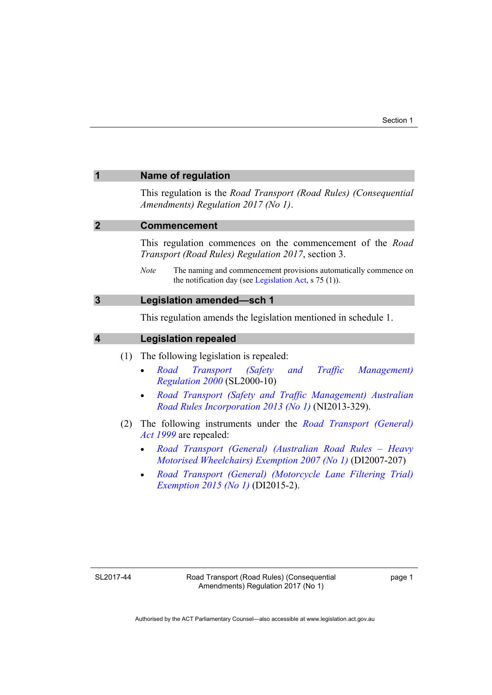<span id="page-4-3"></span><span id="page-4-2"></span><span id="page-4-1"></span><span id="page-4-0"></span>

| 1                       | <b>Name of regulation</b>                                                                                                                  |  |
|-------------------------|--------------------------------------------------------------------------------------------------------------------------------------------|--|
|                         | This regulation is the Road Transport (Road Rules) (Consequential<br>Amendments) Regulation 2017 (No 1).                                   |  |
| $\mathbf{2}$            | <b>Commencement</b>                                                                                                                        |  |
|                         | This regulation commences on the commencement of the Road<br>Transport (Road Rules) Regulation 2017, section 3.                            |  |
|                         | The naming and commencement provisions automatically commence on<br><b>Note</b><br>the notification day (see Legislation Act, $s$ 75 (1)). |  |
| $\mathbf{3}$            | <b>Legislation amended-sch 1</b>                                                                                                           |  |
|                         | This regulation amends the legislation mentioned in schedule 1.                                                                            |  |
| $\overline{\mathbf{4}}$ | <b>Legislation repealed</b>                                                                                                                |  |
|                         | The following legislation is repealed:<br>(1)                                                                                              |  |
|                         | Transport (Safety and Traffic Management)<br>Road<br>$\bullet$<br><i>Regulation 2000</i> (SL2000-10)                                       |  |
|                         | Road Transport (Safety and Traffic Management) Australian<br>Road Rules Incorporation 2013 (No 1) (NI2013-329).                            |  |
|                         | The following instruments under the <i>Road Transport (General)</i><br>(2)<br><i>Act 1999</i> are repealed:                                |  |
|                         | Road Transport (General) (Australian Road Rules – Heavy<br>Motorised Wheelchairs) Exemption 2007 (No 1) (DI2007-207)                       |  |

 *[Road Transport \(General\) \(Motorcycle Lane Filtering Trial\)](http://www.legislation.act.gov.au/di/2015-2/default.asp)  [Exemption 2015 \(No 1\)](http://www.legislation.act.gov.au/di/2015-2/default.asp)* (DI2015-2).

SL2017-44

page 1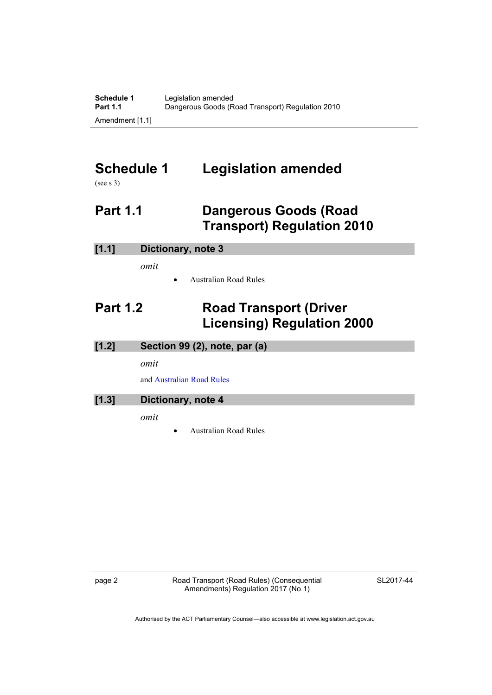# <span id="page-5-0"></span>**Schedule 1 Legislation amended**

(see s 3)

## <span id="page-5-1"></span>**Part 1.1 Dangerous Goods (Road Transport) Regulation 2010**

### **[1.1] Dictionary, note 3**

*omit* 

Australian Road Rules

## <span id="page-5-2"></span>**Part 1.2 Road Transport (Driver Licensing) Regulation 2000**

| [1.2] | Section 99 (2), note, par (a) |
|-------|-------------------------------|
|       | omit                          |

and [Australian Road Rules](http://www.legislation.act.gov.au//ni/db_37271/default.asp)

## **[1.3] Dictionary, note 4**

*omit* 

Australian Road Rules

page 2 **Road Transport (Road Rules) (Consequential** Amendments) Regulation 2017 (No 1)

SL2017-44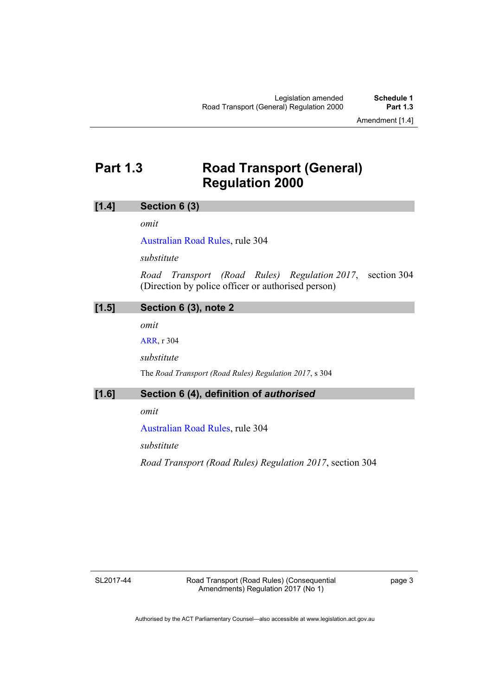## <span id="page-6-0"></span>**Part 1.3 Road Transport (General) Regulation 2000**

#### **[1.4] Section 6 (3)**

*omit* 

[Australian Road Rules,](http://www.legislation.act.gov.au//ni/db_37271/default.asp) rule 304

*substitute*

*Road Transport (Road Rules) Regulation 2017*, section 304 (Direction by police officer or authorised person)

### **[1.5] Section 6 (3), note 2**

*omit* 

[ARR,](http://www.legislation.act.gov.au//ni/db_37271/default.asp) r 304

*substitute* 

The *Road Transport (Road Rules) Regulation 2017*, s 304

### **[1.6] Section 6 (4), definition of** *authorised*

*omit* 

[Australian Road Rules,](http://www.legislation.act.gov.au//ni/db_37271/default.asp) rule 304

*substitute*

*Road Transport (Road Rules) Regulation 2017*, section 304

SL2017-44

Road Transport (Road Rules) (Consequential Amendments) Regulation 2017 (No 1)

page 3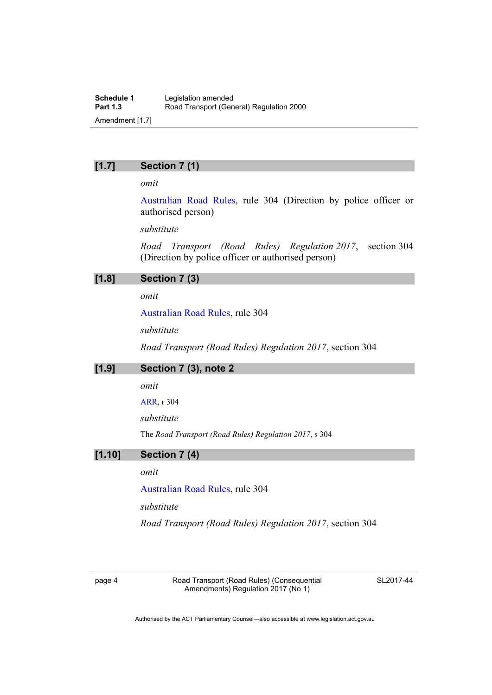## **[1.7] Section 7 (1)**

*omit* 

[Australian Road Rules](http://www.legislation.act.gov.au//ni/db_37271/default.asp), rule 304 (Direction by police officer or authorised person)

*substitute*

*Road Transport (Road Rules) Regulation 2017*, section 304 (Direction by police officer or authorised person)

| [1.8] | Section 7 (3) |  |
|-------|---------------|--|
|-------|---------------|--|

*omit* 

[Australian Road Rules,](http://www.legislation.act.gov.au//ni/db_37271/default.asp) rule 304

*substitute*

*Road Transport (Road Rules) Regulation 2017*, section 304

## **[1.9] Section 7 (3), note 2**

*omit* 

[ARR,](http://www.legislation.act.gov.au//ni/db_37271/default.asp) r 304

*substitute* 

The *Road Transport (Road Rules) Regulation 2017*, s 304

### **[1.10] Section 7 (4)**

### *omit*

[Australian Road Rules,](http://www.legislation.act.gov.au//ni/db_37271/default.asp) rule 304

*substitute*

*Road Transport (Road Rules) Regulation 2017*, section 304

page 4 Road Transport (Road Rules) (Consequential Amendments) Regulation 2017 (No 1)

SL2017-44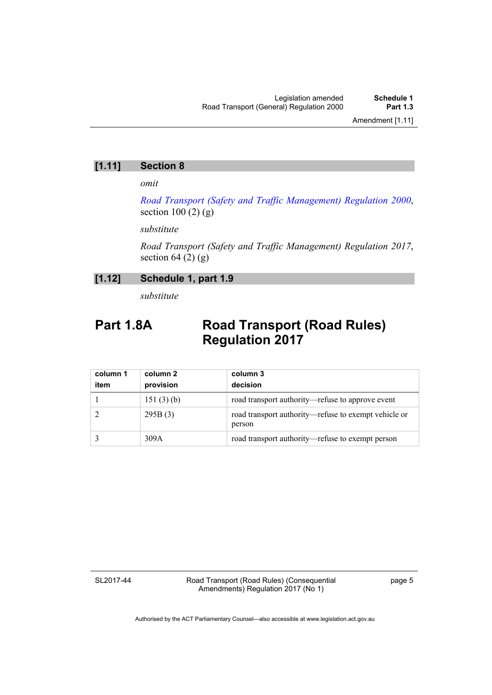## **[1.11] Section 8**

*omit* 

*[Road Transport \(Safety and Traffic Management\) Regulation 2000](http://www.legislation.act.gov.au/sl/2000-10)*, section  $100(2)(g)$ 

*substitute* 

*Road Transport (Safety and Traffic Management) Regulation 2017*, section  $64(2)(g)$ 

## **[1.12] Schedule 1, part 1.9**

*substitute* 

## Part 1.8A Road Transport (Road Rules) **Regulation 2017**

| column 1<br>item | column 2<br>provision | column 3<br>decision                                           |
|------------------|-----------------------|----------------------------------------------------------------|
|                  | 151(3)(b)             | road transport authority—refuse to approve event               |
|                  | 295B(3)               | road transport authority—refuse to exempt vehicle or<br>person |
|                  | 309A                  | road transport authority—refuse to exempt person               |

SL2017-44

Road Transport (Road Rules) (Consequential Amendments) Regulation 2017 (No 1)

page 5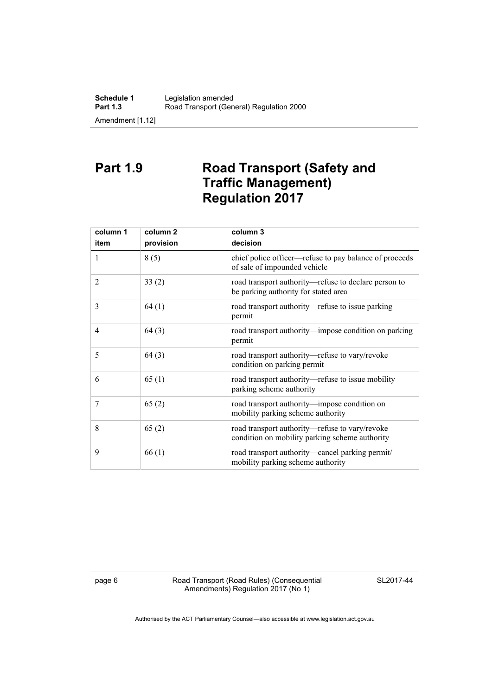## **Part 1.9 Road Transport (Safety and Traffic Management) Regulation 2017**

| column 1       | column 2  | column 3                                                                                         |
|----------------|-----------|--------------------------------------------------------------------------------------------------|
| item           | provision | decision                                                                                         |
| 1              | 8(5)      | chief police officer—refuse to pay balance of proceeds<br>of sale of impounded vehicle           |
| $\overline{2}$ | 33(2)     | road transport authority—refuse to declare person to<br>be parking authority for stated area     |
| 3              | 64(1)     | road transport authority—refuse to issue parking<br>permit                                       |
| 4              | 64(3)     | road transport authority—impose condition on parking<br>permit                                   |
| 5              | 64(3)     | road transport authority-refuse to vary/revoke<br>condition on parking permit                    |
| 6              | 65(1)     | road transport authority—refuse to issue mobility<br>parking scheme authority                    |
| 7              | 65(2)     | road transport authority—impose condition on<br>mobility parking scheme authority                |
| 8              | 65(2)     | road transport authority-refuse to vary/revoke<br>condition on mobility parking scheme authority |
| 9              | 66(1)     | road transport authority-cancel parking permit/<br>mobility parking scheme authority             |

page 6 Road Transport (Road Rules) (Consequential Amendments) Regulation 2017 (No 1)

SL2017-44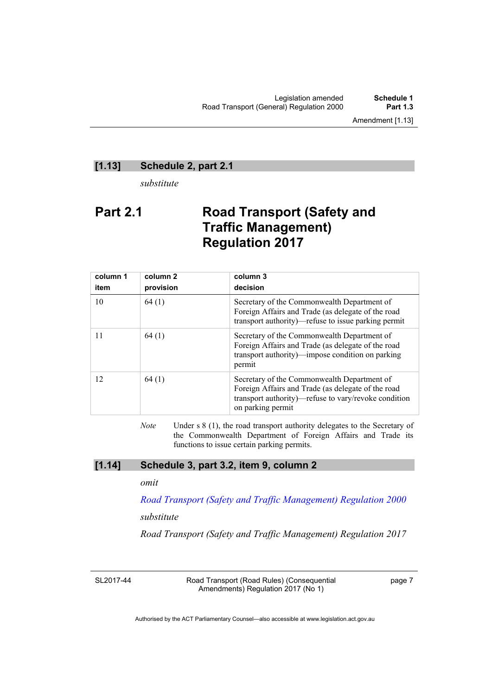### **[1.13] Schedule 2, part 2.1**

*substitute* 

## **Part 2.1 Road Transport (Safety and Traffic Management) Regulation 2017**

| column 1<br>item | column 2<br>provision | column 3<br>decision                                                                                                                                                           |
|------------------|-----------------------|--------------------------------------------------------------------------------------------------------------------------------------------------------------------------------|
| 10               | 64(1)                 | Secretary of the Commonwealth Department of<br>Foreign Affairs and Trade (as delegate of the road<br>transport authority)—refuse to issue parking permit                       |
| 11               | 64(1)                 | Secretary of the Commonwealth Department of<br>Foreign Affairs and Trade (as delegate of the road<br>transport authority)—impose condition on parking<br>permit                |
| 12               | 64(1)                 | Secretary of the Commonwealth Department of<br>Foreign Affairs and Trade (as delegate of the road<br>transport authority)—refuse to vary/revoke condition<br>on parking permit |

*Note* Under s 8 (1), the road transport authority delegates to the Secretary of the Commonwealth Department of Foreign Affairs and Trade its functions to issue certain parking permits.

## **[1.14] Schedule 3, part 3.2, item 9, column 2**

#### *omit*

*[Road Transport \(Safety and Traffic Management\) Regulation 2000](http://www.legislation.act.gov.au/sl/2000-10)*

#### *substitute*

*Road Transport (Safety and Traffic Management) Regulation 2017* 

SL2017-44

Road Transport (Road Rules) (Consequential Amendments) Regulation 2017 (No 1)

page 7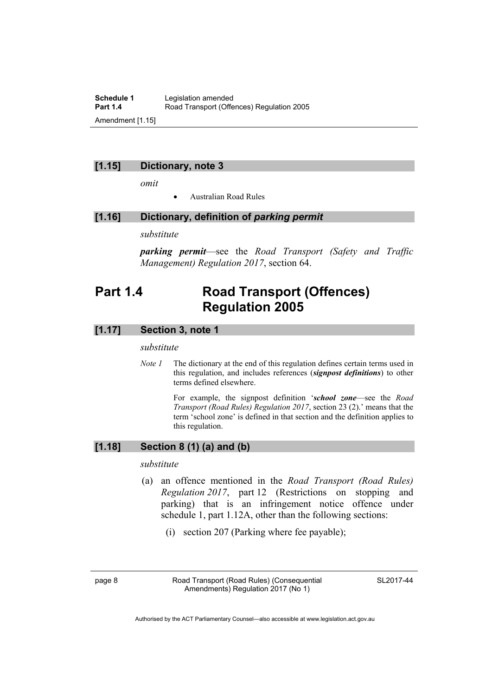**Schedule 1** Legislation amended<br> **Part 1.4** Road Transport (Offer Road Transport (Offences) Regulation 2005 Amendment [1.15]

#### **[1.15] Dictionary, note 3**

*omit* 

Australian Road Rules

#### **[1.16] Dictionary, definition of** *parking permit*

#### *substitute*

*parking permit*—see the *Road Transport (Safety and Traffic Management) Regulation 2017*, section 64.

## <span id="page-11-0"></span>**Part 1.4 Road Transport (Offences) Regulation 2005**

### **[1.17] Section 3, note 1**

#### *substitute*

*Note 1* The dictionary at the end of this regulation defines certain terms used in this regulation, and includes references (*signpost definitions*) to other terms defined elsewhere.

> For example, the signpost definition '*school zone*—see the *Road Transport (Road Rules) Regulation 2017*, section 23 (2).' means that the term 'school zone' is defined in that section and the definition applies to this regulation.

## **[1.18] Section 8 (1) (a) and (b)**

#### *substitute*

- (a) an offence mentioned in the *Road Transport (Road Rules) Regulation 2017*, part 12 (Restrictions on stopping and parking) that is an infringement notice offence under schedule 1, part 1.12A, other than the following sections:
	- (i) section 207 (Parking where fee payable);

page 8 Road Transport (Road Rules) (Consequential Amendments) Regulation 2017 (No 1)

SL2017-44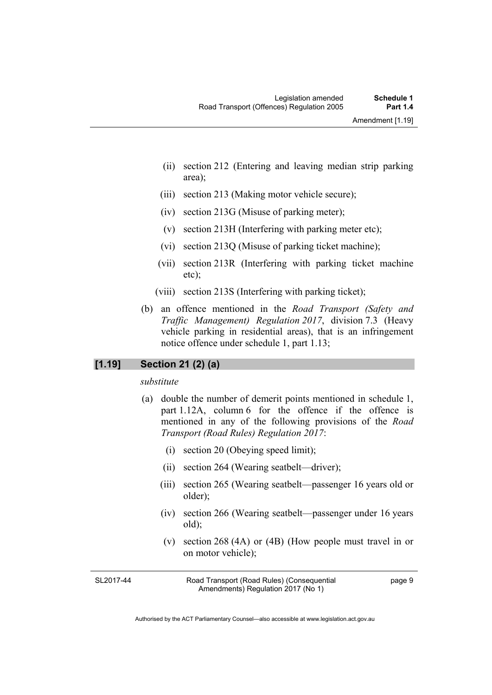- (ii) section 212 (Entering and leaving median strip parking area);
- (iii) section 213 (Making motor vehicle secure);
- (iv) section 213G (Misuse of parking meter);
- (v) section 213H (Interfering with parking meter etc);
- (vi) section 213Q (Misuse of parking ticket machine);
- (vii) section 213R (Interfering with parking ticket machine etc);
- (viii) section 213S (Interfering with parking ticket);
- (b) an offence mentioned in the *Road Transport (Safety and Traffic Management) Regulation 2017*, division 7.3 (Heavy vehicle parking in residential areas), that is an infringement notice offence under schedule 1, part 1.13;

### **[1.19] Section 21 (2) (a)**

#### *substitute*

- (a) double the number of demerit points mentioned in schedule 1, part 1.12A, column 6 for the offence if the offence is mentioned in any of the following provisions of the *Road Transport (Road Rules) Regulation 2017*:
	- (i) section 20 (Obeying speed limit);
	- (ii) section 264 (Wearing seatbelt—driver);
	- (iii) section 265 (Wearing seatbelt—passenger 16 years old or older);
	- (iv) section 266 (Wearing seatbelt—passenger under 16 years old);
	- (v) section 268 (4A) or (4B) (How people must travel in or on motor vehicle);

SL2017-44

Road Transport (Road Rules) (Consequential Amendments) Regulation 2017 (No 1)

page 9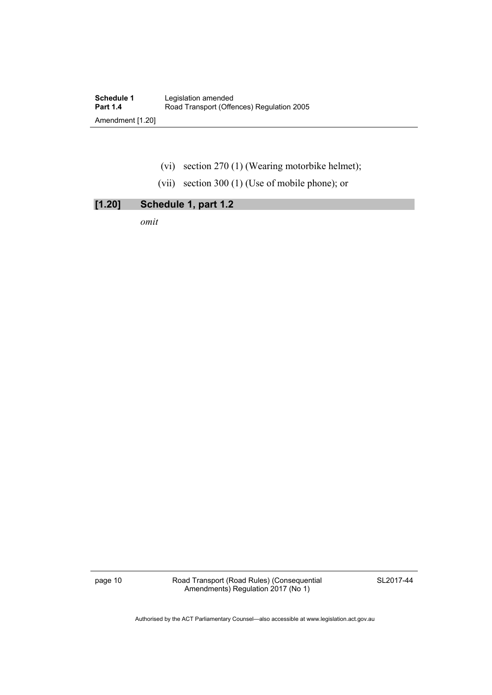- (vi) section 270 (1) (Wearing motorbike helmet);
- (vii) section 300 (1) (Use of mobile phone); or

## **[1.20] Schedule 1, part 1.2**

*omit* 

page 10 **Road Transport (Road Rules) (Consequential** Amendments) Regulation 2017 (No 1)

SL2017-44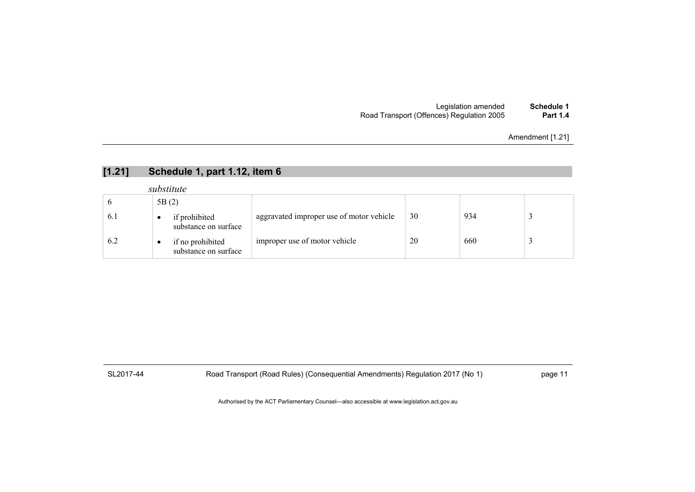#### Legislation amended **Schedule 1** Road Transport (Offences) Regulation 2005 **Part 1.4**

Amendment [1.21]

## **[1.21] Schedule 1, part 1.12, item 6**

#### *substitute*

|     | 5B(2) |                                          |                                          |    |     |  |
|-----|-------|------------------------------------------|------------------------------------------|----|-----|--|
| 6.1 |       | if prohibited<br>substance on surface    | aggravated improper use of motor vehicle | 30 | 934 |  |
| 6.2 | ٠     | if no prohibited<br>substance on surface | improper use of motor vehicle            | 20 | 660 |  |

SL2017-44 Road Transport (Road Rules) (Consequential Amendments) Regulation 2017 (No 1) page 11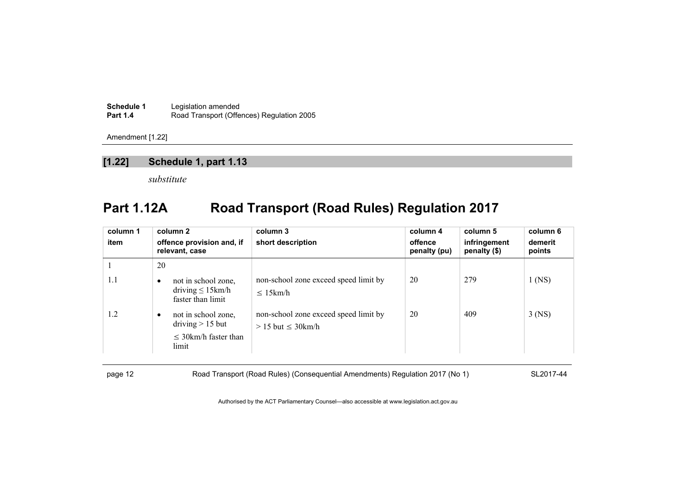| <b>Schedule 1</b> | Legislation amended                       |
|-------------------|-------------------------------------------|
| <b>Part 1.4</b>   | Road Transport (Offences) Regulation 2005 |

### **[1.22] Schedule 1, part 1.13**

*substitute* 

# **Part 1.12A Road Transport (Road Rules) Regulation 2017**

| column 1<br>item | column 2<br>offence provision and, if<br>relevant, case                                      | column 3<br>short description                                      | column 4<br>offence<br>penalty (pu) | column 5<br>infringement<br>penalty (\$) | column 6<br>demerit<br>points |
|------------------|----------------------------------------------------------------------------------------------|--------------------------------------------------------------------|-------------------------------------|------------------------------------------|-------------------------------|
|                  | 20                                                                                           |                                                                    |                                     |                                          |                               |
| 1.1              | not in school zone,<br>$\bullet$<br>driving $\leq 15$ km/h<br>faster than limit              | non-school zone exceed speed limit by<br>$\leq 15$ km/h            | 20                                  | 279                                      | $1$ (NS)                      |
| 1.2              | not in school zone,<br>$\bullet$<br>$driving > 15$ but<br>$\leq$ 30km/h faster than<br>limit | non-school zone exceed speed limit by<br>$> 15$ but $\leq 30$ km/h | 20                                  | 409                                      | $3$ (NS)                      |

page 12 Road Transport (Road Rules) (Consequential Amendments) Regulation 2017 (No 1) SL2017-44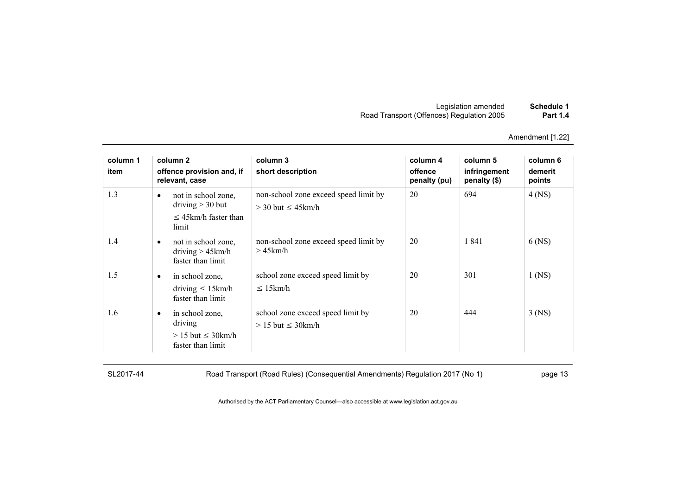| Schedule 1      | Legislation amended                       |
|-----------------|-------------------------------------------|
| <b>Part 1.4</b> | Road Transport (Offences) Regulation 2005 |

| column 1 |           | column 2                                                                        | column 3                                                           | column 4                | column 5                     | column 6          |
|----------|-----------|---------------------------------------------------------------------------------|--------------------------------------------------------------------|-------------------------|------------------------------|-------------------|
| item     |           | offence provision and, if<br>relevant, case                                     | short description                                                  | offence<br>penalty (pu) | infringement<br>penalty (\$) | demerit<br>points |
| 1.3      | ٠         | not in school zone.<br>driving $>$ 30 but<br>$\leq$ 45km/h faster than<br>limit | non-school zone exceed speed limit by<br>$>$ 30 but $\leq$ 45 km/h | 20                      | 694                          | $4$ (NS)          |
| 1.4      | ٠         | not in school zone,<br>driving $> 45$ km/h<br>faster than limit                 | non-school zone exceed speed limit by<br>$>45$ km/h                | 20                      | 1841                         | 6 (NS)            |
| 1.5      | $\bullet$ | in school zone.<br>driving $\leq 15$ km/h<br>faster than limit                  | school zone exceed speed limit by<br>$\leq 15$ km/h                | 20                      | 301                          | $1$ (NS)          |
| 1.6      | $\bullet$ | in school zone.<br>driving<br>$> 15$ but $\leq 30$ km/h<br>faster than limit    | school zone exceed speed limit by<br>$> 15$ but $\leq 30$ km/h     | 20                      | 444                          | $3$ (NS)          |

SL2017-44 Road Transport (Road Rules) (Consequential Amendments) Regulation 2017 (No 1) page 13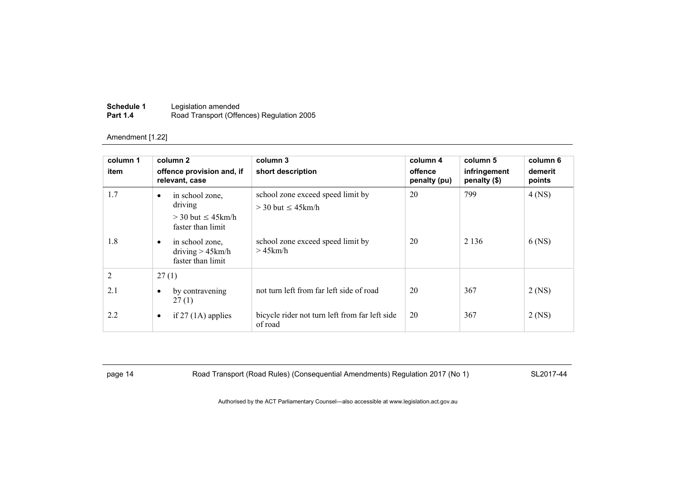| Schedule 1      | Legislation amended                       |
|-----------------|-------------------------------------------|
| <b>Part 1.4</b> | Road Transport (Offences) Regulation 2005 |

| column 1<br>item             | column 2<br>offence provision and, if<br>relevant, case                                                                                                       | column 3<br>short description                                                                                     | column 4<br>offence<br>penalty (pu) | column 5<br>infringement<br>penalty (\$) | column 6<br>demerit<br>points |
|------------------------------|---------------------------------------------------------------------------------------------------------------------------------------------------------------|-------------------------------------------------------------------------------------------------------------------|-------------------------------------|------------------------------------------|-------------------------------|
| 1.7<br>1.8                   | in school zone,<br>٠<br>driving<br>$>$ 30 but $\leq$ 45 km/h<br>faster than limit<br>in school zone.<br>$\bullet$<br>driving $> 45$ km/h<br>faster than limit | school zone exceed speed limit by<br>$>$ 30 but $\leq$ 45 km/h<br>school zone exceed speed limit by<br>$>45$ km/h | 20<br>20                            | 799<br>2 1 3 6                           | $4$ (NS)<br>$6$ (NS)          |
| $\overline{2}$<br>2.1<br>2.2 | 27(1)<br>by contravening<br>٠<br>27(1)<br>if $27(1)$ applies<br>$\bullet$                                                                                     | not turn left from far left side of road<br>bicycle rider not turn left from far left side<br>of road             | 20<br>20                            | 367<br>367                               | 2 (NS)<br>$2$ (NS)            |

page 14 Road Transport (Road Rules) (Consequential Amendments) Regulation 2017 (No 1) SL2017-44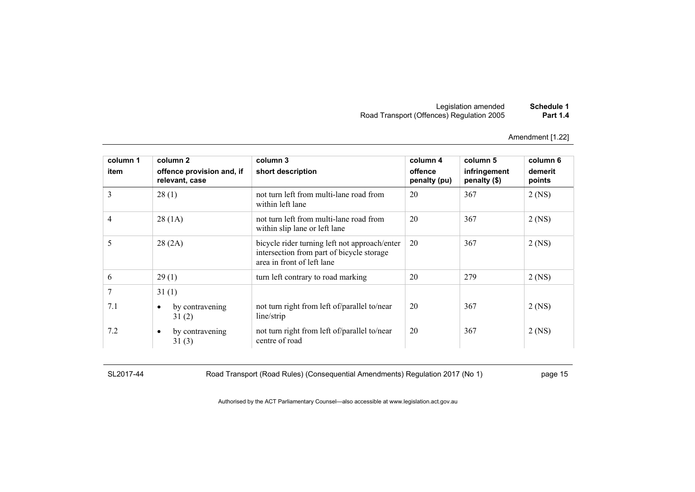| Schedule 1      | Legislation amended                       |
|-----------------|-------------------------------------------|
| <b>Part 1.4</b> | Road Transport (Offences) Regulation 2005 |

| column 1 | column 2                                    | column 3                                                                                                                 | column 4                | column 5                     | column 6          |
|----------|---------------------------------------------|--------------------------------------------------------------------------------------------------------------------------|-------------------------|------------------------------|-------------------|
| item     | offence provision and, if<br>relevant, case | short description                                                                                                        | offence<br>penalty (pu) | infringement<br>penalty (\$) | demerit<br>points |
| 3        | 28(1)                                       | not turn left from multi-lane road from<br>within left lane                                                              | 20                      | 367                          | $2$ (NS)          |
| 4        | 28(1A)                                      | not turn left from multi-lane road from<br>within slip lane or left lane                                                 | 20                      | 367                          | $2$ (NS)          |
| 5        | 28(2A)                                      | bicycle rider turning left not approach/enter<br>intersection from part of bicycle storage<br>area in front of left lane | 20                      | 367                          | $2$ (NS)          |
| 6        | 29(1)                                       | turn left contrary to road marking                                                                                       | 20                      | 279                          | $2$ (NS)          |
| 7        | 31(1)                                       |                                                                                                                          |                         |                              |                   |
| 7.1      | by contravening<br>$\bullet$<br>31(2)       | not turn right from left of/parallel to/near<br>line/strip                                                               | 20                      | 367                          | $2$ (NS)          |
| 7.2      | by contravening<br>$\bullet$<br>31(3)       | not turn right from left of/parallel to/near<br>centre of road                                                           | 20                      | 367                          | 2 (NS)            |

SL2017-44 Road Transport (Road Rules) (Consequential Amendments) Regulation 2017 (No 1) page 15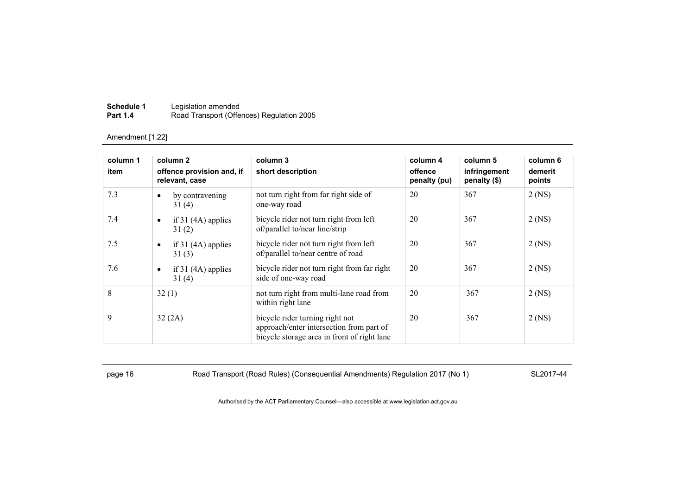| Schedule 1      | Legislation amended                       |
|-----------------|-------------------------------------------|
| <b>Part 1.4</b> | Road Transport (Offences) Regulation 2005 |

| column 1<br>item | column 2<br>offence provision and, if<br>relevant, case | column 3<br>short description                                                                                              | column 4<br>offence<br>penalty (pu) | column 5<br>infringement<br>penalty (\$) | column 6<br>demerit<br>points |
|------------------|---------------------------------------------------------|----------------------------------------------------------------------------------------------------------------------------|-------------------------------------|------------------------------------------|-------------------------------|
| 7.3              | by contravening<br>$\bullet$<br>31(4)                   | not turn right from far right side of<br>one-way road                                                                      | 20                                  | 367                                      | $2$ (NS)                      |
| 7.4              | if $31(4A)$ applies<br>$\bullet$<br>31(2)               | bicycle rider not turn right from left<br>of/parallel to/near line/strip                                                   | 20                                  | 367                                      | $2$ (NS)                      |
| 7.5              | if $31(4A)$ applies<br>$\bullet$<br>31(3)               | bicycle rider not turn right from left<br>of/parallel to/near centre of road                                               | 20                                  | 367                                      | $2$ (NS)                      |
| 7.6              | if $31(4A)$ applies<br>$\bullet$<br>31(4)               | bicycle rider not turn right from far right<br>side of one-way road                                                        | 20                                  | 367                                      | $2$ (NS)                      |
| 8                | 32(1)                                                   | not turn right from multi-lane road from<br>within right lane                                                              | 20                                  | 367                                      | $2$ (NS)                      |
| 9                | 32(2A)                                                  | bicycle rider turning right not<br>approach/enter intersection from part of<br>bicycle storage area in front of right lane | 20                                  | 367                                      | $2$ (NS)                      |

page 16 Road Transport (Road Rules) (Consequential Amendments) Regulation 2017 (No 1) SL2017-44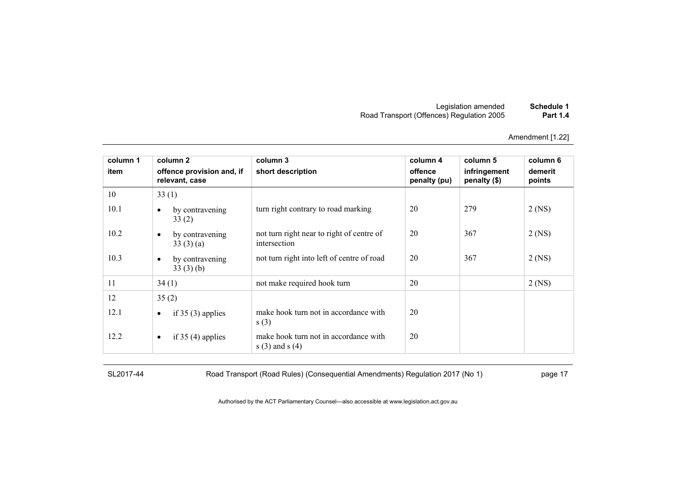| Schedule 1      | Legislation amended                       |
|-----------------|-------------------------------------------|
| <b>Part 1.4</b> | Road Transport (Offences) Regulation 2005 |

| column 1 | column 2                                    | column 3                                                   | column 4                | column 5                     | column 6          |
|----------|---------------------------------------------|------------------------------------------------------------|-------------------------|------------------------------|-------------------|
| item     | offence provision and, if<br>relevant, case | short description                                          | offence<br>penalty (pu) | infringement<br>penalty (\$) | demerit<br>points |
| 10       | 33(1)                                       |                                                            |                         |                              |                   |
| 10.1     | by contravening<br>$\bullet$<br>33(2)       | turn right contrary to road marking                        | 20                      | 279                          | $2$ (NS)          |
| 10.2     | by contravening<br>$\bullet$<br>33(3)(a)    | not turn right near to right of centre of<br>intersection  | 20                      | 367                          | $2$ (NS)          |
| 10.3     | by contravening<br>$\bullet$<br>33(3)(b)    | not turn right into left of centre of road                 | 20                      | 367                          | $2$ (NS)          |
| 11       | 34(1)                                       | not make required hook turn                                | 20                      |                              | $2$ (NS)          |
| 12       | 35(2)                                       |                                                            |                         |                              |                   |
| 12.1     | if $35(3)$ applies<br>$\bullet$             | make hook turn not in accordance with<br>s(3)              | 20                      |                              |                   |
| 12.2     | if $35(4)$ applies<br>$\bullet$             | make hook turn not in accordance with<br>$s(3)$ and $s(4)$ | 20                      |                              |                   |

SL2017-44 Road Transport (Road Rules) (Consequential Amendments) Regulation 2017 (No 1) page 17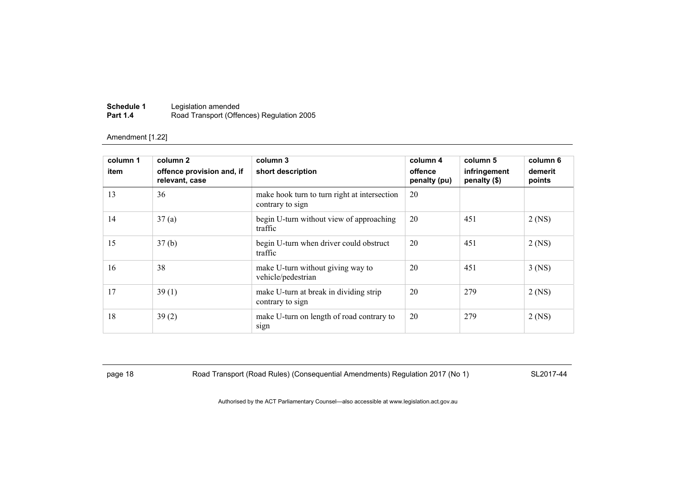| Schedule 1      | Legislation amended                       |
|-----------------|-------------------------------------------|
| <b>Part 1.4</b> | Road Transport (Offences) Regulation 2005 |

| column 1<br>item | column 2<br>offence provision and, if<br>relevant, case | column 3<br>short description                                    | column 4<br>offence<br>penalty (pu) | column 5<br>infringement<br>penalty (\$) | column 6<br>demerit<br>points |
|------------------|---------------------------------------------------------|------------------------------------------------------------------|-------------------------------------|------------------------------------------|-------------------------------|
| 13               | 36                                                      | make hook turn to turn right at intersection<br>contrary to sign | 20                                  |                                          |                               |
| 14               | 37(a)                                                   | begin U-turn without view of approaching<br>traffic              | 20                                  | 451                                      | $2$ (NS)                      |
| 15               | 37(b)                                                   | begin U-turn when driver could obstruct<br>traffic               | 20                                  | 451                                      | $2$ (NS)                      |
| 16               | 38                                                      | make U-turn without giving way to<br>vehicle/pedestrian          | 20                                  | 451                                      | $3$ (NS)                      |
| 17               | 39(1)                                                   | make U-turn at break in dividing strip<br>contrary to sign       | 20                                  | 279                                      | $2$ (NS)                      |
| 18               | 39(2)                                                   | make U-turn on length of road contrary to<br>sign                | 20                                  | 279                                      | $2$ (NS)                      |

page 18 Road Transport (Road Rules) (Consequential Amendments) Regulation 2017 (No 1) SL2017-44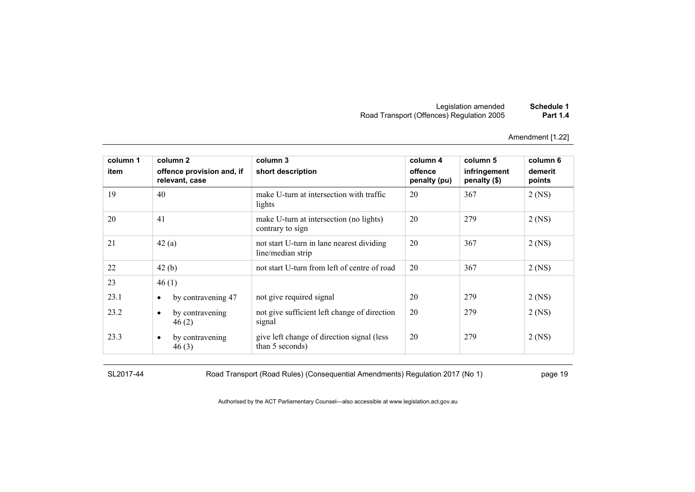| Schedule 1      | Legislation amended                       |
|-----------------|-------------------------------------------|
| <b>Part 1.4</b> | Road Transport (Offences) Regulation 2005 |

| column 1 | column 2                                    | column 3                                                       | column 4                | column 5                     | column 6          |
|----------|---------------------------------------------|----------------------------------------------------------------|-------------------------|------------------------------|-------------------|
| item     | offence provision and, if<br>relevant, case | short description                                              | offence<br>penalty (pu) | infringement<br>penalty (\$) | demerit<br>points |
| 19       | 40                                          | make U-turn at intersection with traffic<br>lights             | 20                      | 367                          | $2$ (NS)          |
| 20       | 41                                          | make U-turn at intersection (no lights)<br>contrary to sign    | 20                      | 279                          | $2$ (NS)          |
| 21       | 42(a)                                       | not start U-turn in lane nearest dividing<br>line/median strip | 20                      | 367                          | $2$ (NS)          |
| 22       | 42(b)                                       | not start U-turn from left of centre of road                   | 20                      | 367                          | $2$ (NS)          |
| 23       | 46(1)                                       |                                                                |                         |                              |                   |
| 23.1     | by contravening 47<br>$\bullet$             | not give required signal                                       | 20                      | 279                          | $2$ (NS)          |
| 23.2     | by contravening<br>$\bullet$<br>46(2)       | not give sufficient left change of direction<br>signal         | 20                      | 279                          | $2$ (NS)          |
| 23.3     | by contravening<br>$\bullet$<br>46(3)       | give left change of direction signal (less<br>than 5 seconds)  | 20                      | 279                          | $2$ (NS)          |

SL2017-44 Road Transport (Road Rules) (Consequential Amendments) Regulation 2017 (No 1) page 19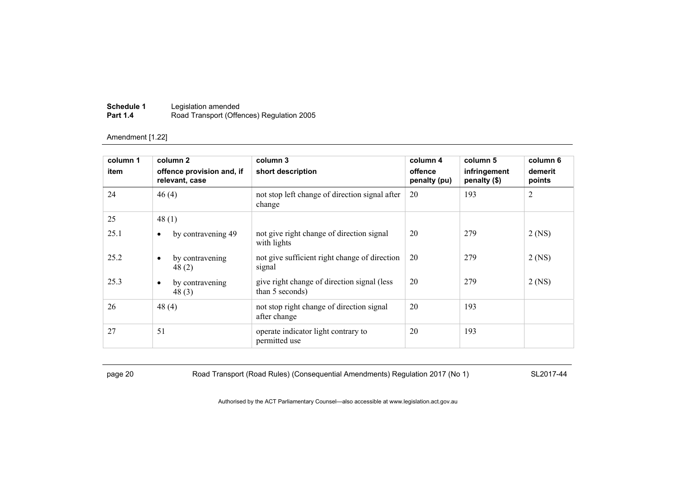| Schedule 1      | Legislation amended                       |
|-----------------|-------------------------------------------|
| <b>Part 1.4</b> | Road Transport (Offences) Regulation 2005 |

| column 1<br>item | column 2<br>offence provision and, if<br>relevant, case | column 3<br>short description                                   | column 4<br>offence<br>penalty (pu) | column 5<br>infringement<br>penalty (\$) | column 6<br>demerit<br>points |
|------------------|---------------------------------------------------------|-----------------------------------------------------------------|-------------------------------------|------------------------------------------|-------------------------------|
| 24               | 46(4)                                                   | not stop left change of direction signal after<br>change        | 20                                  | 193                                      | $\overline{2}$                |
| 25               | 48(1)                                                   |                                                                 |                                     |                                          |                               |
| 25.1             | by contravening 49<br>$\bullet$                         | not give right change of direction signal<br>with lights        | 20                                  | 279                                      | 2 (NS)                        |
| 25.2             | by contravening<br>$\bullet$<br>48(2)                   | not give sufficient right change of direction<br>signal         | 20                                  | 279                                      | $2$ (NS)                      |
| 25.3             | by contravening<br>$\bullet$<br>48(3)                   | give right change of direction signal (less)<br>than 5 seconds) | 20                                  | 279                                      | $2$ (NS)                      |
| 26               | 48(4)                                                   | not stop right change of direction signal<br>after change       | 20                                  | 193                                      |                               |
| 27               | 51                                                      | operate indicator light contrary to<br>permitted use            | 20                                  | 193                                      |                               |

page 20 Road Transport (Road Rules) (Consequential Amendments) Regulation 2017 (No 1) SL2017-44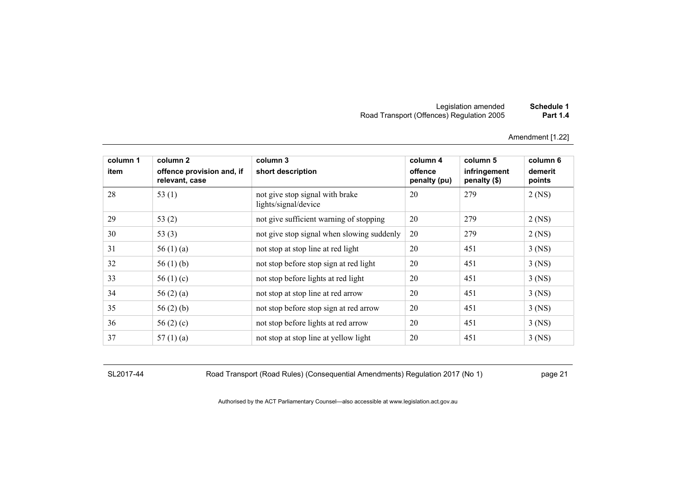#### Legislation amended **Schedule 1** Road Transport (Offences) Regulation 2005 **Part 1.4**

Amendment [1.22]

| column 1<br>item | column 2<br>offence provision and, if<br>relevant, case | column 3<br>short description                           | column 4<br>offence<br>penalty (pu) | column 5<br>infringement<br>penalty (\$) | column 6<br>demerit<br>points |
|------------------|---------------------------------------------------------|---------------------------------------------------------|-------------------------------------|------------------------------------------|-------------------------------|
| 28               | 53 $(1)$                                                | not give stop signal with brake<br>lights/signal/device | 20                                  | 279                                      | $2$ (NS)                      |
| 29               | 53 $(2)$                                                | not give sufficient warning of stopping                 | 20                                  | 279                                      | $2$ (NS)                      |
| 30               | 53 $(3)$                                                | not give stop signal when slowing suddenly              | 20                                  | 279                                      | $2$ (NS)                      |
| 31               | 56 $(1)$ $(a)$                                          | not stop at stop line at red light                      | 20                                  | 451                                      | $3$ (NS)                      |
| 32               | 56 $(1)$ (b)                                            | not stop before stop sign at red light                  | 20                                  | 451                                      | $3$ (NS)                      |
| 33               | 56 $(1)(c)$                                             | not stop before lights at red light                     | 20                                  | 451                                      | $3$ (NS)                      |
| 34               | 56 $(2)$ $(a)$                                          | not stop at stop line at red arrow                      | 20                                  | 451                                      | $3$ (NS)                      |
| 35               | 56 $(2)$ $(b)$                                          | not stop before stop sign at red arrow                  | 20                                  | 451                                      | $3$ (NS)                      |
| 36               | 56 $(2)$ $(c)$                                          | not stop before lights at red arrow                     | 20                                  | 451                                      | $3$ (NS)                      |
| 37               | 57 $(1)(a)$                                             | not stop at stop line at yellow light                   | 20                                  | 451                                      | $3$ (NS)                      |

SL2017-44 Road Transport (Road Rules) (Consequential Amendments) Regulation 2017 (No 1) page 21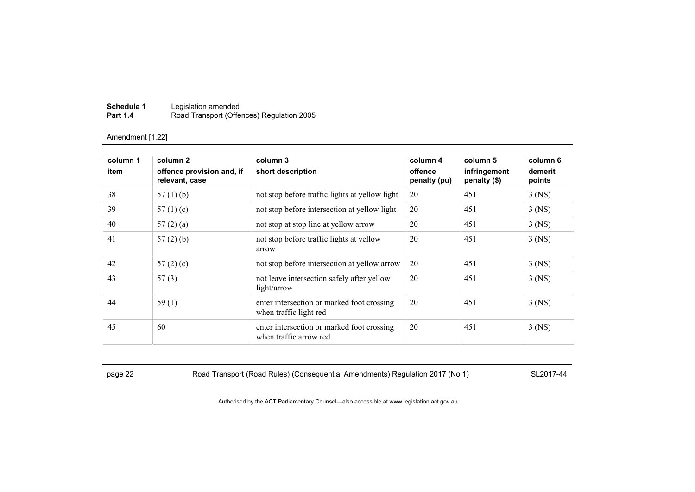| Schedule 1      | Legislation amended                       |
|-----------------|-------------------------------------------|
| <b>Part 1.4</b> | Road Transport (Offences) Regulation 2005 |

| column 1<br>item | column 2<br>offence provision and, if<br>relevant, case | column 3<br>short description                                        | column 4<br>offence<br>penalty (pu) | column 5<br>infringement<br>penalty (\$) | column 6<br>demerit<br>points |
|------------------|---------------------------------------------------------|----------------------------------------------------------------------|-------------------------------------|------------------------------------------|-------------------------------|
| 38               | 57 $(1)$ $(b)$                                          | not stop before traffic lights at yellow light                       | 20                                  | 451                                      | $3$ (NS)                      |
| 39               | 57 $(1)(c)$                                             | not stop before intersection at yellow light                         | 20                                  | 451                                      | $3$ (NS)                      |
| 40               | 57(2)(a)                                                | not stop at stop line at yellow arrow                                | 20                                  | 451                                      | $3$ (NS)                      |
| 41               | 57(2)(b)                                                | not stop before traffic lights at yellow<br>arrow                    | 20                                  | 451                                      | $3$ (NS)                      |
| 42               | 57 $(2)$ $(c)$                                          | not stop before intersection at yellow arrow                         | 20                                  | 451                                      | $3$ (NS)                      |
| 43               | 57(3)                                                   | not leave intersection safely after yellow<br>light/arrow            | 20                                  | 451                                      | $3$ (NS)                      |
| 44               | 59(1)                                                   | enter intersection or marked foot crossing<br>when traffic light red | 20                                  | 451                                      | $3$ (NS)                      |
| 45               | 60                                                      | enter intersection or marked foot crossing<br>when traffic arrow red | 20                                  | 451                                      | $3$ (NS)                      |

page 22 Road Transport (Road Rules) (Consequential Amendments) Regulation 2017 (No 1) SL2017-44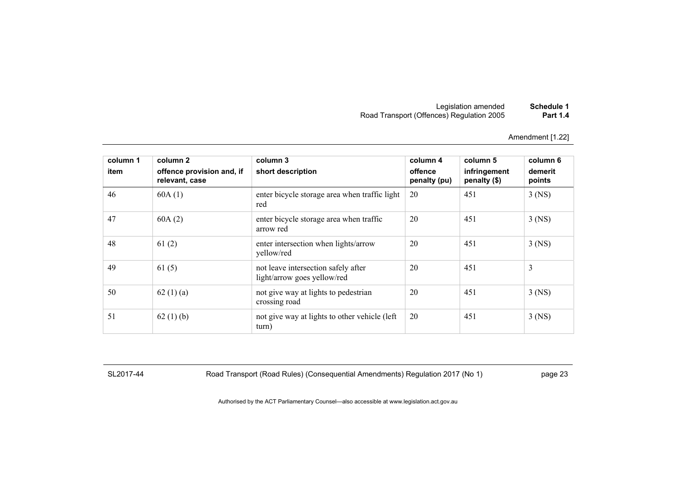| Schedule 1      | Legislation amended                       |
|-----------------|-------------------------------------------|
| <b>Part 1.4</b> | Road Transport (Offences) Regulation 2005 |

| column 1<br>item | column 2<br>offence provision and, if<br>relevant, case | column 3<br>short description                                      | column 4<br>offence<br>penalty (pu) | column 5<br>infringement<br>penalty (\$) | column 6<br>demerit<br>points |
|------------------|---------------------------------------------------------|--------------------------------------------------------------------|-------------------------------------|------------------------------------------|-------------------------------|
| 46               | 60A(1)                                                  | enter bicycle storage area when traffic light<br>red               | 20                                  | 451                                      | $3$ (NS)                      |
| 47               | 60A(2)                                                  | enter bicycle storage area when traffic<br>arrow red               | 20                                  | 451                                      | $3$ (NS)                      |
| 48               | 61(2)                                                   | enter intersection when lights/arrow<br>yellow/red                 | 20                                  | 451                                      | $3$ (NS)                      |
| 49               | 61(5)                                                   | not leave intersection safely after<br>light/arrow goes yellow/red | 20                                  | 451                                      | 3                             |
| 50               | 62 $(1)$ $(a)$                                          | not give way at lights to pedestrian<br>crossing road              | 20                                  | 451                                      | $3$ (NS)                      |
| 51               | 62(1)(b)                                                | not give way at lights to other vehicle (left<br>turn)             | 20                                  | 451                                      | $3$ (NS)                      |

SL2017-44 Road Transport (Road Rules) (Consequential Amendments) Regulation 2017 (No 1) page 23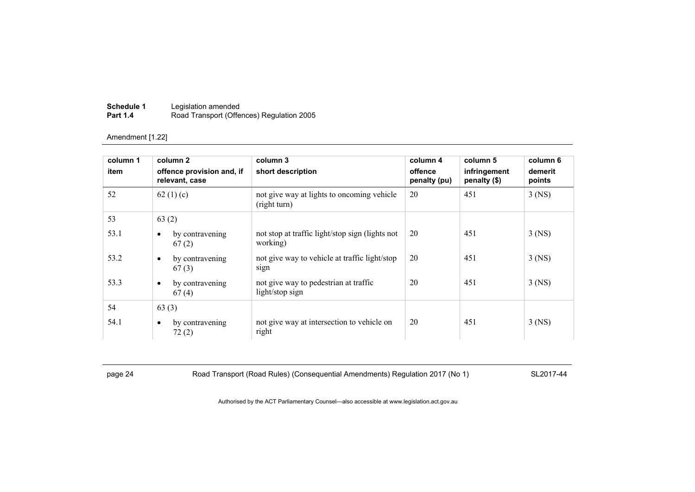| Schedule 1      | Legislation amended                       |
|-----------------|-------------------------------------------|
| <b>Part 1.4</b> | Road Transport (Offences) Regulation 2005 |

| column 1<br>item | column 2<br>offence provision and, if<br>relevant, case | column 3<br>short description                               | column 4<br>offence<br>penalty (pu) | column 5<br>infringement<br>penalty (\$) | column 6<br>demerit<br>points |
|------------------|---------------------------------------------------------|-------------------------------------------------------------|-------------------------------------|------------------------------------------|-------------------------------|
| 52               | 62 $(1)(c)$                                             | not give way at lights to oncoming vehicle<br>(right turn)  | 20                                  | 451                                      | $3$ (NS)                      |
| 53               | 63(2)                                                   |                                                             |                                     |                                          |                               |
| 53.1             | by contravening<br>٠<br>67(2)                           | not stop at traffic light/stop sign (lights not<br>working) | 20                                  | 451                                      | $3$ (NS)                      |
| 53.2             | by contravening<br>$\bullet$<br>67(3)                   | not give way to vehicle at traffic light/stop<br>sign       | 20                                  | 451                                      | $3$ (NS)                      |
| 53.3             | by contravening<br>٠<br>67(4)                           | not give way to pedestrian at traffic<br>light/stop sign    | 20                                  | 451                                      | $3$ (NS)                      |
| 54               | 63(3)                                                   |                                                             |                                     |                                          |                               |
| 54.1             | by contravening<br>٠<br>72(2)                           | not give way at intersection to vehicle on<br>right         | 20                                  | 451                                      | $3$ (NS)                      |

page 24 Road Transport (Road Rules) (Consequential Amendments) Regulation 2017 (No 1) SL2017-44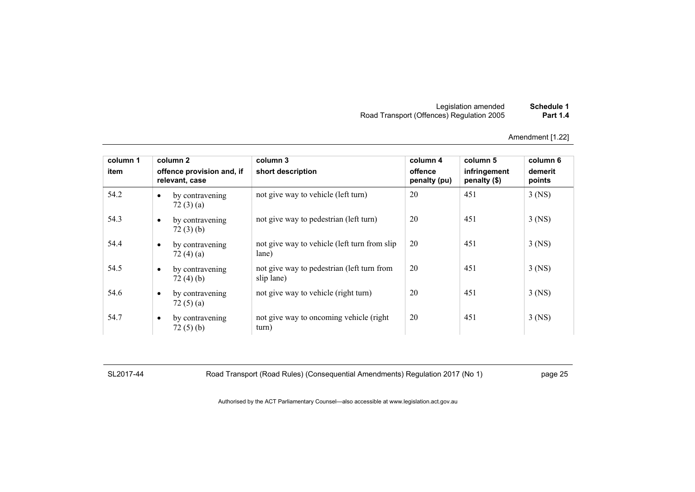| Schedule 1      | Legislation amended                       |
|-----------------|-------------------------------------------|
| <b>Part 1.4</b> | Road Transport (Offences) Regulation 2005 |

| column 1<br>item |           | column 2<br>offence provision and, if<br>relevant, case | column 3<br>short description                            | column 4<br>offence<br>penalty (pu) | column 5<br>infringement<br>penalty (\$) | column 6<br>demerit<br>points |
|------------------|-----------|---------------------------------------------------------|----------------------------------------------------------|-------------------------------------|------------------------------------------|-------------------------------|
| 54.2             | $\bullet$ | by contravening<br>72(3)(a)                             | not give way to vehicle (left turn)                      | 20                                  | 451                                      | $3$ (NS)                      |
| 54.3             | $\bullet$ | by contravening<br>72(3)(b)                             | not give way to pedestrian (left turn)                   | 20                                  | 451                                      | $3$ (NS)                      |
| 54.4             | $\bullet$ | by contravening<br>72 $(4)(a)$                          | not give way to vehicle (left turn from slip)<br>lane)   | 20                                  | 451                                      | $3$ (NS)                      |
| 54.5             | $\bullet$ | by contravening<br>72(4)(b)                             | not give way to pedestrian (left turn from<br>slip lane) | 20                                  | 451                                      | $3$ (NS)                      |
| 54.6             | $\bullet$ | by contravening<br>72(5)(a)                             | not give way to vehicle (right turn)                     | 20                                  | 451                                      | $3$ (NS)                      |
| 54.7             | $\bullet$ | by contravening<br>72(5)(b)                             | not give way to oncoming vehicle (right)<br>turn)        | 20                                  | 451                                      | $3$ (NS)                      |

SL2017-44 Road Transport (Road Rules) (Consequential Amendments) Regulation 2017 (No 1) page 25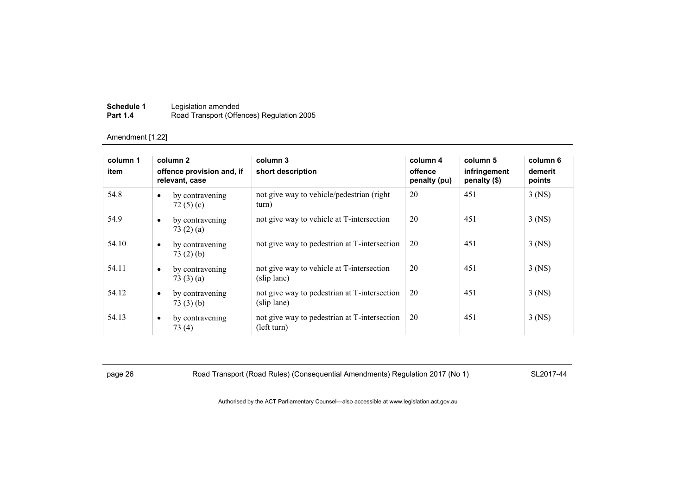| Schedule 1      | Legislation amended                       |
|-----------------|-------------------------------------------|
| <b>Part 1.4</b> | Road Transport (Offences) Regulation 2005 |

| column 1 |           | column 2                                    | column 3                                                    | column 4                | column 5                     | column 6          |
|----------|-----------|---------------------------------------------|-------------------------------------------------------------|-------------------------|------------------------------|-------------------|
| item     |           | offence provision and, if<br>relevant, case | short description                                           | offence<br>penalty (pu) | infringement<br>penalty (\$) | demerit<br>points |
| 54.8     | $\bullet$ | by contravening<br>72 $(5)(c)$              | not give way to vehicle/pedestrian (right)<br>turn)         | 20                      | 451                          | $3$ (NS)          |
| 54.9     | $\bullet$ | by contravening<br>73(2)(a)                 | not give way to vehicle at T-intersection                   | 20                      | 451                          | $3$ (NS)          |
| 54.10    | $\bullet$ | by contravening<br>73(2)(b)                 | not give way to pedestrian at T-intersection                | 20                      | 451                          | $3$ (NS)          |
| 54.11    | $\bullet$ | by contravening<br>73(3)(a)                 | not give way to vehicle at T-intersection<br>(slip lane)    | 20                      | 451                          | $3$ (NS)          |
| 54.12    | $\bullet$ | by contravening<br>73(3)(b)                 | not give way to pedestrian at T-intersection<br>(slip lane) | 20                      | 451                          | $3$ (NS)          |
| 54.13    | $\bullet$ | by contravening<br>73(4)                    | not give way to pedestrian at T-intersection<br>(left turn) | 20                      | 451                          | $3$ (NS)          |

page 26 Road Transport (Road Rules) (Consequential Amendments) Regulation 2017 (No 1) SL2017-44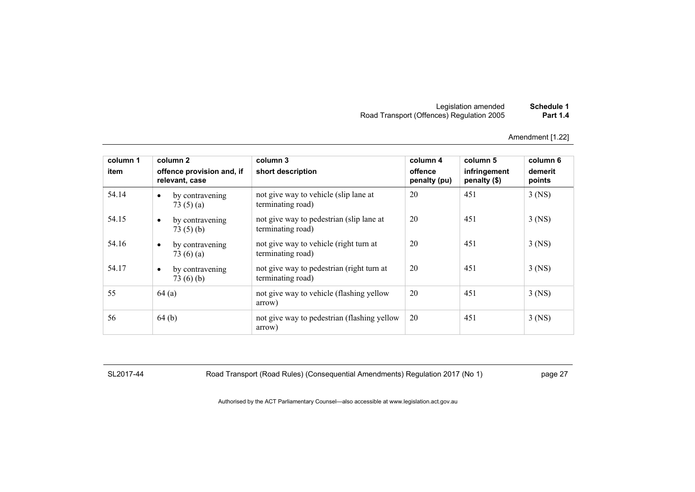| Schedule 1      | Legislation amended                       |
|-----------------|-------------------------------------------|
| <b>Part 1.4</b> | Road Transport (Offences) Regulation 2005 |

| column 1<br>item | column 2<br>offence provision and, if<br>relevant, case | column 3<br>short description                                  | column 4<br>offence<br>penalty (pu) | column 5<br>infringement<br>penalty (\$) | column 6<br>demerit<br>points |
|------------------|---------------------------------------------------------|----------------------------------------------------------------|-------------------------------------|------------------------------------------|-------------------------------|
| 54.14            | by contravening<br>$\bullet$<br>73 $(5)(a)$             | not give way to vehicle (slip lane at<br>terminating road)     | 20                                  | 451                                      | $3$ (NS)                      |
| 54.15            | by contravening<br>$\bullet$<br>73(5)(b)                | not give way to pedestrian (slip lane at<br>terminating road)  | 20                                  | 451                                      | $3$ (NS)                      |
| 54.16            | by contravening<br>$\bullet$<br>73 $(6)(a)$             | not give way to vehicle (right turn at<br>terminating road)    | 20                                  | 451                                      | $3$ (NS)                      |
| 54.17            | by contravening<br>$\bullet$<br>73 $(6)(b)$             | not give way to pedestrian (right turn at<br>terminating road) | 20                                  | 451                                      | $3$ (NS)                      |
| 55               | 64(a)                                                   | not give way to vehicle (flashing yellow<br>arrow)             | 20                                  | 451                                      | $3$ (NS)                      |
| 56               | 64(b)                                                   | not give way to pedestrian (flashing yellow<br>arrow)          | 20                                  | 451                                      | $3$ (NS)                      |

SL2017-44 Road Transport (Road Rules) (Consequential Amendments) Regulation 2017 (No 1) page 27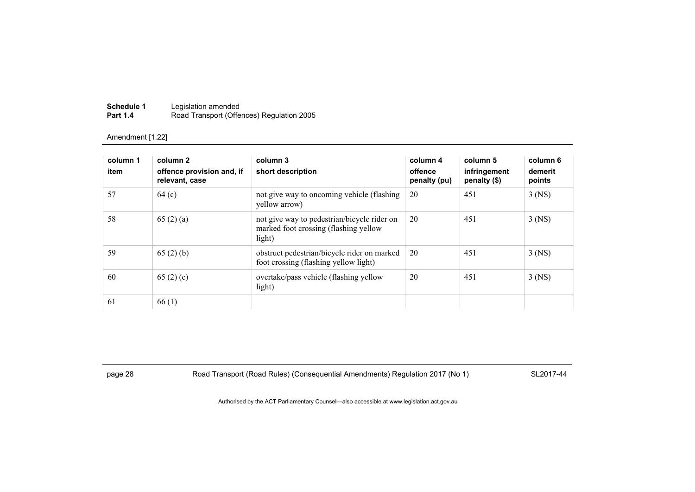| Schedule 1      | Legislation amended                       |
|-----------------|-------------------------------------------|
| <b>Part 1.4</b> | Road Transport (Offences) Regulation 2005 |

| column 1<br>item | column 2<br>offence provision and, if<br>relevant, case | column 3<br>short description                                                                  | column 4<br>offence<br>penalty (pu) | column 5<br>infringement<br>penalty (\$) | column 6<br>demerit<br>points |
|------------------|---------------------------------------------------------|------------------------------------------------------------------------------------------------|-------------------------------------|------------------------------------------|-------------------------------|
| 57               | 64 <sub>(c)</sub>                                       | not give way to oncoming vehicle (flashing)<br>yellow arrow)                                   | 20                                  | 451                                      | $3$ (NS)                      |
| 58               | 65(2)(a)                                                | not give way to pedestrian/bicycle rider on<br>marked foot crossing (flashing yellow<br>light) | 20                                  | 451                                      | $3$ (NS)                      |
| 59               | 65(2)(b)                                                | obstruct pedestrian/bicycle rider on marked<br>foot crossing (flashing yellow light)           | 20                                  | 451                                      | $3$ (NS)                      |
| 60               | 65(2)(c)                                                | overtake/pass vehicle (flashing yellow<br>light)                                               | 20                                  | 451                                      | $3$ (NS)                      |
| 61               | 66(1)                                                   |                                                                                                |                                     |                                          |                               |

page 28 Road Transport (Road Rules) (Consequential Amendments) Regulation 2017 (No 1) SL2017-44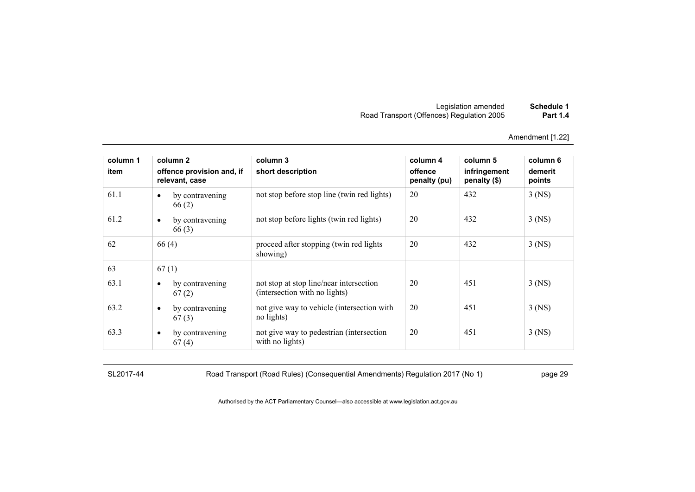| Schedule 1      | Legislation amended                       |
|-----------------|-------------------------------------------|
| <b>Part 1.4</b> | Road Transport (Offences) Regulation 2005 |

| column 1 | column 2                                    | column 3                                                                 | column 4                | column 5                     | column 6          |
|----------|---------------------------------------------|--------------------------------------------------------------------------|-------------------------|------------------------------|-------------------|
| item     | offence provision and, if<br>relevant, case | short description                                                        | offence<br>penalty (pu) | infringement<br>penalty (\$) | demerit<br>points |
| 61.1     | by contravening<br>$\bullet$<br>66(2)       | not stop before stop line (twin red lights)                              | 20                      | 432                          | $3$ (NS)          |
| 61.2     | by contravening<br>$\bullet$<br>66(3)       | not stop before lights (twin red lights)                                 | 20                      | 432                          | $3$ (NS)          |
| 62       | 66(4)                                       | proceed after stopping (twin red lights<br>showing)                      | 20                      | 432                          | $3$ (NS)          |
| 63       | 67(1)                                       |                                                                          |                         |                              |                   |
| 63.1     | by contravening<br>$\bullet$<br>67(2)       | not stop at stop line/near intersection<br>(intersection with no lights) | 20                      | 451                          | $3$ (NS)          |
| 63.2     | by contravening<br>$\bullet$<br>67(3)       | not give way to vehicle (intersection with<br>no lights)                 | 20                      | 451                          | $3$ (NS)          |
| 63.3     | by contravening<br>$\bullet$<br>67(4)       | not give way to pedestrian (intersection<br>with no lights)              | 20                      | 451                          | $3$ (NS)          |

SL2017-44 Road Transport (Road Rules) (Consequential Amendments) Regulation 2017 (No 1) page 29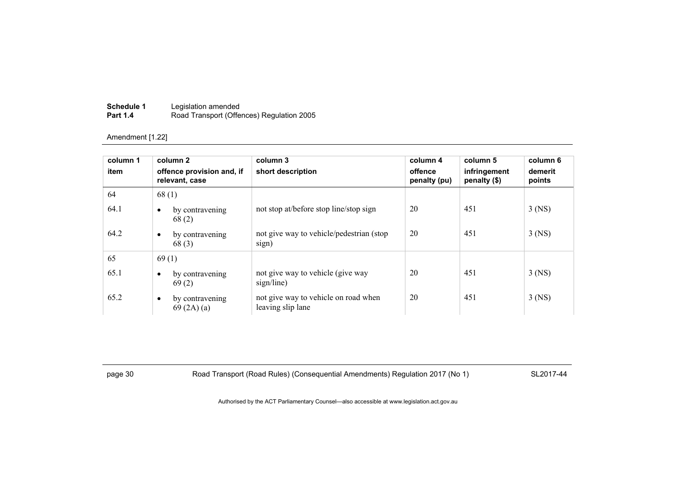| Schedule 1      | Legislation amended                       |
|-----------------|-------------------------------------------|
| <b>Part 1.4</b> | Road Transport (Offences) Regulation 2005 |

| column 1<br>item | column 2<br>offence provision and, if<br>relevant, case | column 3<br>short description                             | column 4<br>offence<br>penalty (pu) | column 5<br>infringement<br>penalty (\$) | column 6<br>demerit<br>points |
|------------------|---------------------------------------------------------|-----------------------------------------------------------|-------------------------------------|------------------------------------------|-------------------------------|
| 64               | 68(1)                                                   |                                                           |                                     |                                          |                               |
| 64.1             | by contravening<br>$\bullet$<br>68(2)                   | not stop at/before stop line/stop sign                    | 20                                  | 451                                      | $3$ (NS)                      |
| 64.2             | by contravening<br>$\bullet$<br>68(3)                   | not give way to vehicle/pedestrian (stop)<br>sign)        | 20                                  | 451                                      | $3$ (NS)                      |
| 65               | 69(1)                                                   |                                                           |                                     |                                          |                               |
| 65.1             | by contravening<br>$\bullet$<br>69(2)                   | not give way to vehicle (give way<br>sign/line)           | 20                                  | 451                                      | $3$ (NS)                      |
| 65.2             | by contravening<br>$\bullet$<br>69(2A)(a)               | not give way to vehicle on road when<br>leaving slip lane | 20                                  | 451                                      | $3$ (NS)                      |

page 30 Road Transport (Road Rules) (Consequential Amendments) Regulation 2017 (No 1) SL2017-44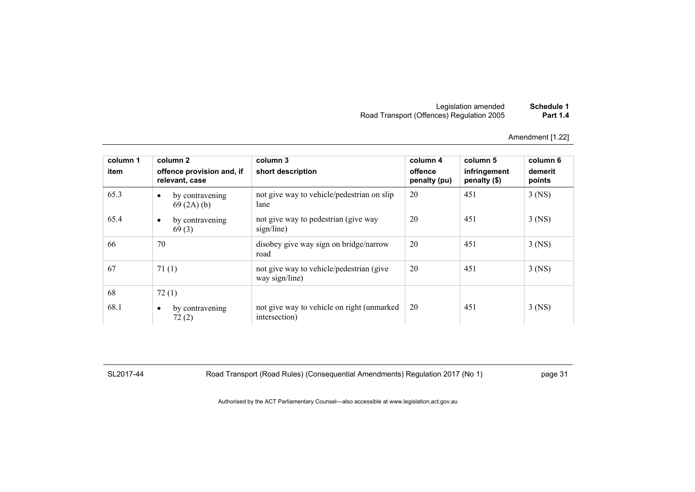| Schedule 1      | Legislation amended                       |
|-----------------|-------------------------------------------|
| <b>Part 1.4</b> | Road Transport (Offences) Regulation 2005 |

| column 1<br>item | column 2<br>offence provision and, if<br>relevant, case | column 3<br>short description                                | column 4<br>offence<br>penalty (pu) | column 5<br>infringement<br>penalty (\$) | column 6<br>demerit<br>points |
|------------------|---------------------------------------------------------|--------------------------------------------------------------|-------------------------------------|------------------------------------------|-------------------------------|
| 65.3             | by contravening<br>$\bullet$<br>69(2A)(b)               | not give way to vehicle/pedestrian on slip<br>lane           | 20                                  | 451                                      | $3$ (NS)                      |
| 65.4             | by contravening<br>$\bullet$<br>69(3)                   | not give way to pedestrian (give way<br>sign/line)           | 20                                  | 451                                      | $3$ (NS)                      |
| 66               | 70                                                      | disobey give way sign on bridge/narrow<br>road               | 20                                  | 451                                      | $3$ (NS)                      |
| 67               | 71(1)                                                   | not give way to vehicle/pedestrian (give<br>way sign/line)   | 20                                  | 451                                      | $3$ (NS)                      |
| 68               | 72(1)                                                   |                                                              |                                     |                                          |                               |
| 68.1             | by contravening<br>٠<br>72(2)                           | not give way to vehicle on right (unmarked)<br>intersection) | 20                                  | 451                                      | $3$ (NS)                      |

SL2017-44 Road Transport (Road Rules) (Consequential Amendments) Regulation 2017 (No 1) page 31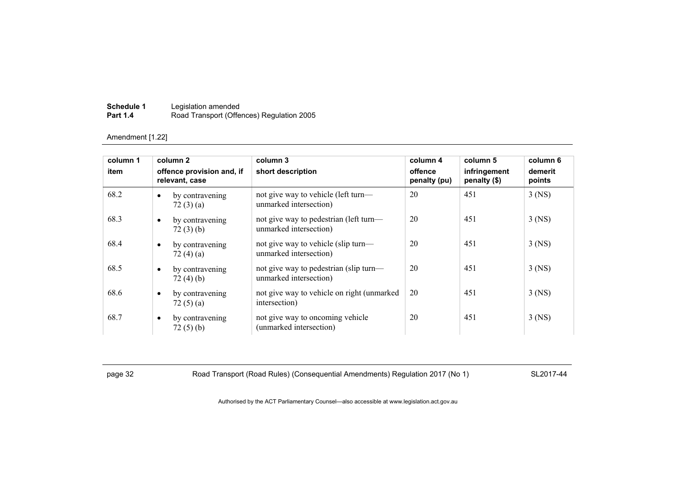| Schedule 1      | Legislation amended                       |
|-----------------|-------------------------------------------|
| <b>Part 1.4</b> | Road Transport (Offences) Regulation 2005 |

| column 1 | column 2<br>offence provision and, if<br>relevant, case |                             | column 3<br>short description                                    | column 4<br>offence<br>penalty (pu) | column 5<br>infringement<br>penalty (\$) | column 6<br>demerit<br>points |
|----------|---------------------------------------------------------|-----------------------------|------------------------------------------------------------------|-------------------------------------|------------------------------------------|-------------------------------|
| item     |                                                         |                             |                                                                  |                                     |                                          |                               |
| 68.2     | $\bullet$                                               | by contravening<br>72(3)(a) | not give way to vehicle (left turn—<br>unmarked intersection)    | 20                                  | 451                                      | $3$ (NS)                      |
| 68.3     | $\bullet$                                               | by contravening<br>72(3)(b) | not give way to pedestrian (left turn-<br>unmarked intersection) | 20                                  | 451                                      | $3$ (NS)                      |
| 68.4     | $\bullet$                                               | by contravening<br>72(4)(a) | not give way to vehicle (slip turn—<br>unmarked intersection)    | 20                                  | 451                                      | $3$ (NS)                      |
| 68.5     | $\bullet$                                               | by contravening<br>72(4)(b) | not give way to pedestrian (slip turn—<br>unmarked intersection) | 20                                  | 451                                      | $3$ (NS)                      |
| 68.6     | $\bullet$                                               | by contravening<br>72(5)(a) | not give way to vehicle on right (unmarked<br>intersection)      | 20                                  | 451                                      | $3$ (NS)                      |
| 68.7     | $\bullet$                                               | by contravening<br>72(5)(b) | not give way to oncoming vehicle<br>(unmarked intersection)      | 20                                  | 451                                      | $3$ (NS)                      |

page 32 Road Transport (Road Rules) (Consequential Amendments) Regulation 2017 (No 1) SL2017-44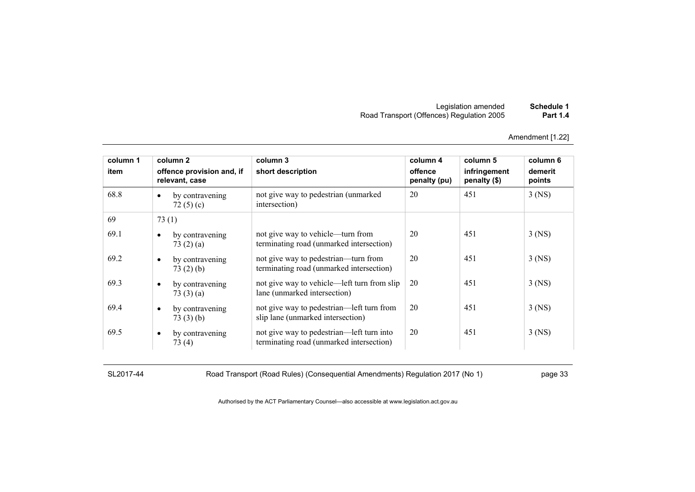| Schedule 1      | Legislation amended                       |
|-----------------|-------------------------------------------|
| <b>Part 1.4</b> | Road Transport (Offences) Regulation 2005 |

| column 1 | column 2                                    | column 3                                                                              | column 4                | column 5                     | column 6          |
|----------|---------------------------------------------|---------------------------------------------------------------------------------------|-------------------------|------------------------------|-------------------|
| item     | offence provision and, if<br>relevant, case | short description                                                                     | offence<br>penalty (pu) | infringement<br>penalty (\$) | demerit<br>points |
| 68.8     | by contravening<br>$\bullet$<br>72 $(5)(c)$ | not give way to pedestrian (unmarked<br>intersection)                                 | 20                      | 451                          | $3$ (NS)          |
| 69       | 73(1)                                       |                                                                                       |                         |                              |                   |
| 69.1     | by contravening<br>73(2)(a)                 | not give way to vehicle—turn from<br>terminating road (unmarked intersection)         | 20                      | 451                          | 3 (NS)            |
| 69.2     | by contravening<br>$\bullet$<br>73(2)(b)    | not give way to pedestrian—turn from<br>terminating road (unmarked intersection)      | 20                      | 451                          | $3$ (NS)          |
| 69.3     | by contravening<br>$\bullet$<br>73 $(3)(a)$ | not give way to vehicle—left turn from slip<br>lane (unmarked intersection)           | 20                      | 451                          | $3$ (NS)          |
| 69.4     | by contravening<br>$\bullet$<br>73(3)(b)    | not give way to pedestrian—left turn from<br>slip lane (unmarked intersection)        | 20                      | 451                          | $3$ (NS)          |
| 69.5     | by contravening<br>$\bullet$<br>73(4)       | not give way to pedestrian—left turn into<br>terminating road (unmarked intersection) | 20                      | 451                          | $3$ (NS)          |

SL2017-44 Road Transport (Road Rules) (Consequential Amendments) Regulation 2017 (No 1) page 33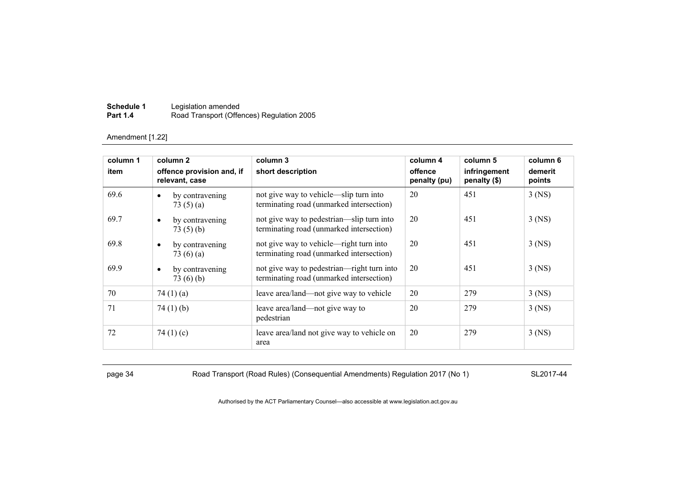| Schedule 1      | Legislation amended                       |
|-----------------|-------------------------------------------|
| <b>Part 1.4</b> | Road Transport (Offences) Regulation 2005 |

| column 1 | column 2                                    | column 3                                                                               | column 4                | column 5                     | column 6          |
|----------|---------------------------------------------|----------------------------------------------------------------------------------------|-------------------------|------------------------------|-------------------|
| item     | offence provision and, if<br>relevant, case | short description                                                                      | offence<br>penalty (pu) | infringement<br>penalty (\$) | demerit<br>points |
| 69.6     | by contravening<br>$\bullet$<br>73 $(5)(a)$ | not give way to vehicle—slip turn into<br>terminating road (unmarked intersection)     | 20                      | 451                          | $3$ (NS)          |
| 69.7     | by contravening<br>$\bullet$<br>73(5)(b)    | not give way to pedestrian—slip turn into<br>terminating road (unmarked intersection)  | 20                      | 451                          | $3$ (NS)          |
| 69.8     | by contravening<br>٠<br>73 $(6)(a)$         | not give way to vehicle—right turn into<br>terminating road (unmarked intersection)    | 20                      | 451                          | $3$ (NS)          |
| 69.9     | by contravening<br>$\bullet$<br>73(6)(b)    | not give way to pedestrian—right turn into<br>terminating road (unmarked intersection) | 20                      | 451                          | $3$ (NS)          |
| 70       | 74 $(1)(a)$                                 | leave area/land—not give way to vehicle                                                | 20                      | 279                          | $3$ (NS)          |
| 71       | 74 $(1)$ $(b)$                              | leave area/land—not give way to<br>pedestrian                                          | 20                      | 279                          | $3$ (NS)          |
| 72       | 74 $(1)(c)$                                 | leave area/land not give way to vehicle on<br>area                                     | 20                      | 279                          | $3$ (NS)          |

page 34 Road Transport (Road Rules) (Consequential Amendments) Regulation 2017 (No 1) SL2017-44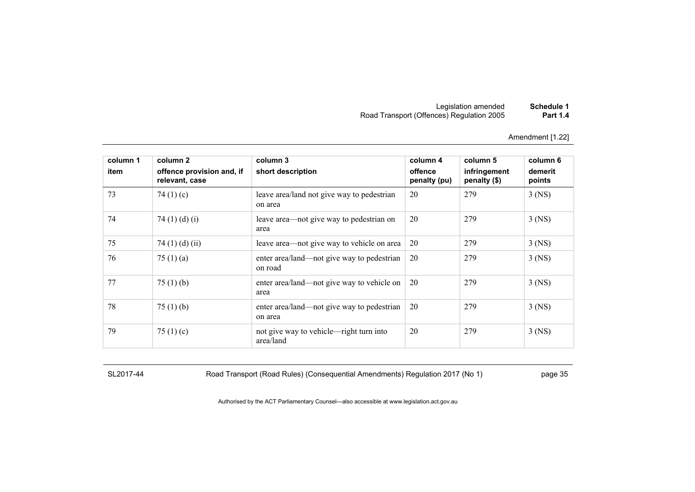| Schedule 1      | Legislation amended                       |
|-----------------|-------------------------------------------|
| <b>Part 1.4</b> | Road Transport (Offences) Regulation 2005 |

| column 1 | column 2                                    | column 3                                              | column 4                | column 5                     | column 6          |
|----------|---------------------------------------------|-------------------------------------------------------|-------------------------|------------------------------|-------------------|
| item     | offence provision and, if<br>relevant, case | short description                                     | offence<br>penalty (pu) | infringement<br>penalty (\$) | demerit<br>points |
| 73       | 74 $(1)(c)$                                 | leave area/land not give way to pedestrian<br>on area | 20                      | 279                          | $3$ (NS)          |
| 74       | 74 $(1)$ $(d)$ $(i)$                        | leave area—not give way to pedestrian on<br>area      | 20                      | 279                          | $3$ (NS)          |
| 75       | 74 $(1)$ $(d)$ $(ii)$                       | leave area—not give way to vehicle on area            | 20                      | 279                          | $3$ (NS)          |
| 76       | 75 $(1)$ $(a)$                              | enter area/land—not give way to pedestrian<br>on road | 20                      | 279                          | $3$ (NS)          |
| 77       | 75 $(1)$ (b)                                | enter area/land—not give way to vehicle on<br>area    | 20                      | 279                          | $3$ (NS)          |
| 78       | 75 $(1)$ (b)                                | enter area/land—not give way to pedestrian<br>on area | 20                      | 279                          | $3$ (NS)          |
| 79       | 75 $(1)(c)$                                 | not give way to vehicle—right turn into<br>area/land  | 20                      | 279                          | $3$ (NS)          |

SL2017-44 Road Transport (Road Rules) (Consequential Amendments) Regulation 2017 (No 1) page 35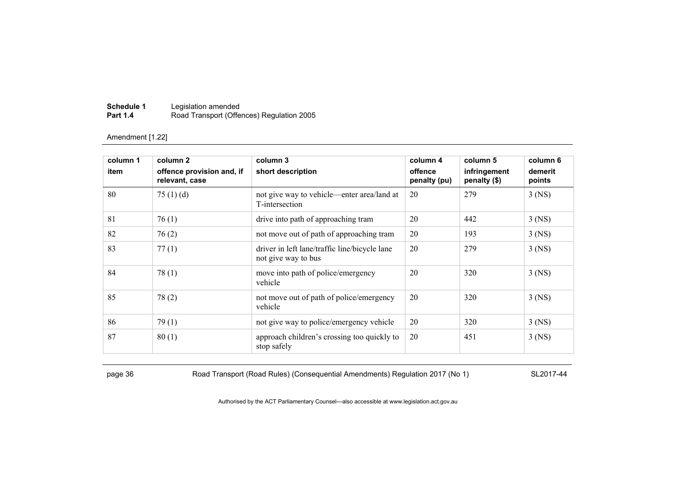| Schedule 1      | Legislation amended                       |
|-----------------|-------------------------------------------|
| <b>Part 1.4</b> | Road Transport (Offences) Regulation 2005 |

| column 1 | column 2                                    | column 3                                                             | column 4                | column 5                     | column 6          |
|----------|---------------------------------------------|----------------------------------------------------------------------|-------------------------|------------------------------|-------------------|
| item     | offence provision and, if<br>relevant, case | short description                                                    | offence<br>penalty (pu) | infringement<br>penalty (\$) | demerit<br>points |
| 80       | 75 $(1)$ $(d)$                              | not give way to vehicle—enter area/land at<br>T-intersection         | 20                      | 279                          | $3$ (NS)          |
| 81       | 76(1)                                       | drive into path of approaching tram                                  | 20                      | 442                          | $3$ (NS)          |
| 82       | 76(2)                                       | not move out of path of approaching tram                             | 20                      | 193                          | $3$ (NS)          |
| 83       | 77(1)                                       | driver in left lane/traffic line/bicycle lane<br>not give way to bus | 20                      | 279                          | $3$ (NS)          |
| 84       | 78(1)                                       | move into path of police/emergency<br>vehicle                        | 20                      | 320                          | $3$ (NS)          |
| 85       | 78(2)                                       | not move out of path of police/emergency<br>vehicle                  | 20                      | 320                          | $3$ (NS)          |
| 86       | 79(1)                                       | not give way to police/emergency vehicle                             | 20                      | 320                          | $3$ (NS)          |
| 87       | 80(1)                                       | approach children's crossing too quickly to<br>stop safely           | 20                      | 451                          | $3$ (NS)          |

page 36 Road Transport (Road Rules) (Consequential Amendments) Regulation 2017 (No 1) SL2017-44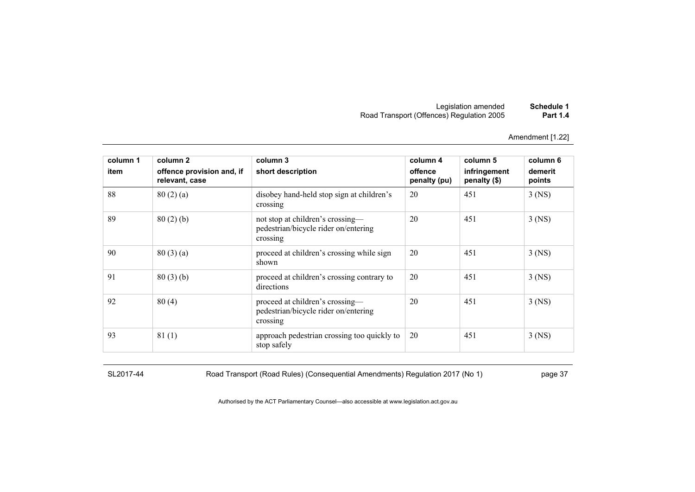| Schedule 1      | Legislation amended                       |
|-----------------|-------------------------------------------|
| <b>Part 1.4</b> | Road Transport (Offences) Regulation 2005 |

| column 1 | column 2                                    | column 3                                                                             | column 4                | column 5                     | column 6          |
|----------|---------------------------------------------|--------------------------------------------------------------------------------------|-------------------------|------------------------------|-------------------|
| item     | offence provision and, if<br>relevant, case | short description                                                                    | offence<br>penalty (pu) | infringement<br>penalty (\$) | demerit<br>points |
| 88       | 80(2)(a)                                    | disobey hand-held stop sign at children's<br>crossing                                | 20                      | 451                          | $3$ (NS)          |
| 89       | 80(2)(b)                                    | not stop at children's crossing-<br>pedestrian/bicycle rider on/entering<br>crossing | 20                      | 451                          | $3$ (NS)          |
| 90       | 80(3)(a)                                    | proceed at children's crossing while sign<br>shown                                   | 20                      | 451                          | $3$ (NS)          |
| 91       | 80(3)(b)                                    | proceed at children's crossing contrary to<br>directions                             | 20                      | 451                          | $3$ (NS)          |
| 92       | 80(4)                                       | proceed at children's crossing—<br>pedestrian/bicycle rider on/entering<br>crossing  | 20                      | 451                          | $3$ (NS)          |
| 93       | 81(1)                                       | approach pedestrian crossing too quickly to<br>stop safely                           | 20                      | 451                          | $3$ (NS)          |

SL2017-44 Road Transport (Road Rules) (Consequential Amendments) Regulation 2017 (No 1) page 37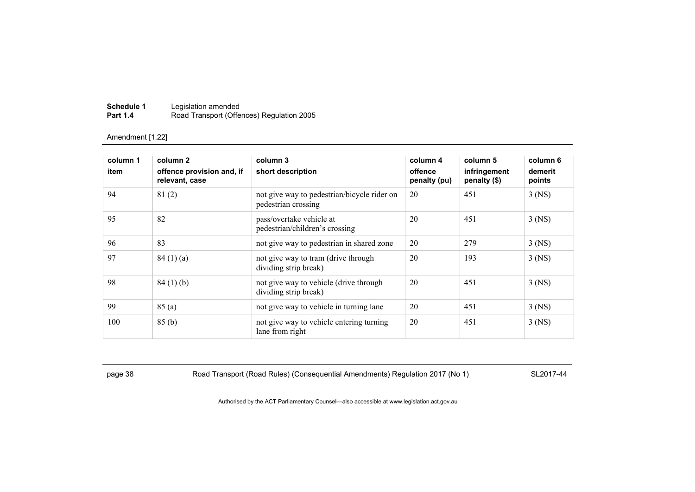| Schedule 1      | Legislation amended                       |
|-----------------|-------------------------------------------|
| <b>Part 1.4</b> | Road Transport (Offences) Regulation 2005 |

| column 1<br>item | column 2<br>offence provision and, if<br>relevant, case | column 3<br>short description                                      | column 4<br>offence<br>penalty (pu) | column 5<br>infringement<br>penalty (\$) | column 6<br>demerit<br>points |
|------------------|---------------------------------------------------------|--------------------------------------------------------------------|-------------------------------------|------------------------------------------|-------------------------------|
| 94               | 81(2)                                                   | not give way to pedestrian/bicycle rider on<br>pedestrian crossing | 20                                  | 451                                      | $3$ (NS)                      |
| 95               | 82                                                      | pass/overtake vehicle at<br>pedestrian/children's crossing         | 20                                  | 451                                      | $3$ (NS)                      |
| 96               | 83                                                      | not give way to pedestrian in shared zone                          | 20                                  | 279                                      | $3$ (NS)                      |
| 97               | 84(1)(a)                                                | not give way to tram (drive through<br>dividing strip break)       | 20                                  | 193                                      | $3$ (NS)                      |
| 98               | 84(1)(b)                                                | not give way to vehicle (drive through<br>dividing strip break)    | 20                                  | 451                                      | $3$ (NS)                      |
| 99               | 85(a)                                                   | not give way to vehicle in turning lane                            | 20                                  | 451                                      | $3$ (NS)                      |
| 100              | 85(b)                                                   | not give way to vehicle entering turning<br>lane from right        | 20                                  | 451                                      | $3$ (NS)                      |

page 38 Road Transport (Road Rules) (Consequential Amendments) Regulation 2017 (No 1) SL2017-44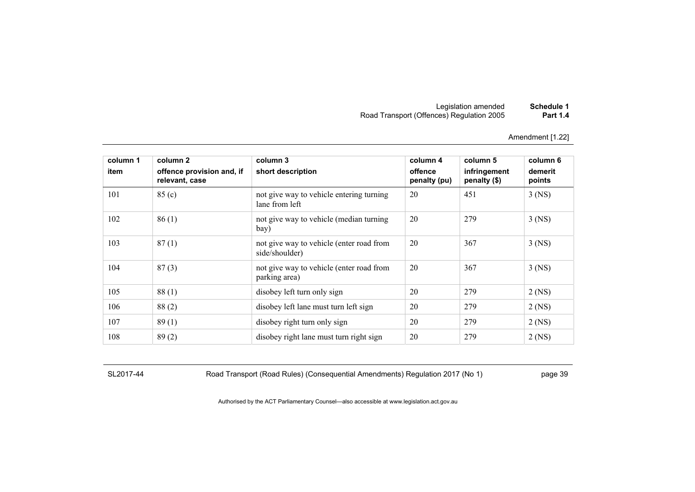# Legislation amended **Schedule 1** Road Transport (Offences) Regulation 2005 **Part 1.4**

Amendment [1.22]

| column 1<br>item | column 2<br>offence provision and, if<br>relevant, case | column 3<br>short description                              | column 4<br>offence<br>penalty (pu) | column 5<br>infringement<br>penalty (\$) | column 6<br>demerit<br>points |
|------------------|---------------------------------------------------------|------------------------------------------------------------|-------------------------------------|------------------------------------------|-------------------------------|
| 101              | 85 (c)                                                  | not give way to vehicle entering turning<br>lane from left | 20                                  | 451                                      | $3$ (NS)                      |
| 102              | 86(1)                                                   | not give way to vehicle (median turning<br>bay)            | 20                                  | 279                                      | $3$ (NS)                      |
| 103              | 87(1)                                                   | not give way to vehicle (enter road from<br>side/shoulder) | 20                                  | 367                                      | $3$ (NS)                      |
| 104              | 87(3)                                                   | not give way to vehicle (enter road from<br>parking area)  | 20                                  | 367                                      | $3$ (NS)                      |
| 105              | 88(1)                                                   | disobey left turn only sign                                | 20                                  | 279                                      | $2$ (NS)                      |
| 106              | 88(2)                                                   | disobey left lane must turn left sign                      | 20                                  | 279                                      | $2$ (NS)                      |
| 107              | 89(1)                                                   | disobey right turn only sign                               | 20                                  | 279                                      | $2$ (NS)                      |
| 108              | 89(2)                                                   | disobey right lane must turn right sign                    | 20                                  | 279                                      | $2$ (NS)                      |

SL2017-44 Road Transport (Road Rules) (Consequential Amendments) Regulation 2017 (No 1) page 39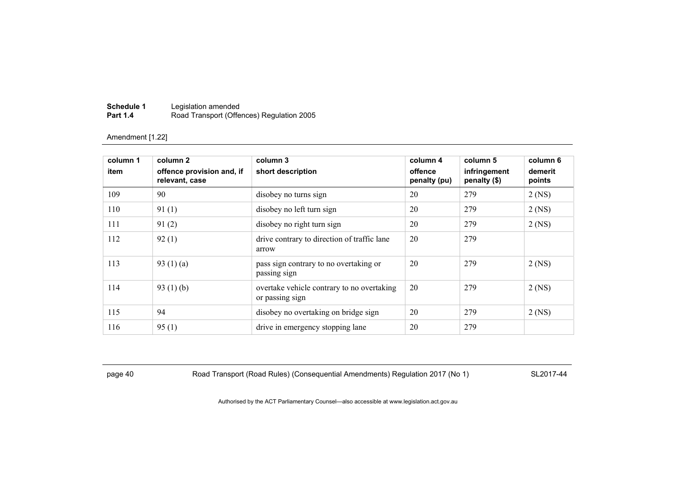| Schedule 1      | Legislation amended                       |
|-----------------|-------------------------------------------|
| <b>Part 1.4</b> | Road Transport (Offences) Regulation 2005 |

| column 1<br>item | column 2<br>offence provision and, if | column 3<br>short description                                 | column 4<br>offence | column 5<br>infringement | column 6<br>demerit |
|------------------|---------------------------------------|---------------------------------------------------------------|---------------------|--------------------------|---------------------|
|                  | relevant, case                        |                                                               | penalty (pu)        | penalty (\$)             | points              |
| 109              | 90                                    | disobey no turns sign                                         | 20                  | 279                      | $2$ (NS)            |
| 110              | 91(1)                                 | disobey no left turn sign                                     | 20                  | 279                      | $2$ (NS)            |
| 111              | 91(2)                                 | disobey no right turn sign                                    | 20                  | 279                      | $2$ (NS)            |
| 112              | 92(1)                                 | drive contrary to direction of traffic lane<br>arrow          | 20                  | 279                      |                     |
| 113              | 93 $(1)(a)$                           | pass sign contrary to no overtaking or<br>passing sign        | 20                  | 279                      | $2$ (NS)            |
| 114              | 93 $(1)$ (b)                          | overtake vehicle contrary to no overtaking<br>or passing sign | 20                  | 279                      | $2$ (NS)            |
| 115              | 94                                    | disobey no overtaking on bridge sign                          | 20                  | 279                      | $2$ (NS)            |
| 116              | 95(1)                                 | drive in emergency stopping lane                              | 20                  | 279                      |                     |

page 40 Road Transport (Road Rules) (Consequential Amendments) Regulation 2017 (No 1) SL2017-44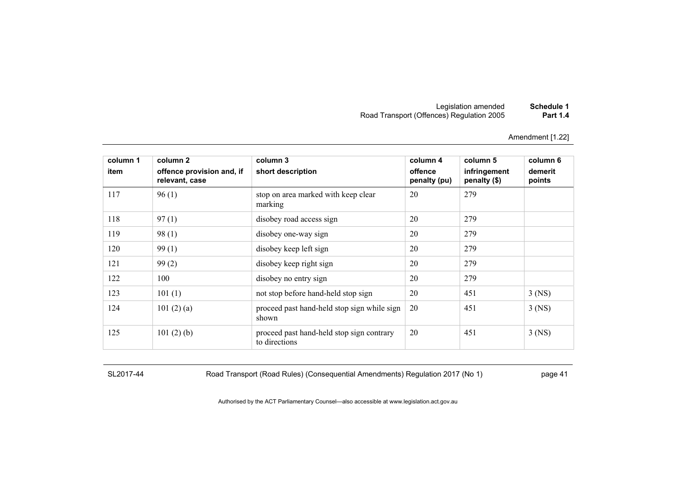# Legislation amended **Schedule 1** Road Transport (Offences) Regulation 2005 **Part 1.4**

Amendment [1.22]

| column 1<br>item | column 2<br>offence provision and, if<br>relevant, case | column 3<br>short description                              | column 4<br>offence<br>penalty (pu) | column 5<br>infringement<br>penalty (\$) | column 6<br>demerit<br>points |
|------------------|---------------------------------------------------------|------------------------------------------------------------|-------------------------------------|------------------------------------------|-------------------------------|
| 117              | 96(1)                                                   | stop on area marked with keep clear<br>marking             | 20                                  | 279                                      |                               |
| 118              | 97(1)                                                   | disobey road access sign                                   | 20                                  | 279                                      |                               |
| 119              | 98(1)                                                   | disobey one-way sign                                       | 20                                  | 279                                      |                               |
| 120              | 99(1)                                                   | disobey keep left sign                                     | 20                                  | 279                                      |                               |
| 121              | 99(2)                                                   | disobey keep right sign                                    | 20                                  | 279                                      |                               |
| 122              | 100                                                     | disobey no entry sign                                      | 20                                  | 279                                      |                               |
| 123              | 101(1)                                                  | not stop before hand-held stop sign                        | 20                                  | 451                                      | $3$ (NS)                      |
| 124              | 101 $(2)$ $(a)$                                         | proceed past hand-held stop sign while sign<br>shown       | 20                                  | 451                                      | $3$ (NS)                      |
| 125              | 101 $(2)$ $(b)$                                         | proceed past hand-held stop sign contrary<br>to directions | 20                                  | 451                                      | $3$ (NS)                      |

SL2017-44 Road Transport (Road Rules) (Consequential Amendments) Regulation 2017 (No 1) page 41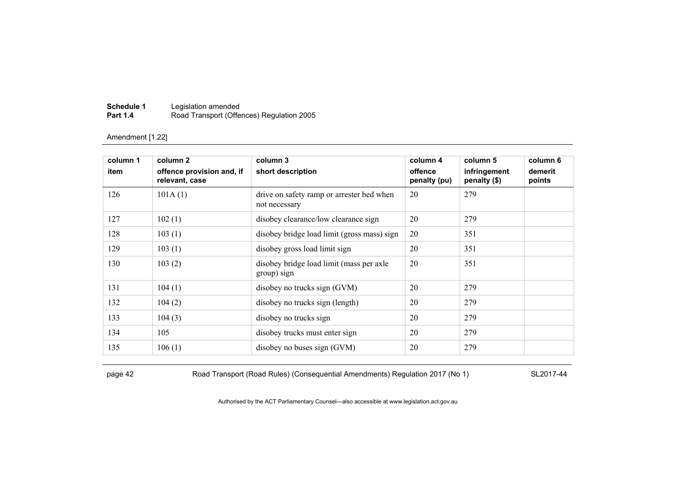| Schedule 1      | Legislation amended                       |
|-----------------|-------------------------------------------|
| <b>Part 1.4</b> | Road Transport (Offences) Regulation 2005 |

| column 1 | column 2                                    | column 3                                                   | column 4                | column 5                     | column 6          |
|----------|---------------------------------------------|------------------------------------------------------------|-------------------------|------------------------------|-------------------|
| item     | offence provision and, if<br>relevant, case | short description                                          | offence<br>penalty (pu) | infringement<br>penalty (\$) | demerit<br>points |
| 126      | 101A(1)                                     | drive on safety ramp or arrester bed when<br>not necessary | 20                      | 279                          |                   |
| 127      | 102(1)                                      | disobey clearance/low clearance sign                       | 20                      | 279                          |                   |
| 128      | 103(1)                                      | disobey bridge load limit (gross mass) sign                | 20                      | 351                          |                   |
| 129      | 103(1)                                      | disobey gross load limit sign                              | 20                      | 351                          |                   |
| 130      | 103(2)                                      | disobey bridge load limit (mass per axle<br>group) sign    | 20                      | 351                          |                   |
| 131      | 104(1)                                      | disobey no trucks sign (GVM)                               | 20                      | 279                          |                   |
| 132      | 104(2)                                      | disobey no trucks sign (length)                            | 20                      | 279                          |                   |
| 133      | 104(3)                                      | disobey no trucks sign                                     | 20                      | 279                          |                   |
| 134      | 105                                         | disobey trucks must enter sign                             | 20                      | 279                          |                   |
| 135      | 106(1)                                      | disobey no buses sign (GVM)                                | 20                      | 279                          |                   |

page 42 Road Transport (Road Rules) (Consequential Amendments) Regulation 2017 (No 1) SL2017-44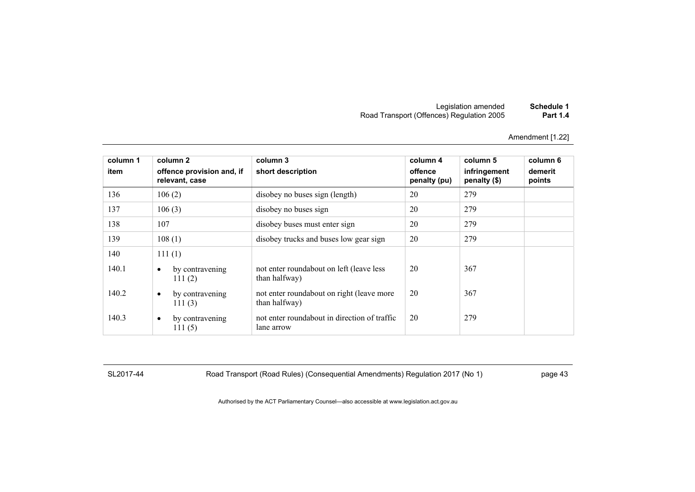| Schedule 1      | Legislation amended                       |
|-----------------|-------------------------------------------|
| <b>Part 1.4</b> | Road Transport (Offences) Regulation 2005 |

| column 1<br>item | column 2<br>offence provision and, if<br>relevant, case | column 3<br>short description                              | column 4<br>offence<br>penalty (pu) | column 5<br>infringement<br>penalty (\$) | column 6<br>demerit<br>points |
|------------------|---------------------------------------------------------|------------------------------------------------------------|-------------------------------------|------------------------------------------|-------------------------------|
| 136              | 106(2)                                                  | disobey no buses sign (length)                             | 20                                  | 279                                      |                               |
| 137              | 106(3)                                                  | disobey no buses sign                                      | 20                                  | 279                                      |                               |
| 138              | 107                                                     | disobey buses must enter sign                              | 20                                  | 279                                      |                               |
| 139              | 108(1)                                                  | disobey trucks and buses low gear sign                     | 20                                  | 279                                      |                               |
| 140              | 111(1)                                                  |                                                            |                                     |                                          |                               |
| 140.1            | by contravening<br>$\bullet$<br>111(2)                  | not enter roundabout on left (leave less<br>than halfway)  | 20                                  | 367                                      |                               |
| 140.2            | by contravening<br>$\bullet$<br>111(3)                  | not enter roundabout on right (leave more<br>than halfway) | 20                                  | 367                                      |                               |
| 140.3            | by contravening<br>$\bullet$<br>111(5)                  | not enter roundabout in direction of traffic<br>lane arrow | 20                                  | 279                                      |                               |

SL2017-44 Road Transport (Road Rules) (Consequential Amendments) Regulation 2017 (No 1) page 43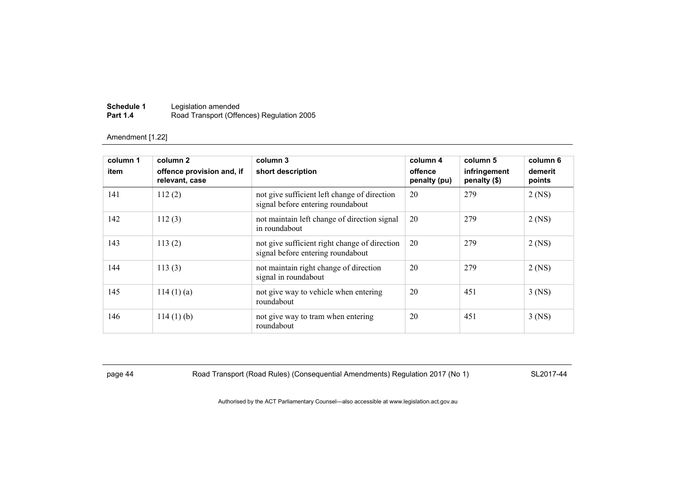| Schedule 1      | Legislation amended                       |
|-----------------|-------------------------------------------|
| <b>Part 1.4</b> | Road Transport (Offences) Regulation 2005 |

| column 1<br>item | column 2<br>offence provision and, if<br>relevant, case | column 3<br>short description                                                      | column 4<br>offence<br>penalty (pu) | column 5<br>infringement<br>penalty (\$) | column 6<br>demerit<br>points |
|------------------|---------------------------------------------------------|------------------------------------------------------------------------------------|-------------------------------------|------------------------------------------|-------------------------------|
| 141              | 112(2)                                                  | not give sufficient left change of direction<br>signal before entering roundabout  | 20                                  | 279                                      | $2$ (NS)                      |
| 142              | 112(3)                                                  | not maintain left change of direction signal<br>in roundabout                      | 20                                  | 279                                      | $2$ (NS)                      |
| 143              | 113(2)                                                  | not give sufficient right change of direction<br>signal before entering roundabout | 20                                  | 279                                      | $2$ (NS)                      |
| 144              | 113(3)                                                  | not maintain right change of direction<br>signal in roundabout                     | 20                                  | 279                                      | $2$ (NS)                      |
| 145              | $114(1)$ (a)                                            | not give way to vehicle when entering<br>roundabout                                | 20                                  | 451                                      | $3$ (NS)                      |
| 146              | $114(1)$ (b)                                            | not give way to tram when entering<br>roundabout                                   | 20                                  | 451                                      | $3$ (NS)                      |

page 44 Road Transport (Road Rules) (Consequential Amendments) Regulation 2017 (No 1) SL2017-44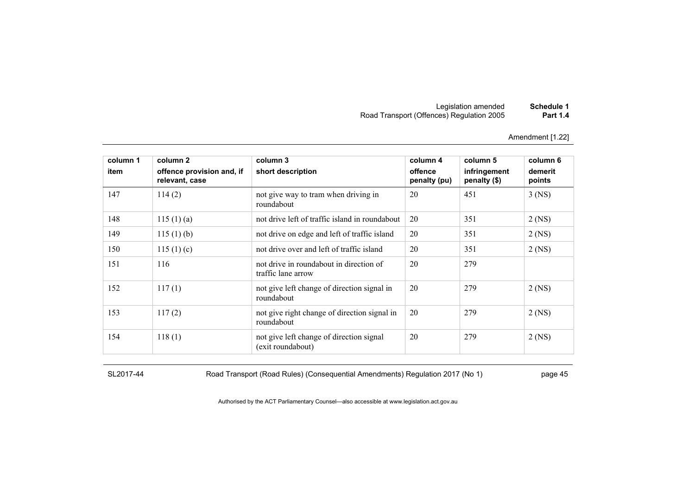| Schedule 1      | Legislation amended                       |
|-----------------|-------------------------------------------|
| <b>Part 1.4</b> | Road Transport (Offences) Regulation 2005 |

| column 1 | column 2                                    | column 3                                                      | column 4                | column 5                     | column 6          |
|----------|---------------------------------------------|---------------------------------------------------------------|-------------------------|------------------------------|-------------------|
| item     | offence provision and, if<br>relevant, case | short description                                             | offence<br>penalty (pu) | infringement<br>penalty (\$) | demerit<br>points |
| 147      | 114(2)                                      | not give way to tram when driving in<br>roundabout            | 20                      | 451                          | $3$ (NS)          |
| 148      | 115(1)(a)                                   | not drive left of traffic island in roundabout                | 20                      | 351                          | $2$ (NS)          |
| 149      | 115(1)(b)                                   | not drive on edge and left of traffic island                  | 20                      | 351                          | $2$ (NS)          |
| 150      | 115(1)(c)                                   | not drive over and left of traffic island                     | 20                      | 351                          | $2$ (NS)          |
| 151      | 116                                         | not drive in roundabout in direction of<br>traffic lane arrow | 20                      | 279                          |                   |
| 152      | 117(1)                                      | not give left change of direction signal in<br>roundabout     | 20                      | 279                          | $2$ (NS)          |
| 153      | 117(2)                                      | not give right change of direction signal in<br>roundabout    | 20                      | 279                          | $2$ (NS)          |
| 154      | 118(1)                                      | not give left change of direction signal<br>(exit roundabout) | 20                      | 279                          | $2$ (NS)          |

SL2017-44 Road Transport (Road Rules) (Consequential Amendments) Regulation 2017 (No 1) page 45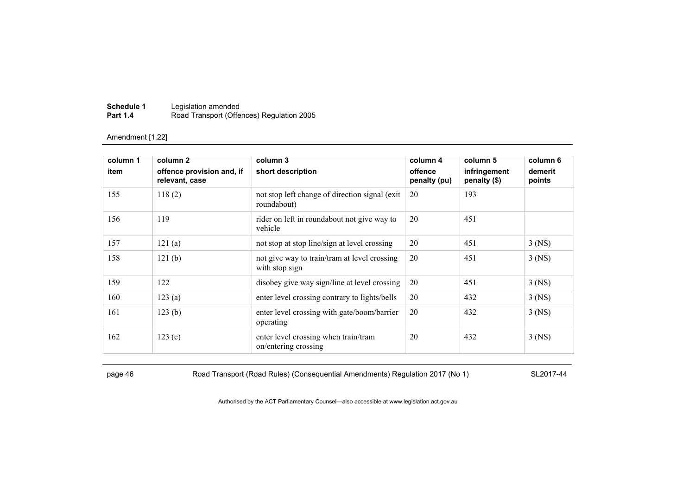| Schedule 1      | Legislation amended                       |
|-----------------|-------------------------------------------|
| <b>Part 1.4</b> | Road Transport (Offences) Regulation 2005 |

| column 1 | column 2                                    | column 3                                                       | column 4                | column 5                     | column 6          |
|----------|---------------------------------------------|----------------------------------------------------------------|-------------------------|------------------------------|-------------------|
| item     | offence provision and, if<br>relevant, case | short description                                              | offence<br>penalty (pu) | infringement<br>penalty (\$) | demerit<br>points |
| 155      | 118(2)                                      | not stop left change of direction signal (exit)<br>roundabout) | 20                      | 193                          |                   |
| 156      | 119                                         | rider on left in roundabout not give way to<br>vehicle         | 20                      | 451                          |                   |
| 157      | 121(a)                                      | not stop at stop line/sign at level crossing                   | 20                      | 451                          | $3$ (NS)          |
| 158      | 121(b)                                      | not give way to train/tram at level crossing<br>with stop sign | 20                      | 451                          | $3$ (NS)          |
| 159      | 122                                         | disobey give way sign/line at level crossing                   | 20                      | 451                          | $3$ (NS)          |
| 160      | 123(a)                                      | enter level crossing contrary to lights/bells                  | 20                      | 432                          | $3$ (NS)          |
| 161      | 123(b)                                      | enter level crossing with gate/boom/barrier<br>operating       | 20                      | 432                          | $3$ (NS)          |
| 162      | 123(c)                                      | enter level crossing when train/tram<br>on/entering crossing   | 20                      | 432                          | $3$ (NS)          |

page 46 Road Transport (Road Rules) (Consequential Amendments) Regulation 2017 (No 1) SL2017-44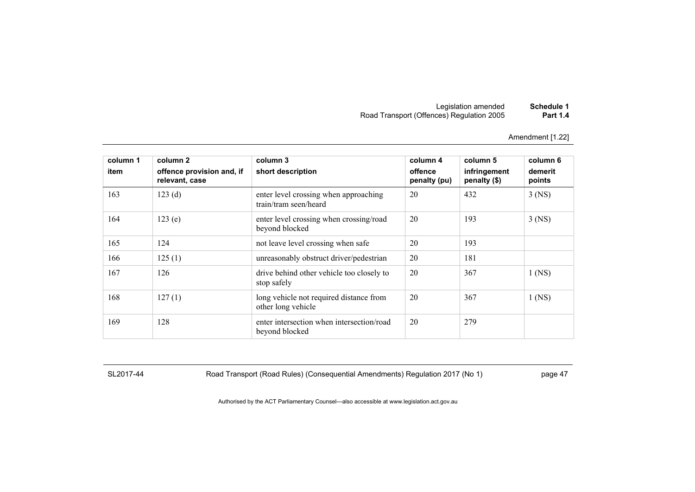# Legislation amended **Schedule 1** Road Transport (Offences) Regulation 2005 **Part 1.4**

Amendment [1.22]

| column 1<br>item | column 2<br>offence provision and, if<br>relevant, case | column 3<br>short description                                  | column 4<br>offence<br>penalty (pu) | column 5<br>infringement<br>penalty (\$) | column 6<br>demerit<br>points |
|------------------|---------------------------------------------------------|----------------------------------------------------------------|-------------------------------------|------------------------------------------|-------------------------------|
| 163              | 123(d)                                                  | enter level crossing when approaching<br>train/tram seen/heard | 20                                  | 432                                      | $3$ (NS)                      |
| 164              | 123(e)                                                  | enter level crossing when crossing/road<br>beyond blocked      | 20                                  | 193                                      | $3$ (NS)                      |
| 165              | 124                                                     | not leave level crossing when safe                             | 20                                  | 193                                      |                               |
| 166              | 125(1)                                                  | unreasonably obstruct driver/pedestrian                        | 20                                  | 181                                      |                               |
| 167              | 126                                                     | drive behind other vehicle too closely to<br>stop safely       | 20                                  | 367                                      | $1$ (NS)                      |
| 168              | 127(1)                                                  | long vehicle not required distance from<br>other long vehicle  | 20                                  | 367                                      | $1$ (NS)                      |
| 169              | 128                                                     | enter intersection when intersection/road<br>beyond blocked    | 20                                  | 279                                      |                               |

SL2017-44 Road Transport (Road Rules) (Consequential Amendments) Regulation 2017 (No 1) page 47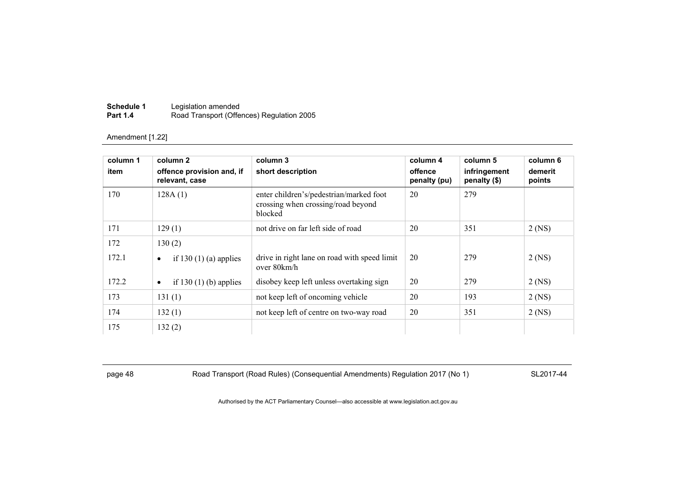| Schedule 1      | Legislation amended                       |
|-----------------|-------------------------------------------|
| <b>Part 1.4</b> | Road Transport (Offences) Regulation 2005 |

| column 1 | column 2                                    | column 3                                                                                 | column 4                | column 5                     | column 6          |
|----------|---------------------------------------------|------------------------------------------------------------------------------------------|-------------------------|------------------------------|-------------------|
| item     | offence provision and, if<br>relevant, case | short description                                                                        | offence<br>penalty (pu) | infringement<br>penalty (\$) | demerit<br>points |
| 170      | 128A(1)                                     | enter children's/pedestrian/marked foot<br>crossing when crossing/road beyond<br>blocked | 20                      | 279                          |                   |
| 171      | 129(1)                                      | not drive on far left side of road                                                       | 20                      | 351                          | $2$ (NS)          |
| 172      | 130(2)                                      |                                                                                          |                         |                              |                   |
| 172.1    | if 130 $(1)$ (a) applies<br>$\bullet$       | drive in right lane on road with speed limit<br>over 80km/h                              | 20                      | 279                          | $2$ (NS)          |
| 172.2    | if 130 $(1)$ (b) applies<br>$\bullet$       | disobey keep left unless overtaking sign                                                 | 20                      | 279                          | $2$ (NS)          |
| 173      | 131(1)                                      | not keep left of oncoming vehicle                                                        | 20                      | 193                          | $2$ (NS)          |
| 174      | 132(1)                                      | not keep left of centre on two-way road                                                  | 20                      | 351                          | $2$ (NS)          |
| 175      | 132(2)                                      |                                                                                          |                         |                              |                   |

page 48 Road Transport (Road Rules) (Consequential Amendments) Regulation 2017 (No 1) SL2017-44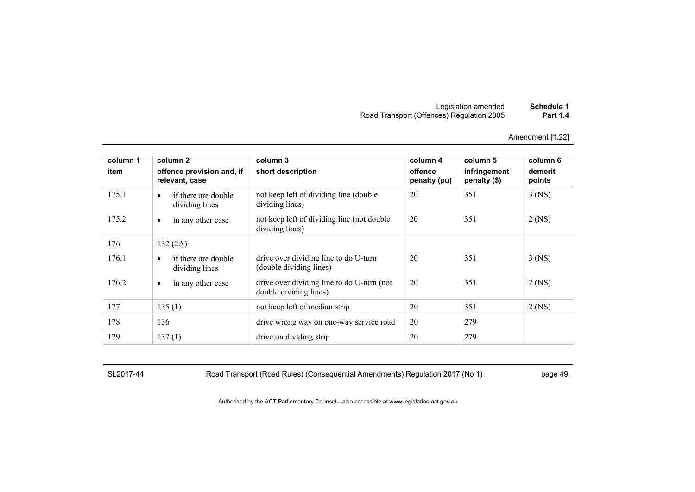| Schedule 1      | Legislation amended                       |
|-----------------|-------------------------------------------|
| <b>Part 1.4</b> | Road Transport (Offences) Regulation 2005 |

| column 1 | column 2                                           | column 3                                                             | column 4                | column 5                     | column 6          |
|----------|----------------------------------------------------|----------------------------------------------------------------------|-------------------------|------------------------------|-------------------|
| item     | offence provision and, if<br>relevant, case        | short description                                                    | offence<br>penalty (pu) | infringement<br>penalty (\$) | demerit<br>points |
| 175.1    | if there are double<br>$\bullet$<br>dividing lines | not keep left of dividing line (double)<br>dividing lines)           | 20                      | 351                          | $3$ (NS)          |
| 175.2    | in any other case<br>$\bullet$                     | not keep left of dividing line (not double)<br>dividing lines)       | 20                      | 351                          | $2$ (NS)          |
| 176      | 132(2A)                                            |                                                                      |                         |                              |                   |
| 176.1    | if there are double<br>$\bullet$<br>dividing lines | drive over dividing line to do U-turn<br>(double dividing lines)     | 20                      | 351                          | $3$ (NS)          |
| 176.2    | in any other case<br>$\bullet$                     | drive over dividing line to do U-turn (not<br>double dividing lines) | 20                      | 351                          | $2$ (NS)          |
| 177      | 135(1)                                             | not keep left of median strip                                        | 20                      | 351                          | $2$ (NS)          |
| 178      | 136                                                | drive wrong way on one-way service road                              | 20                      | 279                          |                   |
| 179      | 137(1)                                             | drive on dividing strip                                              | 20                      | 279                          |                   |

SL2017-44 Road Transport (Road Rules) (Consequential Amendments) Regulation 2017 (No 1) page 49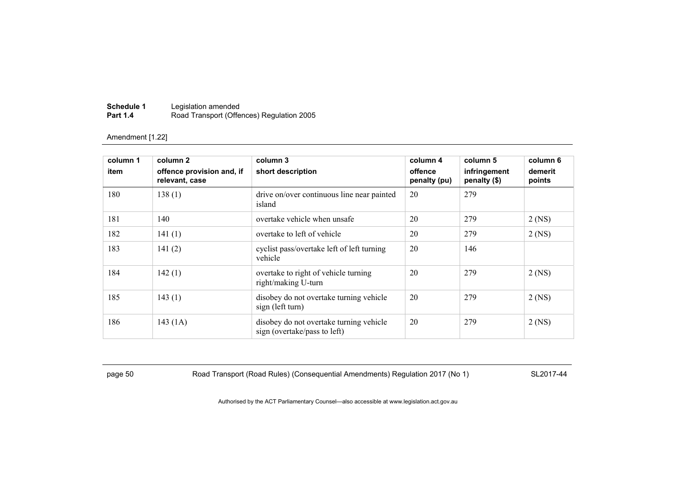| Schedule 1      | Legislation amended                       |
|-----------------|-------------------------------------------|
| <b>Part 1.4</b> | Road Transport (Offences) Regulation 2005 |

| column 1<br>item | column 2<br>offence provision and, if<br>relevant, case | column 3<br>short description                                           | column 4<br>offence<br>penalty (pu) | column 5<br>infringement<br>penalty (\$) | column 6<br>demerit<br>points |
|------------------|---------------------------------------------------------|-------------------------------------------------------------------------|-------------------------------------|------------------------------------------|-------------------------------|
| 180              | 138(1)                                                  | drive on/over continuous line near painted<br>island                    | 20                                  | 279                                      |                               |
| 181              | 140                                                     | overtake vehicle when unsafe                                            | 20                                  | 279                                      | $2$ (NS)                      |
| 182              | 141(1)                                                  | overtake to left of vehicle                                             | 20                                  | 279                                      | $2$ (NS)                      |
| 183              | 141(2)                                                  | cyclist pass/overtake left of left turning<br>vehicle                   | 20                                  | 146                                      |                               |
| 184              | 142(1)                                                  | overtake to right of vehicle turning<br>right/making U-turn             | 20                                  | 279                                      | $2$ (NS)                      |
| 185              | 143(1)                                                  | disobey do not overtake turning vehicle<br>sign (left turn)             | 20                                  | 279                                      | $2$ (NS)                      |
| 186              | 143 (1A)                                                | disobey do not overtake turning vehicle<br>sign (overtake/pass to left) | 20                                  | 279                                      | $2$ (NS)                      |

page 50 Road Transport (Road Rules) (Consequential Amendments) Regulation 2017 (No 1) SL2017-44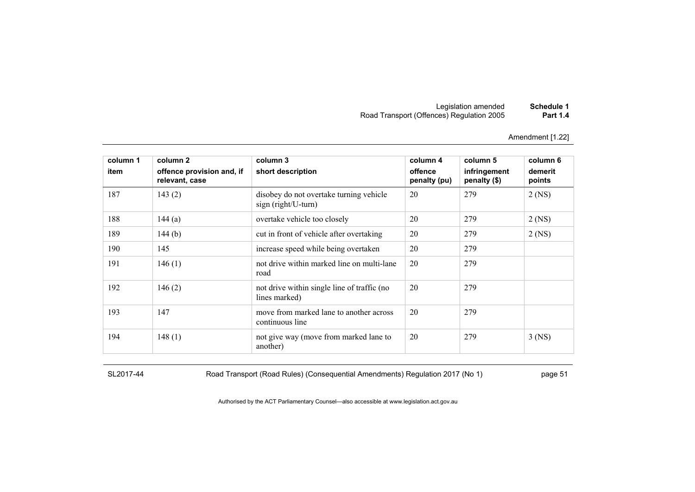| Schedule 1      | Legislation amended                       |
|-----------------|-------------------------------------------|
| <b>Part 1.4</b> | Road Transport (Offences) Regulation 2005 |

| column 1 | column 2                                    | column 3                                                        | column 4                | column 5                     | column 6          |
|----------|---------------------------------------------|-----------------------------------------------------------------|-------------------------|------------------------------|-------------------|
| item     | offence provision and, if<br>relevant, case | short description                                               | offence<br>penalty (pu) | infringement<br>penalty (\$) | demerit<br>points |
| 187      | 143(2)                                      | disobey do not overtake turning vehicle<br>$sign(right/U-turn)$ | 20                      | 279                          | $2$ (NS)          |
| 188      | 144(a)                                      | overtake vehicle too closely                                    | 20                      | 279                          | $2$ (NS)          |
| 189      | 144 $(b)$                                   | cut in front of vehicle after overtaking                        | 20                      | 279                          | $2$ (NS)          |
| 190      | 145                                         | increase speed while being overtaken                            | 20                      | 279                          |                   |
| 191      | 146(1)                                      | not drive within marked line on multi-lane<br>road              | 20                      | 279                          |                   |
| 192      | 146(2)                                      | not drive within single line of traffic (no<br>lines marked)    | 20                      | 279                          |                   |
| 193      | 147                                         | move from marked lane to another across<br>continuous line      | 20                      | 279                          |                   |
| 194      | 148(1)                                      | not give way (move from marked lane to<br>another)              | 20                      | 279                          | $3$ (NS)          |

SL2017-44 Road Transport (Road Rules) (Consequential Amendments) Regulation 2017 (No 1) page 51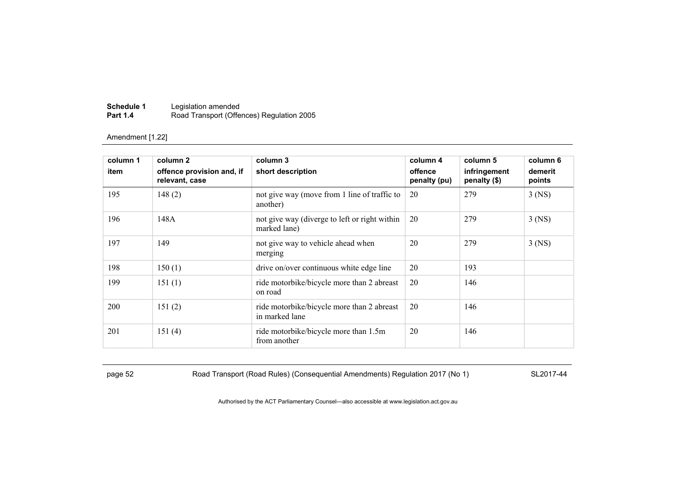| Schedule 1      | Legislation amended                       |
|-----------------|-------------------------------------------|
| <b>Part 1.4</b> | Road Transport (Offences) Regulation 2005 |

| column 1 | column 2                                    | column 3                                                      | column 4                | column 5                     | column 6          |
|----------|---------------------------------------------|---------------------------------------------------------------|-------------------------|------------------------------|-------------------|
| item     | offence provision and, if<br>relevant, case | short description                                             | offence<br>penalty (pu) | infringement<br>penalty (\$) | demerit<br>points |
| 195      | 148(2)                                      | not give way (move from 1 line of traffic to<br>another)      | 20                      | 279                          | $3$ (NS)          |
| 196      | 148A                                        | not give way (diverge to left or right within<br>marked lane) | 20                      | 279                          | $3$ (NS)          |
| 197      | 149                                         | not give way to vehicle ahead when<br>merging                 | 20                      | 279                          | $3$ (NS)          |
| 198      | 150(1)                                      | drive on/over continuous white edge line                      | 20                      | 193                          |                   |
| 199      | 151(1)                                      | ride motorbike/bicycle more than 2 abreast<br>on road         | 20                      | 146                          |                   |
| 200      | 151(2)                                      | ride motorbike/bicycle more than 2 abreast<br>in marked lane  | 20                      | 146                          |                   |
| 201      | 151(4)                                      | ride motorbike/bicycle more than 1.5m<br>from another         | 20                      | 146                          |                   |

page 52 Road Transport (Road Rules) (Consequential Amendments) Regulation 2017 (No 1) SL2017-44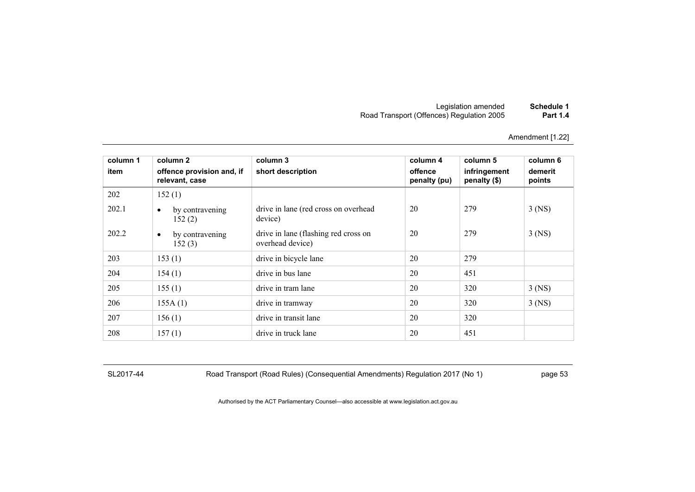| Schedule 1      | Legislation amended                       |
|-----------------|-------------------------------------------|
| <b>Part 1.4</b> | Road Transport (Offences) Regulation 2005 |

| column 1<br>item | column 2<br>offence provision and, if<br>relevant, case | column 3<br>short description                            | column 4<br>offence<br>penalty (pu) | column 5<br>infringement<br>penalty (\$) | column 6<br>demerit<br>points |
|------------------|---------------------------------------------------------|----------------------------------------------------------|-------------------------------------|------------------------------------------|-------------------------------|
| 202              | 152(1)                                                  |                                                          |                                     |                                          |                               |
| 202.1            | by contravening<br>٠<br>152(2)                          | drive in lane (red cross on overhead<br>device)          | 20                                  | 279                                      | $3$ (NS)                      |
| 202.2            | by contravening<br>$\bullet$<br>152(3)                  | drive in lane (flashing red cross on<br>overhead device) | 20                                  | 279                                      | $3$ (NS)                      |
| 203              | 153(1)                                                  | drive in bicycle lane                                    | 20                                  | 279                                      |                               |
| 204              | 154(1)                                                  | drive in bus lane                                        | 20                                  | 451                                      |                               |
| 205              | 155(1)                                                  | drive in tram lane                                       | 20                                  | 320                                      | $3$ (NS)                      |
| 206              | 155A(1)                                                 | drive in tramway                                         | 20                                  | 320                                      | $3$ (NS)                      |
| 207              | 156(1)                                                  | drive in transit lane                                    | 20                                  | 320                                      |                               |
| 208              | 157(1)                                                  | drive in truck lane                                      | 20                                  | 451                                      |                               |

SL2017-44 Road Transport (Road Rules) (Consequential Amendments) Regulation 2017 (No 1) page 53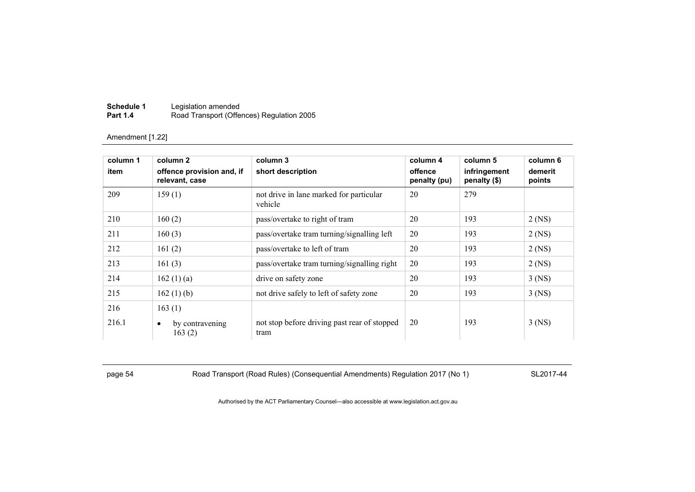| Schedule 1      | Legislation amended                       |
|-----------------|-------------------------------------------|
| <b>Part 1.4</b> | Road Transport (Offences) Regulation 2005 |

| column 1 | column 2                                    | column 3                                             | column 4                | column 5                       | column 6          |
|----------|---------------------------------------------|------------------------------------------------------|-------------------------|--------------------------------|-------------------|
| item     | offence provision and, if<br>relevant, case | short description                                    | offence<br>penalty (pu) | infringement<br>penalty $(\$)$ | demerit<br>points |
| 209      | 159(1)                                      | not drive in lane marked for particular<br>vehicle   | 20                      | 279                            |                   |
| 210      | 160(2)                                      | pass/overtake to right of tram                       | 20                      | 193                            | $2$ (NS)          |
| 211      | 160(3)                                      | pass/overtake tram turning/signalling left           | 20                      | 193                            | $2$ (NS)          |
| 212      | 161(2)                                      | pass/overtake to left of tram                        | 20                      | 193                            | $2$ (NS)          |
| 213      | 161(3)                                      | pass/overtake tram turning/signalling right          | 20                      | 193                            | $2$ (NS)          |
| 214      | 162(1)(a)                                   | drive on safety zone                                 | 20                      | 193                            | $3$ (NS)          |
| 215      | 162(1)(b)                                   | not drive safely to left of safety zone              | 20                      | 193                            | $3$ (NS)          |
| 216      | 163(1)                                      |                                                      |                         |                                |                   |
| 216.1    | by contravening<br>٠<br>163(2)              | not stop before driving past rear of stopped<br>tram | 20                      | 193                            | $3$ (NS)          |

page 54 Road Transport (Road Rules) (Consequential Amendments) Regulation 2017 (No 1) SL2017-44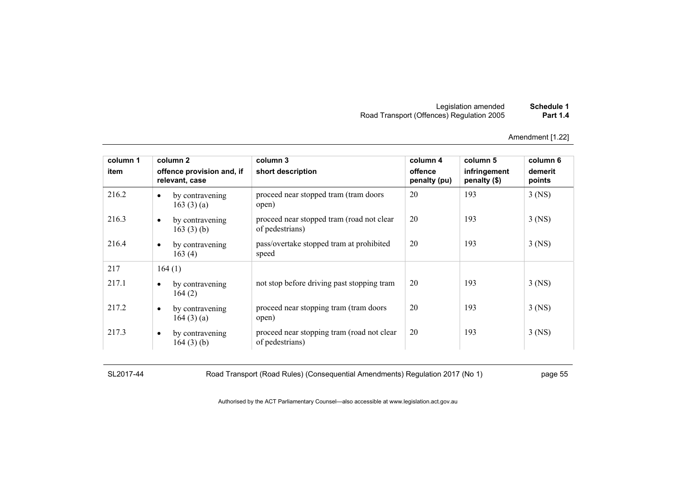| Schedule 1      | Legislation amended                       |
|-----------------|-------------------------------------------|
| <b>Part 1.4</b> | Road Transport (Offences) Regulation 2005 |

| column 1 |           | column <sub>2</sub>                         | column 3                                                      | column 4                | column 5                     | column 6          |
|----------|-----------|---------------------------------------------|---------------------------------------------------------------|-------------------------|------------------------------|-------------------|
| item     |           | offence provision and, if<br>relevant, case | short description                                             | offence<br>penalty (pu) | infringement<br>penalty (\$) | demerit<br>points |
| 216.2    | $\bullet$ | by contravening<br>163(3)(a)                | proceed near stopped tram (tram doors<br>open)                | 20                      | 193                          | $3$ (NS)          |
| 216.3    | $\bullet$ | by contravening<br>163 $(3)$ $(b)$          | proceed near stopped tram (road not clear<br>of pedestrians)  | 20                      | 193                          | $3$ (NS)          |
| 216.4    | $\bullet$ | by contravening<br>163(4)                   | pass/overtake stopped tram at prohibited<br>speed             | 20                      | 193                          | $3$ (NS)          |
| 217      |           | 164(1)                                      |                                                               |                         |                              |                   |
| 217.1    | $\bullet$ | by contravening<br>164(2)                   | not stop before driving past stopping tram                    | 20                      | 193                          | $3$ (NS)          |
| 217.2    | $\bullet$ | by contravening<br>164 $(3)$ $(a)$          | proceed near stopping tram (tram doors)<br>open)              | 20                      | 193                          | $3$ (NS)          |
| 217.3    | $\bullet$ | by contravening<br>164(3)(b)                | proceed near stopping tram (road not clear<br>of pedestrians) | 20                      | 193                          | $3$ (NS)          |

SL2017-44 Road Transport (Road Rules) (Consequential Amendments) Regulation 2017 (No 1) page 55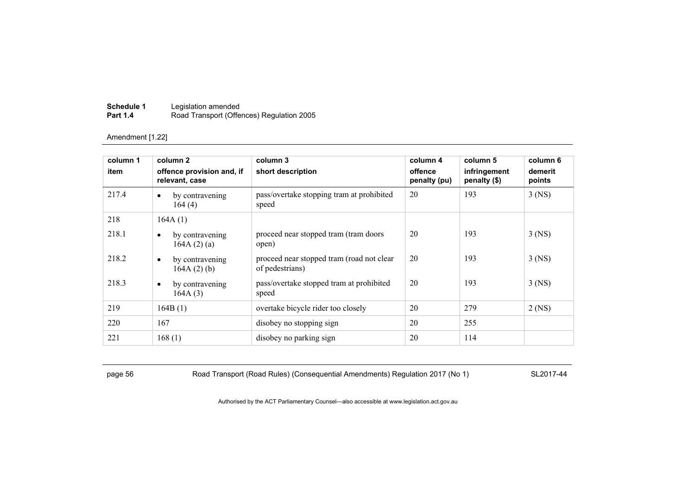| Schedule 1      | Legislation amended                       |
|-----------------|-------------------------------------------|
| <b>Part 1.4</b> | Road Transport (Offences) Regulation 2005 |

| column 1<br>item | column 2<br>offence provision and, if<br>relevant, case | column 3<br>short description                                | column 4<br>offence<br>penalty (pu) | column 5<br>infringement<br>penalty (\$) | column 6<br>demerit<br>points |
|------------------|---------------------------------------------------------|--------------------------------------------------------------|-------------------------------------|------------------------------------------|-------------------------------|
| 217.4            | by contravening<br>$\bullet$<br>164(4)                  | pass/overtake stopping tram at prohibited<br>speed           | 20                                  | 193                                      | $3$ (NS)                      |
| 218              | 164A(1)                                                 |                                                              |                                     |                                          |                               |
| 218.1            | by contravening<br>٠<br>164A(2)(a)                      | proceed near stopped tram (tram doors<br>open)               | 20                                  | 193                                      | $3$ (NS)                      |
| 218.2            | by contravening<br>$\bullet$<br>$164A(2)$ (b)           | proceed near stopped tram (road not clear<br>of pedestrians) | 20                                  | 193                                      | $3$ (NS)                      |
| 218.3            | by contravening<br>$\bullet$<br>164A(3)                 | pass/overtake stopped tram at prohibited<br>speed            | 20                                  | 193                                      | $3$ (NS)                      |
| 219              | 164B(1)                                                 | overtake bicycle rider too closely                           | 20                                  | 279                                      | $2$ (NS)                      |
| 220              | 167                                                     | disobey no stopping sign                                     | 20                                  | 255                                      |                               |
| 221              | 168(1)                                                  | disobey no parking sign                                      | 20                                  | 114                                      |                               |

page 56 Road Transport (Road Rules) (Consequential Amendments) Regulation 2017 (No 1) SL2017-44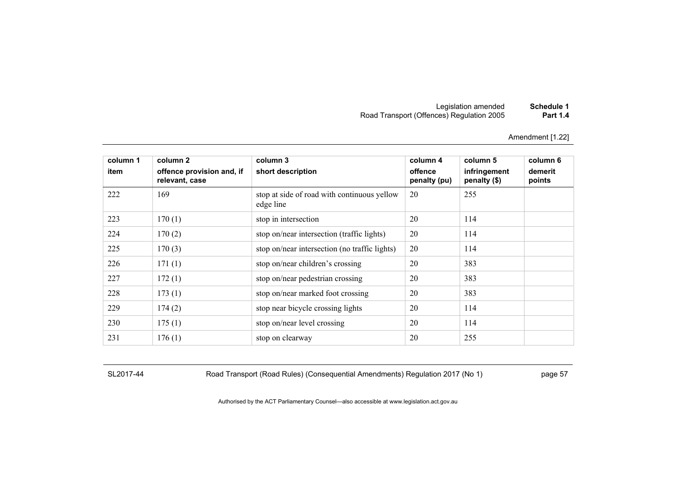# Legislation amended **Schedule 1** Road Transport (Offences) Regulation 2005 **Part 1.4**

Amendment [1.22]

| column 1<br>item | column 2<br>offence provision and, if<br>relevant, case | column 3<br>short description                            | column 4<br>offence<br>penalty (pu) | column 5<br>infringement<br>penalty (\$) | column 6<br>demerit<br>points |
|------------------|---------------------------------------------------------|----------------------------------------------------------|-------------------------------------|------------------------------------------|-------------------------------|
| 222              | 169                                                     | stop at side of road with continuous yellow<br>edge line | 20                                  | 255                                      |                               |
| 223              | 170(1)                                                  | stop in intersection                                     | 20                                  | 114                                      |                               |
| 224              | 170(2)                                                  | stop on/near intersection (traffic lights)               | 20                                  | 114                                      |                               |
| 225              | 170(3)                                                  | stop on/near intersection (no traffic lights)            | 20                                  | 114                                      |                               |
| 226              | 171(1)                                                  | stop on/near children's crossing                         | 20                                  | 383                                      |                               |
| 227              | 172(1)                                                  | stop on/near pedestrian crossing                         | 20                                  | 383                                      |                               |
| 228              | 173(1)                                                  | stop on/near marked foot crossing                        | 20                                  | 383                                      |                               |
| 229              | 174(2)                                                  | stop near bicycle crossing lights                        | 20                                  | 114                                      |                               |
| 230              | 175(1)                                                  | stop on/near level crossing                              | 20                                  | 114                                      |                               |
| 231              | 176(1)                                                  | stop on clearway                                         | 20                                  | 255                                      |                               |

SL2017-44 Road Transport (Road Rules) (Consequential Amendments) Regulation 2017 (No 1) page 57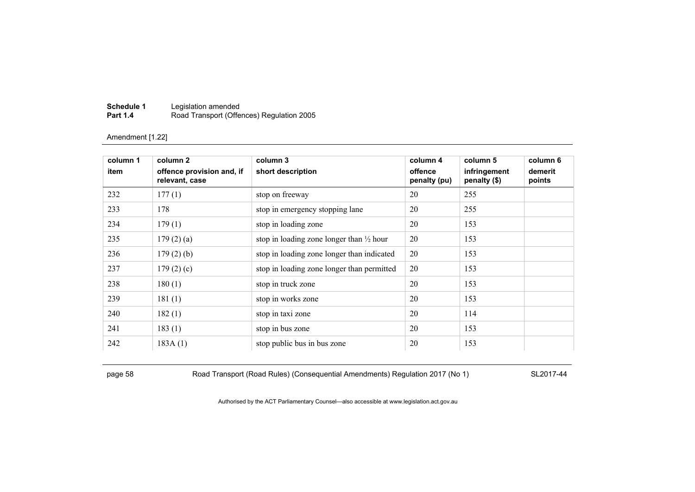| Schedule 1      | Legislation amended                       |
|-----------------|-------------------------------------------|
| <b>Part 1.4</b> | Road Transport (Offences) Regulation 2005 |

| column 1<br>item | column 2<br>offence provision and, if<br>relevant, case | column 3<br>short description                       | column 4<br>offence<br>penalty (pu) | column 5<br>infringement<br>penalty (\$) | column 6<br>demerit<br>points |
|------------------|---------------------------------------------------------|-----------------------------------------------------|-------------------------------------|------------------------------------------|-------------------------------|
| 232              | 177(1)                                                  | stop on freeway                                     | 20                                  | 255                                      |                               |
| 233              | 178                                                     | stop in emergency stopping lane                     | 20                                  | 255                                      |                               |
| 234              | 179(1)                                                  | stop in loading zone                                | 20                                  | 153                                      |                               |
| 235              | 179(2)(a)                                               | stop in loading zone longer than $\frac{1}{2}$ hour | 20                                  | 153                                      |                               |
| 236              | $179(2)$ (b)                                            | stop in loading zone longer than indicated          | 20                                  | 153                                      |                               |
| 237              | 179(2)(c)                                               | stop in loading zone longer than permitted          | 20                                  | 153                                      |                               |
| 238              | 180(1)                                                  | stop in truck zone                                  | 20                                  | 153                                      |                               |
| 239              | 181(1)                                                  | stop in works zone                                  | 20                                  | 153                                      |                               |
| 240              | 182(1)                                                  | stop in taxi zone                                   | 20                                  | 114                                      |                               |
| 241              | 183(1)                                                  | stop in bus zone                                    | 20                                  | 153                                      |                               |
| 242              | 183A(1)                                                 | stop public bus in bus zone                         | 20                                  | 153                                      |                               |

page 58 Road Transport (Road Rules) (Consequential Amendments) Regulation 2017 (No 1) SL2017-44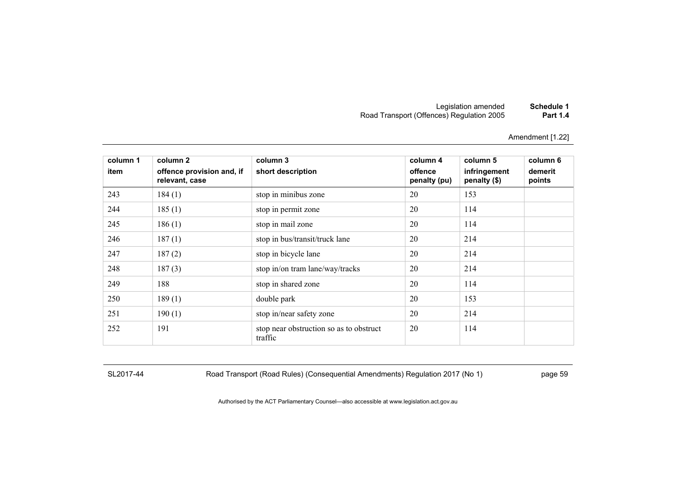| Schedule 1      | Legislation amended                       |
|-----------------|-------------------------------------------|
| <b>Part 1.4</b> | Road Transport (Offences) Regulation 2005 |

| column 1<br>item | column 2<br>offence provision and, if<br>relevant, case | column 3<br>short description                      | column 4<br>offence<br>penalty (pu) | column 5<br>infringement<br>penalty (\$) | column 6<br>demerit<br>points |
|------------------|---------------------------------------------------------|----------------------------------------------------|-------------------------------------|------------------------------------------|-------------------------------|
| 243              | 184(1)                                                  | stop in minibus zone                               | 20                                  | 153                                      |                               |
| 244              | 185(1)                                                  | stop in permit zone                                | 20                                  | 114                                      |                               |
| 245              | 186(1)                                                  | stop in mail zone                                  | 20                                  | 114                                      |                               |
| 246              | 187(1)                                                  | stop in bus/transit/truck lane                     | 20                                  | 214                                      |                               |
| 247              | 187(2)                                                  | stop in bicycle lane                               | 20                                  | 214                                      |                               |
| 248              | 187(3)                                                  | stop in/on tram lane/way/tracks                    | 20                                  | 214                                      |                               |
| 249              | 188                                                     | stop in shared zone                                | 20                                  | 114                                      |                               |
| 250              | 189(1)                                                  | double park                                        | 20                                  | 153                                      |                               |
| 251              | 190(1)                                                  | stop in/near safety zone                           | 20                                  | 214                                      |                               |
| 252              | 191                                                     | stop near obstruction so as to obstruct<br>traffic | 20                                  | 114                                      |                               |

SL2017-44 Road Transport (Road Rules) (Consequential Amendments) Regulation 2017 (No 1) page 59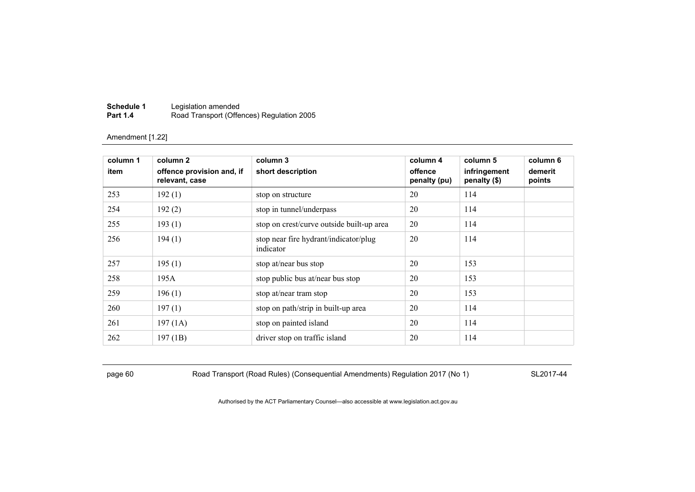| Schedule 1      | Legislation amended                       |
|-----------------|-------------------------------------------|
| <b>Part 1.4</b> | Road Transport (Offences) Regulation 2005 |

| column 1 | column 2                                    | column 3                                           | column 4                | column 5                     | column 6          |
|----------|---------------------------------------------|----------------------------------------------------|-------------------------|------------------------------|-------------------|
| item     | offence provision and, if<br>relevant, case | short description                                  | offence<br>penalty (pu) | infringement<br>penalty (\$) | demerit<br>points |
| 253      | 192(1)                                      | stop on structure                                  | 20                      | 114                          |                   |
| 254      | 192(2)                                      | stop in tunnel/underpass                           | 20                      | 114                          |                   |
| 255      | 193(1)                                      | stop on crest/curve outside built-up area          | 20                      | 114                          |                   |
| 256      | 194(1)                                      | stop near fire hydrant/indicator/plug<br>indicator | 20                      | 114                          |                   |
| 257      | 195(1)                                      | stop at/near bus stop                              | 20                      | 153                          |                   |
| 258      | 195A                                        | stop public bus at/near bus stop                   | 20                      | 153                          |                   |
| 259      | 196(1)                                      | stop at/near tram stop                             | 20                      | 153                          |                   |
| 260      | 197(1)                                      | stop on path/strip in built-up area                | 20                      | 114                          |                   |
| 261      | 197(1A)                                     | stop on painted island                             | 20                      | 114                          |                   |
| 262      | 197(1B)                                     | driver stop on traffic island                      | 20                      | 114                          |                   |

page 60 Road Transport (Road Rules) (Consequential Amendments) Regulation 2017 (No 1) SL2017-44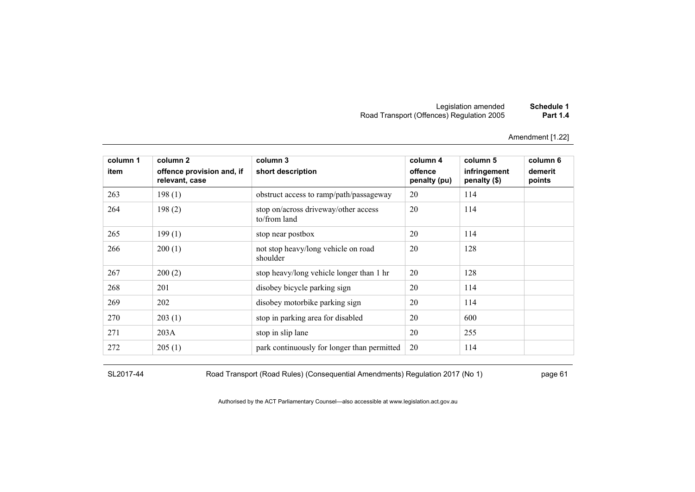# Legislation amended **Schedule 1** Road Transport (Offences) Regulation 2005 **Part 1.4**

Amendment [1.22]

| column 1 | column 2                                    | column 3                                             | column 4                | column 5                     | column 6          |
|----------|---------------------------------------------|------------------------------------------------------|-------------------------|------------------------------|-------------------|
| item     | offence provision and, if<br>relevant, case | short description                                    | offence<br>penalty (pu) | infringement<br>penalty (\$) | demerit<br>points |
| 263      | 198(1)                                      | obstruct access to ramp/path/passageway              | 20                      | 114                          |                   |
| 264      | 198(2)                                      | stop on/across driveway/other access<br>to/from land | 20                      | 114                          |                   |
| 265      | 199(1)                                      | stop near postbox                                    | 20                      | 114                          |                   |
| 266      | 200(1)                                      | not stop heavy/long vehicle on road<br>shoulder      | 20                      | 128                          |                   |
| 267      | 200(2)                                      | stop heavy/long vehicle longer than 1 hr             | 20                      | 128                          |                   |
| 268      | 201                                         | disobey bicycle parking sign                         | 20                      | 114                          |                   |
| 269      | 202                                         | disobey motorbike parking sign                       | 20                      | 114                          |                   |
| 270      | 203(1)                                      | stop in parking area for disabled                    | 20                      | 600                          |                   |
| 271      | 203A                                        | stop in slip lane                                    | 20                      | 255                          |                   |
| 272      | 205(1)                                      | park continuously for longer than permitted          | 20                      | 114                          |                   |

SL2017-44 Road Transport (Road Rules) (Consequential Amendments) Regulation 2017 (No 1) page 61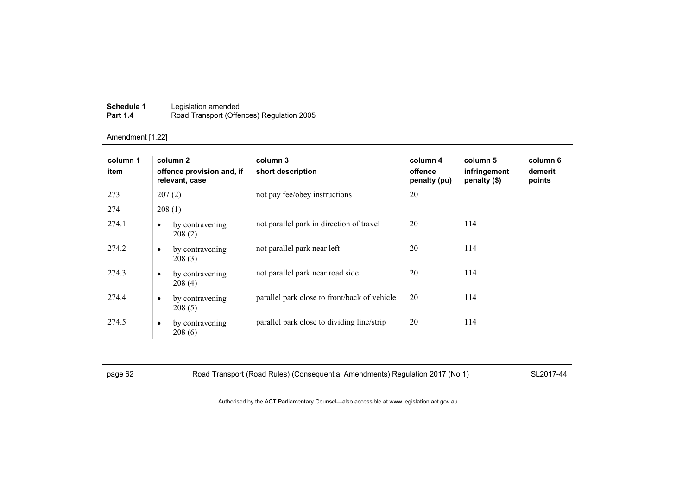| Schedule 1      | Legislation amended                       |
|-----------------|-------------------------------------------|
| <b>Part 1.4</b> | Road Transport (Offences) Regulation 2005 |

| column 1<br>item |           | column 2<br>offence provision and, if<br>relevant, case | column 3<br>short description                | column 4<br>offence<br>penalty (pu) | column 5<br>infringement<br>penalty (\$) | column 6<br>demerit<br>points |
|------------------|-----------|---------------------------------------------------------|----------------------------------------------|-------------------------------------|------------------------------------------|-------------------------------|
| 273              |           | 207(2)                                                  | not pay fee/obey instructions                | 20                                  |                                          |                               |
| 274              |           | 208(1)                                                  |                                              |                                     |                                          |                               |
| 274.1            | $\bullet$ | by contravening<br>208(2)                               | not parallel park in direction of travel     | 20                                  | 114                                      |                               |
| 274.2            | $\bullet$ | by contravening<br>208(3)                               | not parallel park near left                  | 20                                  | 114                                      |                               |
| 274.3            | $\bullet$ | by contravening<br>208(4)                               | not parallel park near road side             | 20                                  | 114                                      |                               |
| 274.4            | $\bullet$ | by contravening<br>208(5)                               | parallel park close to front/back of vehicle | 20                                  | 114                                      |                               |
| 274.5            | $\bullet$ | by contravening<br>208(6)                               | parallel park close to dividing line/strip   | 20                                  | 114                                      |                               |

page 62 Road Transport (Road Rules) (Consequential Amendments) Regulation 2017 (No 1) SL2017-44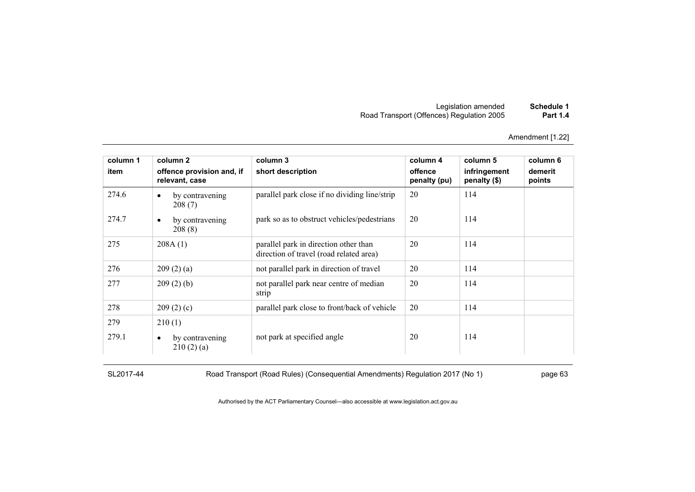| Schedule 1      | Legislation amended                       |
|-----------------|-------------------------------------------|
| <b>Part 1.4</b> | Road Transport (Offences) Regulation 2005 |

| column 1 | column 2                                    | column 3                                                                         | column 4                | column 5                     | column 6          |
|----------|---------------------------------------------|----------------------------------------------------------------------------------|-------------------------|------------------------------|-------------------|
| item     | offence provision and, if<br>relevant, case | short description                                                                | offence<br>penalty (pu) | infringement<br>penalty (\$) | demerit<br>points |
| 274.6    | by contravening<br>$\bullet$<br>208(7)      | parallel park close if no dividing line/strip                                    | 20                      | 114                          |                   |
| 274.7    | by contravening<br>$\bullet$<br>208(8)      | park so as to obstruct vehicles/pedestrians                                      | 20                      | 114                          |                   |
| 275      | 208A(1)                                     | parallel park in direction other than<br>direction of travel (road related area) | 20                      | 114                          |                   |
| 276      | 209(2)(a)                                   | not parallel park in direction of travel                                         | 20                      | 114                          |                   |
| 277      | 209(2)(b)                                   | not parallel park near centre of median<br>strip                                 | 20                      | 114                          |                   |
| 278      | 209(2)(c)                                   | parallel park close to front/back of vehicle                                     | 20                      | 114                          |                   |
| 279      | 210(1)                                      |                                                                                  |                         |                              |                   |
| 279.1    | by contravening<br>$\bullet$<br>210(2)(a)   | not park at specified angle                                                      | 20                      | 114                          |                   |

SL2017-44 Road Transport (Road Rules) (Consequential Amendments) Regulation 2017 (No 1) page 63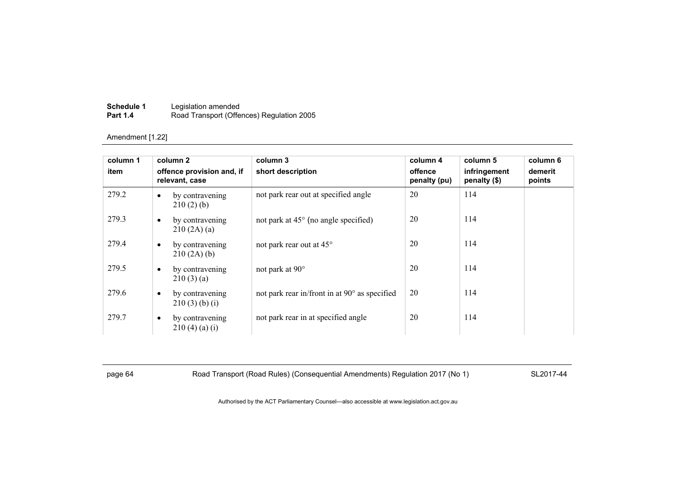| Schedule 1      | Legislation amended                       |
|-----------------|-------------------------------------------|
| <b>Part 1.4</b> | Road Transport (Offences) Regulation 2005 |

| column 1 |           | column 2                                    | column 3                                      | column 4                | column 5                     | column 6          |
|----------|-----------|---------------------------------------------|-----------------------------------------------|-------------------------|------------------------------|-------------------|
| item     |           | offence provision and, if<br>relevant, case | short description                             | offence<br>penalty (pu) | infringement<br>penalty (\$) | demerit<br>points |
| 279.2    | ٠         | by contravening<br>210(2)(b)                | not park rear out at specified angle          | 20                      | 114                          |                   |
| 279.3    | $\bullet$ | by contravening<br>210(2A)(a)               | not park at $45^{\circ}$ (no angle specified) | 20                      | 114                          |                   |
| 279.4    | $\bullet$ | by contravening<br>210(2A)(b)               | not park rear out at 45°                      | 20                      | 114                          |                   |
| 279.5    | $\bullet$ | by contravening<br>210(3)(a)                | not park at 90°                               | 20                      | 114                          |                   |
| 279.6    | $\bullet$ | by contravening<br>$210(3)$ (b) (i)         | not park rear in/front in at 90° as specified | 20                      | 114                          |                   |
| 279.7    | $\bullet$ | by contravening<br>210(4)(a)(i)             | not park rear in at specified angle           | 20                      | 114                          |                   |

page 64 Road Transport (Road Rules) (Consequential Amendments) Regulation 2017 (No 1) SL2017-44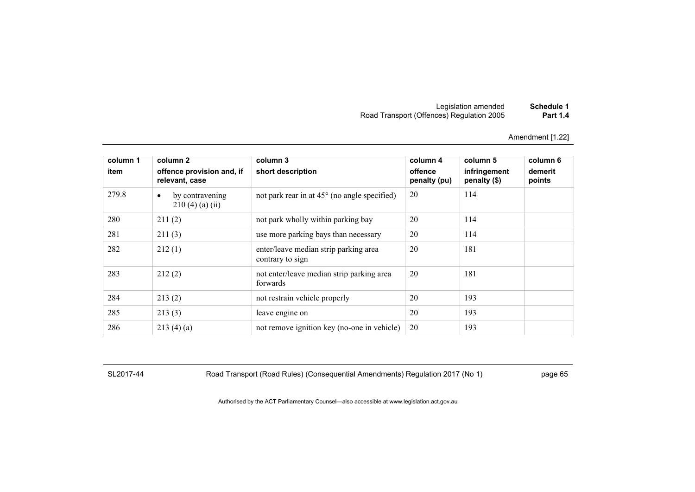# Legislation amended **Schedule 1** Road Transport (Offences) Regulation 2005 **Part 1.4**

Amendment [1.22]

| column 1<br>item | column 2<br>offence provision and, if<br>relevant, case | column 3<br>short description                             | column 4<br>offence<br>penalty (pu) | column 5<br>infringement<br>penalty $(\$)$ | column 6<br>demerit<br>points |
|------------------|---------------------------------------------------------|-----------------------------------------------------------|-------------------------------------|--------------------------------------------|-------------------------------|
| 279.8            | by contravening<br>$\bullet$<br>$210(4)$ (a) (ii)       | not park rear in at $45^{\circ}$ (no angle specified)     | 20                                  | 114                                        |                               |
| 280              | 211(2)                                                  | not park wholly within parking bay                        | 20                                  | 114                                        |                               |
| 281              | 211(3)                                                  | use more parking bays than necessary                      | 20                                  | 114                                        |                               |
| 282              | 212(1)                                                  | enter/leave median strip parking area<br>contrary to sign | 20                                  | 181                                        |                               |
| 283              | 212(2)                                                  | not enter/leave median strip parking area<br>forwards     | 20                                  | 181                                        |                               |
| 284              | 213(2)                                                  | not restrain vehicle properly                             | 20                                  | 193                                        |                               |
| 285              | 213(3)                                                  | leave engine on                                           | 20                                  | 193                                        |                               |
| 286              | 213(4)(a)                                               | not remove ignition key (no-one in vehicle)               | 20                                  | 193                                        |                               |

SL2017-44 Road Transport (Road Rules) (Consequential Amendments) Regulation 2017 (No 1) page 65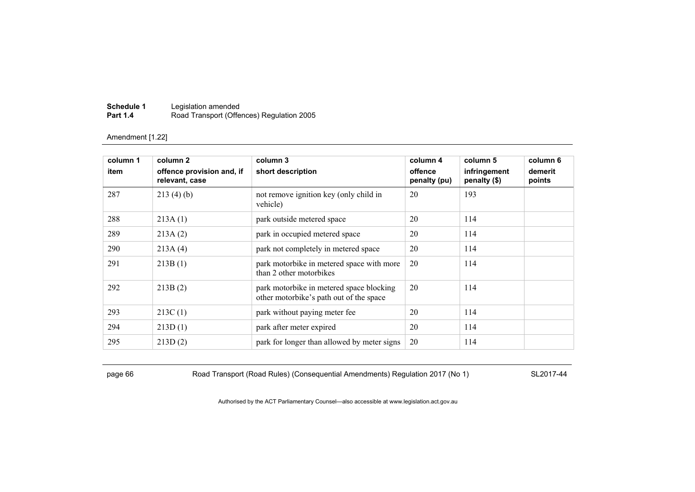| Schedule 1      | Legislation amended                       |
|-----------------|-------------------------------------------|
| <b>Part 1.4</b> | Road Transport (Offences) Regulation 2005 |

| column 1 | column 2                                    | column 3                                                                            | column 4                | column 5                     | column 6          |
|----------|---------------------------------------------|-------------------------------------------------------------------------------------|-------------------------|------------------------------|-------------------|
| item     | offence provision and, if<br>relevant, case | short description                                                                   | offence<br>penalty (pu) | infringement<br>penalty (\$) | demerit<br>points |
| 287      | 213(4)(b)                                   | not remove ignition key (only child in<br>vehicle)                                  | 20                      | 193                          |                   |
| 288      | 213A(1)                                     | park outside metered space                                                          | 20                      | 114                          |                   |
| 289      | 213A(2)                                     | park in occupied metered space                                                      | 20                      | 114                          |                   |
| 290      | 213A(4)                                     | park not completely in metered space                                                | 20                      | 114                          |                   |
| 291      | 213B(1)                                     | park motorbike in metered space with more<br>than 2 other motorbikes                | 20                      | 114                          |                   |
| 292      | 213B(2)                                     | park motorbike in metered space blocking<br>other motorbike's path out of the space | 20                      | 114                          |                   |
| 293      | 213C(1)                                     | park without paying meter fee                                                       | 20                      | 114                          |                   |
| 294      | 213D(1)                                     | park after meter expired                                                            | 20                      | 114                          |                   |
| 295      | 213D(2)                                     | park for longer than allowed by meter signs                                         | 20                      | 114                          |                   |

page 66 Road Transport (Road Rules) (Consequential Amendments) Regulation 2017 (No 1) SL2017-44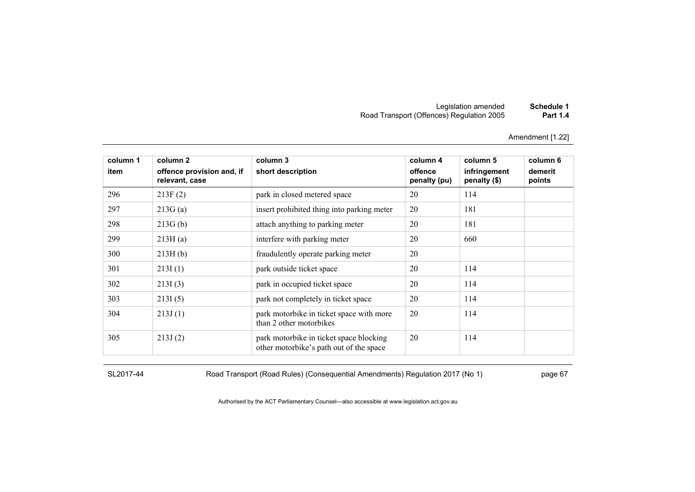# Legislation amended **Schedule 1** Road Transport (Offences) Regulation 2005 **Part 1.4**

Amendment [1.22]

| column 1 | column 2                                    | column 3                                                                           | column 4                | column 5                     | column 6          |
|----------|---------------------------------------------|------------------------------------------------------------------------------------|-------------------------|------------------------------|-------------------|
| item     | offence provision and, if<br>relevant, case | short description                                                                  | offence<br>penalty (pu) | infringement<br>penalty (\$) | demerit<br>points |
| 296      | 213F(2)                                     | park in closed metered space                                                       | 20                      | 114                          |                   |
| 297      | 213G(a)                                     | insert prohibited thing into parking meter                                         | 20                      | 181                          |                   |
| 298      | 213G(b)                                     | attach anything to parking meter                                                   | 20                      | 181                          |                   |
| 299      | 213H(a)                                     | interfere with parking meter                                                       | 20                      | 660                          |                   |
| 300      | 213H(b)                                     | fraudulently operate parking meter                                                 | 20                      |                              |                   |
| 301      | 213I(1)                                     | park outside ticket space                                                          | 20                      | 114                          |                   |
| 302      | 213I(3)                                     | park in occupied ticket space                                                      | 20                      | 114                          |                   |
| 303      | 213I(5)                                     | park not completely in ticket space                                                | 20                      | 114                          |                   |
| 304      | 213J(1)                                     | park motorbike in ticket space with more<br>than 2 other motorbikes                | 20                      | 114                          |                   |
| 305      | 213J(2)                                     | park motorbike in ticket space blocking<br>other motorbike's path out of the space | 20                      | 114                          |                   |

SL2017-44 Road Transport (Road Rules) (Consequential Amendments) Regulation 2017 (No 1) page 67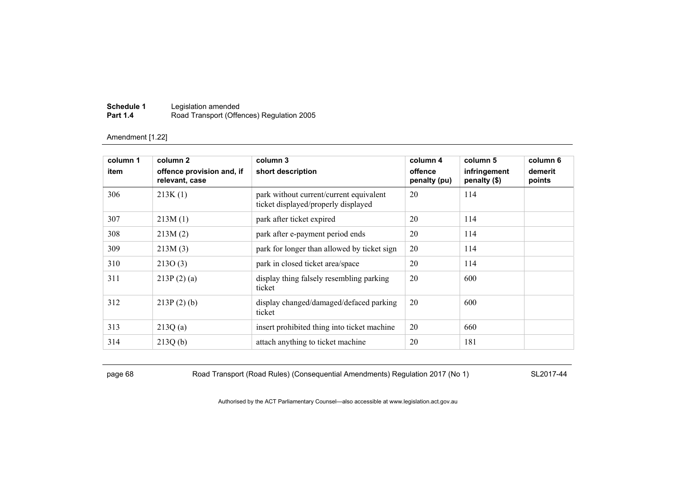| Schedule 1      | Legislation amended                       |
|-----------------|-------------------------------------------|
| <b>Part 1.4</b> | Road Transport (Offences) Regulation 2005 |

| column 1 | column 2                                    | column 3                                                                       | column 4                | column 5                     | column 6          |
|----------|---------------------------------------------|--------------------------------------------------------------------------------|-------------------------|------------------------------|-------------------|
| item     | offence provision and, if<br>relevant, case | short description                                                              | offence<br>penalty (pu) | infringement<br>penalty (\$) | demerit<br>points |
| 306      | 213K(1)                                     | park without current/current equivalent<br>ticket displayed/properly displayed | 20                      | 114                          |                   |
| 307      | 213M(1)                                     | park after ticket expired                                                      | 20                      | 114                          |                   |
| 308      | 213M(2)                                     | park after e-payment period ends                                               | 20                      | 114                          |                   |
| 309      | 213M(3)                                     | park for longer than allowed by ticket sign                                    | 20                      | 114                          |                   |
| 310      | 213O(3)                                     | park in closed ticket area/space                                               | 20                      | 114                          |                   |
| 311      | 213P(2)(a)                                  | display thing falsely resembling parking<br>ticket                             | 20                      | 600                          |                   |
| 312      | $213P(2)$ (b)                               | display changed/damaged/defaced parking<br>ticket                              | 20                      | 600                          |                   |
| 313      | 213Q(a)                                     | insert prohibited thing into ticket machine                                    | 20                      | 660                          |                   |
| 314      | 213Q(b)                                     | attach anything to ticket machine                                              | 20                      | 181                          |                   |

page 68 Road Transport (Road Rules) (Consequential Amendments) Regulation 2017 (No 1) SL2017-44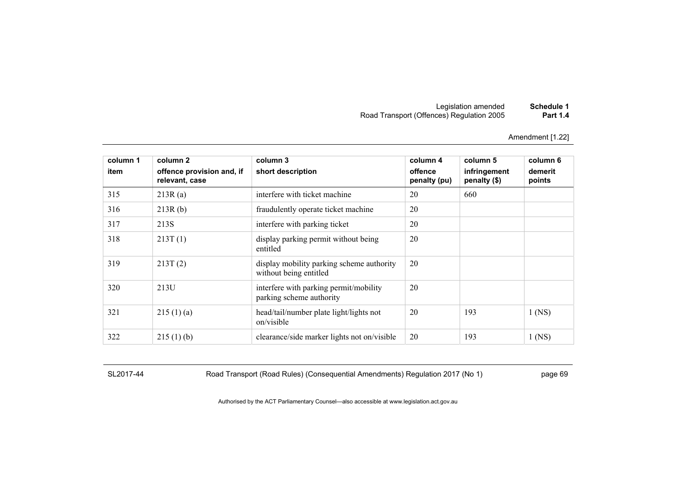| Schedule 1      | Legislation amended                       |
|-----------------|-------------------------------------------|
| <b>Part 1.4</b> | Road Transport (Offences) Regulation 2005 |

| column 1<br>item | column 2<br>offence provision and, if<br>relevant, case | column 3<br>short description                                       | column 4<br>offence<br>penalty (pu) | column 5<br>infringement<br>penalty (\$) | column 6<br>demerit<br>points |
|------------------|---------------------------------------------------------|---------------------------------------------------------------------|-------------------------------------|------------------------------------------|-------------------------------|
| 315              | 213R(a)                                                 | interfere with ticket machine                                       | 20                                  | 660                                      |                               |
| 316              | 213R(b)                                                 | fraudulently operate ticket machine                                 | 20                                  |                                          |                               |
| 317              | 213S                                                    | interfere with parking ticket                                       | 20                                  |                                          |                               |
| 318              | 213T(1)                                                 | display parking permit without being<br>entitled                    | 20                                  |                                          |                               |
| 319              | 213T(2)                                                 | display mobility parking scheme authority<br>without being entitled | 20                                  |                                          |                               |
| 320              | 213U                                                    | interfere with parking permit/mobility<br>parking scheme authority  | 20                                  |                                          |                               |
| 321              | 215(1)(a)                                               | head/tail/number plate light/lights not<br>on/visible               | 20                                  | 193                                      | $1$ (NS)                      |
| 322              | 215(1)(b)                                               | clearance/side marker lights not on/visible                         | 20                                  | 193                                      | $1$ (NS)                      |

SL2017-44 Road Transport (Road Rules) (Consequential Amendments) Regulation 2017 (No 1) page 69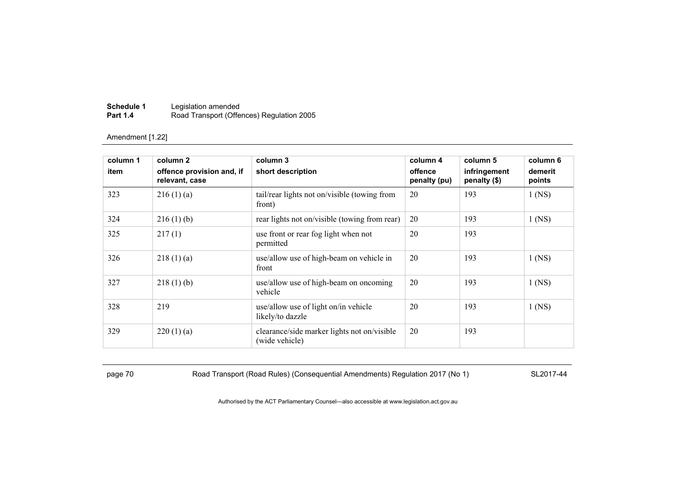| Schedule 1      | Legislation amended                       |
|-----------------|-------------------------------------------|
| <b>Part 1.4</b> | Road Transport (Offences) Regulation 2005 |

| column 1<br>item | column 2<br>offence provision and, if<br>relevant, case | column 3<br>short description                                 | column 4<br>offence<br>penalty (pu) | column 5<br>infringement<br>penalty (\$) | column 6<br>demerit<br>points |
|------------------|---------------------------------------------------------|---------------------------------------------------------------|-------------------------------------|------------------------------------------|-------------------------------|
| 323              | 216(1)(a)                                               | tail/rear lights not on/visible (towing from<br>front)        | 20                                  | 193                                      | $1$ (NS)                      |
| 324              | 216(1)(b)                                               | rear lights not on/visible (towing from rear)                 | 20                                  | 193                                      | $1$ (NS)                      |
| 325              | 217(1)                                                  | use front or rear fog light when not<br>permitted             | 20                                  | 193                                      |                               |
| 326              | 218(1)(a)                                               | use/allow use of high-beam on vehicle in<br>front             | 20                                  | 193                                      | $1$ (NS)                      |
| 327              | 218(1)(b)                                               | use/allow use of high-beam on oncoming<br>vehicle             | 20                                  | 193                                      | $1$ (NS)                      |
| 328              | 219                                                     | use/allow use of light on/in vehicle<br>likely/to dazzle      | 20                                  | 193                                      | $1$ (NS)                      |
| 329              | 220(1)(a)                                               | clearance/side marker lights not on/visible<br>(wide vehicle) | 20                                  | 193                                      |                               |

page 70 Road Transport (Road Rules) (Consequential Amendments) Regulation 2017 (No 1) SL2017-44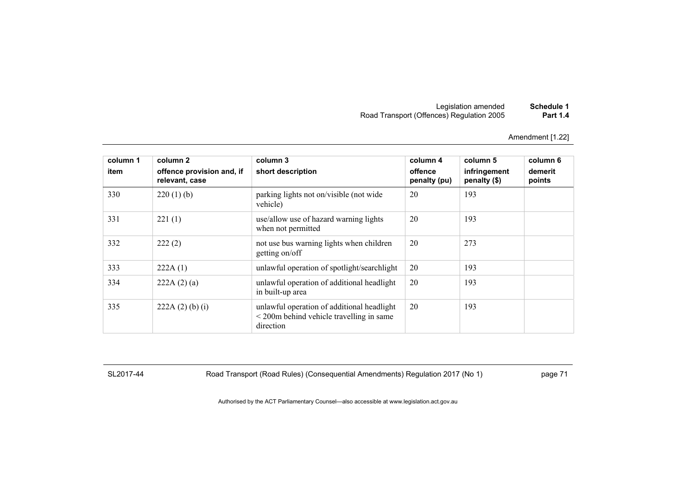Amendment [1.22]

| column 1<br>item | column 2<br>offence provision and, if<br>relevant, case | column 3<br>short description                                                                                      | column 4<br>offence<br>penalty (pu) | column 5<br>infringement<br>penalty (\$) | column 6<br>demerit<br>points |
|------------------|---------------------------------------------------------|--------------------------------------------------------------------------------------------------------------------|-------------------------------------|------------------------------------------|-------------------------------|
| 330              | 220(1)(b)                                               | parking lights not on/visible (not wide)<br>vehicle)                                                               | 20                                  | 193                                      |                               |
| 331              | 221(1)                                                  | use/allow use of hazard warning lights<br>when not permitted                                                       | 20                                  | 193                                      |                               |
| 332              | 222(2)                                                  | not use bus warning lights when children<br>getting on/off                                                         | 20                                  | 273                                      |                               |
| 333              | 222A(1)                                                 | unlawful operation of spotlight/searchlight                                                                        | 20                                  | 193                                      |                               |
| 334              | 222A(2)(a)                                              | unlawful operation of additional headlight<br>in built-up area                                                     | 20                                  | 193                                      |                               |
| 335              | 222A(2)(b)(i)                                           | unlawful operation of additional headlight<br>$\leq$ 200 $\text{m}$ behind vehicle travelling in same<br>direction | 20                                  | 193                                      |                               |

SL2017-44 Road Transport (Road Rules) (Consequential Amendments) Regulation 2017 (No 1) page 71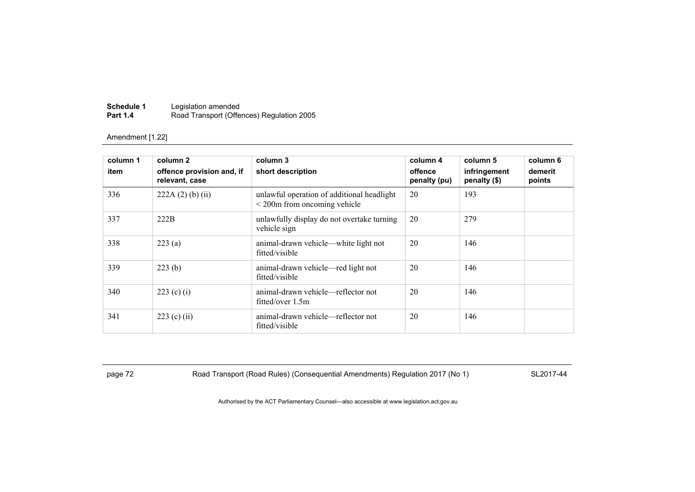| Schedule 1      | Legislation amended                       |
|-----------------|-------------------------------------------|
| <b>Part 1.4</b> | Road Transport (Offences) Regulation 2005 |

| column 1<br>item | column 2<br>offence provision and, if<br>relevant, case | column 3<br>short description                                                   |    | column 5<br>infringement<br>penalty (\$) | column 6<br>demerit<br>points |
|------------------|---------------------------------------------------------|---------------------------------------------------------------------------------|----|------------------------------------------|-------------------------------|
| 336              | $222A(2)$ (b) (ii)                                      | unlawful operation of additional headlight<br>$\leq$ 200m from oncoming vehicle | 20 | 193                                      |                               |
| 337              | 222B                                                    | unlawfully display do not overtake turning<br>vehicle sign                      | 20 | 279                                      |                               |
| 338              | 223(a)                                                  | animal-drawn vehicle—white light not<br>fitted/visible                          | 20 | 146                                      |                               |
| 339              | 223(b)                                                  | animal-drawn vehicle—red light not<br>fitted/visible                            | 20 | 146                                      |                               |
| 340              | 223 (c) (i)                                             | animal-drawn vehicle—reflector not<br>fitted/over 1.5m                          | 20 | 146                                      |                               |
| 341              | $223$ (c) (ii)                                          | animal-drawn vehicle—reflector not<br>fitted/visible                            | 20 | 146                                      |                               |

page 72 Road Transport (Road Rules) (Consequential Amendments) Regulation 2017 (No 1) SL2017-44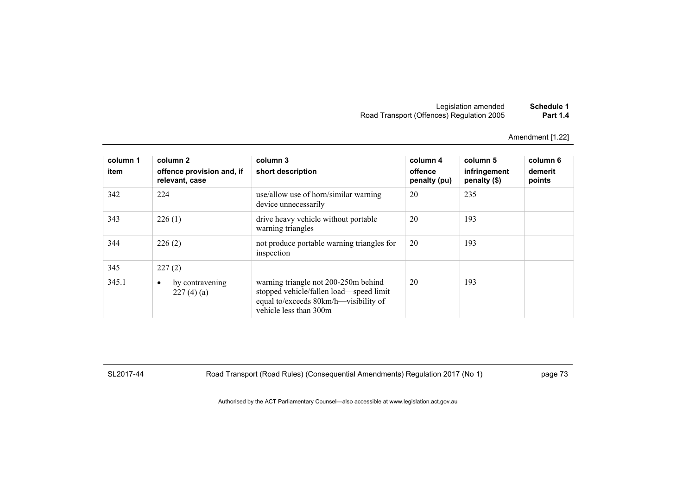Amendment [1.22]

| column 1<br>item | column 2<br>offence provision and, if<br>relevant, case | column 3<br>short description                                                                                                                      | column 4<br>offence<br>penalty (pu) | column 5<br>infringement<br>penalty (\$) | column 6<br>demerit<br>points |
|------------------|---------------------------------------------------------|----------------------------------------------------------------------------------------------------------------------------------------------------|-------------------------------------|------------------------------------------|-------------------------------|
| 342              | 224                                                     | use/allow use of horn/similar warning<br>device unnecessarily                                                                                      | 20                                  | 235                                      |                               |
| 343              | 226(1)                                                  | drive heavy vehicle without portable<br>warning triangles                                                                                          | 20                                  | 193                                      |                               |
| 344              | 226(2)                                                  | not produce portable warning triangles for<br>inspection                                                                                           | 20                                  | 193                                      |                               |
| 345              | 227(2)                                                  |                                                                                                                                                    |                                     |                                          |                               |
| 345.1            | by contravening<br>٠<br>227(4)(a)                       | warning triangle not 200-250m behind<br>stopped vehicle/fallen load—speed limit<br>equal to/exceeds 80km/h—visibility of<br>vehicle less than 300m | 20                                  | 193                                      |                               |

SL2017-44 Road Transport (Road Rules) (Consequential Amendments) Regulation 2017 (No 1) page 73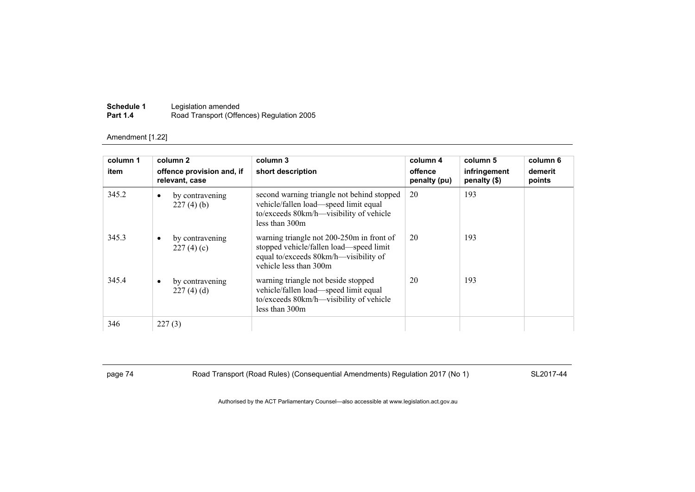| Schedule 1      | Legislation amended                       |
|-----------------|-------------------------------------------|
| <b>Part 1.4</b> | Road Transport (Offences) Regulation 2005 |

| column 1 | column 2                                    | column 3                                                                                                                                                | column 4                | column 5                     | column 6          |
|----------|---------------------------------------------|---------------------------------------------------------------------------------------------------------------------------------------------------------|-------------------------|------------------------------|-------------------|
| item     | offence provision and, if<br>relevant, case | short description                                                                                                                                       | offence<br>penalty (pu) | infringement<br>penalty (\$) | demerit<br>points |
| 345.2    | by contravening<br>$\bullet$<br>227(4)(b)   | second warning triangle not behind stopped<br>vehicle/fallen load—speed limit equal<br>to/exceeds 80km/h—visibility of vehicle<br>less than 300m        | 20                      | 193                          |                   |
| 345.3    | by contravening<br>$\bullet$<br>227(4)(c)   | warning triangle not 200-250m in front of<br>stopped vehicle/fallen load—speed limit<br>equal to/exceeds 80km/h—visibility of<br>vehicle less than 300m | 20                      | 193                          |                   |
| 345.4    | by contravening<br>$\bullet$<br>227(4)(d)   | warning triangle not beside stopped<br>vehicle/fallen load—speed limit equal<br>to/exceeds 80km/h—visibility of vehicle<br>less than 300m               | 20                      | 193                          |                   |
| 346      | 227(3)                                      |                                                                                                                                                         |                         |                              |                   |

page 74 Road Transport (Road Rules) (Consequential Amendments) Regulation 2017 (No 1) SL2017-44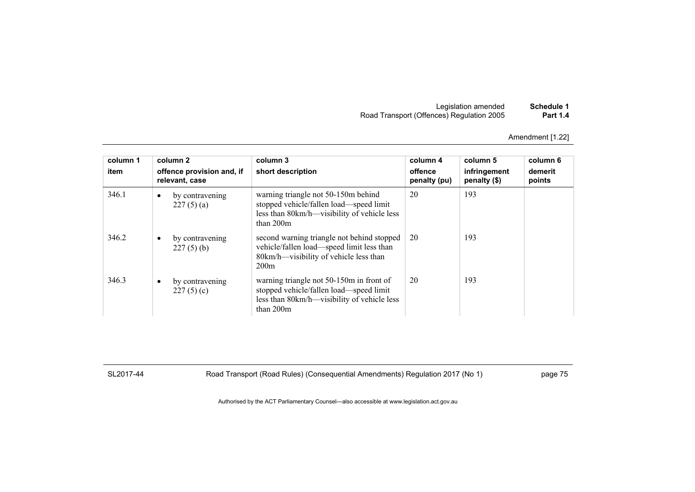| Legislation amended                       | Schedule 1      |
|-------------------------------------------|-----------------|
| Road Transport (Offences) Regulation 2005 | <b>Part 1.4</b> |

| column 1<br>item | column 2<br>offence provision and, if<br>relevant, case |                                 | column 3<br>short description                                                                                                                     | column 4<br>offence<br>penalty (pu) | column 5<br>infringement<br>penalty (\$) | column 6<br>demerit<br>points |
|------------------|---------------------------------------------------------|---------------------------------|---------------------------------------------------------------------------------------------------------------------------------------------------|-------------------------------------|------------------------------------------|-------------------------------|
| 346.1            | $\bullet$                                               | by contravening<br>227(5)(a)    | warning triangle not 50-150m behind<br>stopped vehicle/fallen load—speed limit<br>less than 80km/h—visibility of vehicle less<br>than $200m$      | 20                                  | 193                                      |                               |
| 346.2            | $\bullet$                                               | by contravening<br>$227(5)$ (b) | second warning triangle not behind stopped<br>vehicle/fallen load—speed limit less than<br>80km/h—visibility of vehicle less than<br>200m         | 20                                  | 193                                      |                               |
| 346.3            | $\bullet$                                               | by contravening<br>227(5)(c)    | warning triangle not 50-150m in front of<br>stopped vehicle/fallen load—speed limit<br>less than 80km/h—visibility of vehicle less<br>than $200m$ | 20                                  | 193                                      |                               |

SL2017-44 Road Transport (Road Rules) (Consequential Amendments) Regulation 2017 (No 1) page 75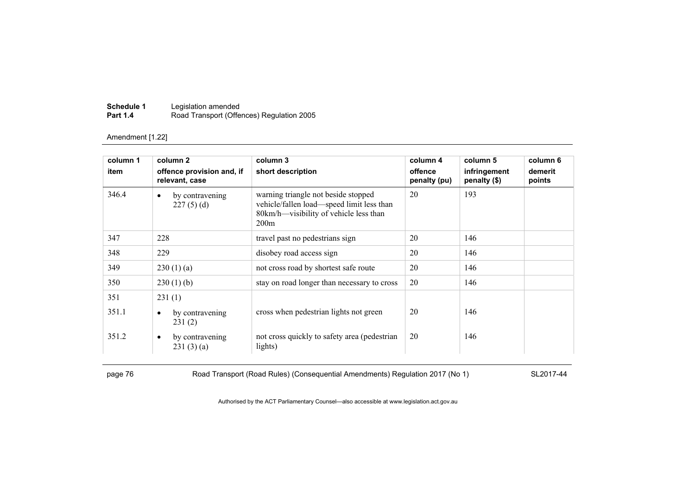| Schedule 1      | Legislation amended                       |
|-----------------|-------------------------------------------|
| <b>Part 1.4</b> | Road Transport (Offences) Regulation 2005 |

| column 1 | column 2                                    | column 3                                                                                                                           | column 4                | column 5                     | column 6          |
|----------|---------------------------------------------|------------------------------------------------------------------------------------------------------------------------------------|-------------------------|------------------------------|-------------------|
| item     | offence provision and, if<br>relevant, case | short description                                                                                                                  | offence<br>penalty (pu) | infringement<br>penalty (\$) | demerit<br>points |
| 346.4    | by contravening<br>$\bullet$<br>227(5)(d)   | warning triangle not beside stopped<br>vehicle/fallen load—speed limit less than<br>80km/h—visibility of vehicle less than<br>200m | 20                      | 193                          |                   |
| 347      | 228                                         | travel past no pedestrians sign                                                                                                    | 20                      | 146                          |                   |
| 348      | 229                                         | disobey road access sign                                                                                                           | 20                      | 146                          |                   |
| 349      | 230(1)(a)                                   | not cross road by shortest safe route                                                                                              | 20                      | 146                          |                   |
| 350      | $230(1)$ (b)                                | stay on road longer than necessary to cross                                                                                        | 20                      | 146                          |                   |
| 351      | 231(1)                                      |                                                                                                                                    |                         |                              |                   |
| 351.1    | by contravening<br>٠<br>231(2)              | cross when pedestrian lights not green                                                                                             | 20                      | 146                          |                   |
| 351.2    | by contravening<br>٠<br>231(3)(a)           | not cross quickly to safety area (pedestrian)<br>lights)                                                                           | 20                      | 146                          |                   |

page 76 Road Transport (Road Rules) (Consequential Amendments) Regulation 2017 (No 1) SL2017-44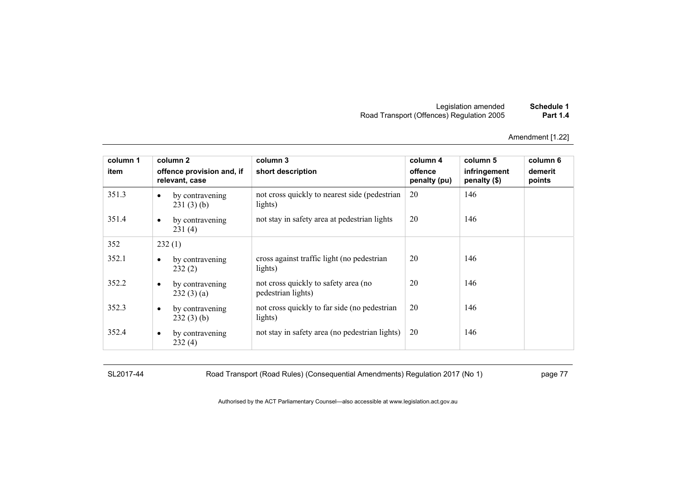| Schedule 1      | Legislation amended                       |
|-----------------|-------------------------------------------|
| <b>Part 1.4</b> | Road Transport (Offences) Regulation 2005 |

| column 1 |           | column <sub>2</sub>                         | column 3                                                   | column 4                | column 5                     | column 6          |
|----------|-----------|---------------------------------------------|------------------------------------------------------------|-------------------------|------------------------------|-------------------|
| item     |           | offence provision and, if<br>relevant, case | short description                                          | offence<br>penalty (pu) | infringement<br>penalty (\$) | demerit<br>points |
| 351.3    | $\bullet$ | by contravening<br>231(3)(b)                | not cross quickly to nearest side (pedestrian)<br>lights)  | 20                      | 146                          |                   |
| 351.4    | $\bullet$ | by contravening<br>231(4)                   | not stay in safety area at pedestrian lights               | 20                      | 146                          |                   |
| 352      |           | 232(1)                                      |                                                            |                         |                              |                   |
| 352.1    | $\bullet$ | by contravening<br>232(2)                   | cross against traffic light (no pedestrian<br>lights)      | 20                      | 146                          |                   |
| 352.2    | $\bullet$ | by contravening<br>232(3)(a)                | not cross quickly to safety area (no<br>pedestrian lights) | 20                      | 146                          |                   |
| 352.3    | $\bullet$ | by contravening<br>232(3)(b)                | not cross quickly to far side (no pedestrian<br>lights)    | 20                      | 146                          |                   |
| 352.4    | $\bullet$ | by contravening<br>232(4)                   | not stay in safety area (no pedestrian lights)             | 20                      | 146                          |                   |

SL2017-44 Road Transport (Road Rules) (Consequential Amendments) Regulation 2017 (No 1) page 77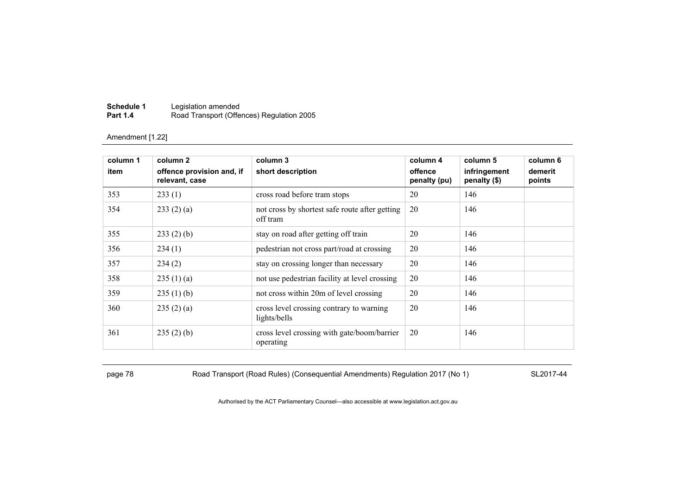| Schedule 1      | Legislation amended                       |
|-----------------|-------------------------------------------|
| <b>Part 1.4</b> | Road Transport (Offences) Regulation 2005 |

| column 1 | column 2                                    | column 3                                                   | column 4                | column 5                     | column 6          |
|----------|---------------------------------------------|------------------------------------------------------------|-------------------------|------------------------------|-------------------|
| item     | offence provision and, if<br>relevant, case | short description                                          | offence<br>penalty (pu) | infringement<br>penalty (\$) | demerit<br>points |
| 353      | 233(1)                                      | cross road before tram stops                               | 20                      | 146                          |                   |
| 354      | 233(2)(a)                                   | not cross by shortest safe route after getting<br>off tram | 20                      | 146                          |                   |
| 355      | $233(2)$ (b)                                | stay on road after getting off train                       | 20                      | 146                          |                   |
| 356      | 234(1)                                      | pedestrian not cross part/road at crossing                 | 20                      | 146                          |                   |
| 357      | 234(2)                                      | stay on crossing longer than necessary                     | 20                      | 146                          |                   |
| 358      | 235(1)(a)                                   | not use pedestrian facility at level crossing              | 20                      | 146                          |                   |
| 359      | 235(1)(b)                                   | not cross within 20m of level crossing                     | 20                      | 146                          |                   |
| 360      | 235(2)(a)                                   | cross level crossing contrary to warning<br>lights/bells   | 20                      | 146                          |                   |
| 361      | 235(2)(b)                                   | cross level crossing with gate/boom/barrier<br>operating   | 20                      | 146                          |                   |

page 78 Road Transport (Road Rules) (Consequential Amendments) Regulation 2017 (No 1) SL2017-44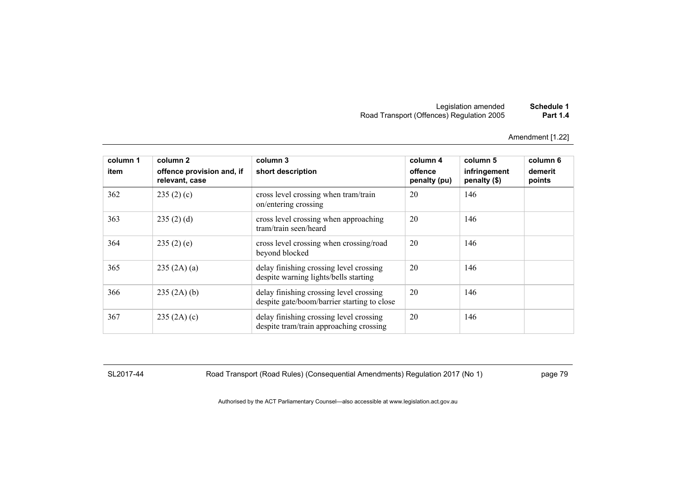Amendment [1.22]

| column 1<br>item | column 2<br>offence provision and, if<br>relevant, case | column 3<br>short description                                                          | column 4<br>offence<br>penalty (pu) | column 5<br>infringement<br>penalty (\$) | column 6<br>demerit<br>points |
|------------------|---------------------------------------------------------|----------------------------------------------------------------------------------------|-------------------------------------|------------------------------------------|-------------------------------|
| 362              | 235(2)(c)                                               | cross level crossing when tram/train<br>on/entering crossing                           | 20                                  | 146                                      |                               |
| 363              | 235(2)(d)                                               | cross level crossing when approaching<br>tram/train seen/heard                         | 20                                  | 146                                      |                               |
| 364              | 235(2)(e)                                               | cross level crossing when crossing/road<br>beyond blocked                              | 20                                  | 146                                      |                               |
| 365              | 235 (2A) (a)                                            | delay finishing crossing level crossing<br>despite warning lights/bells starting       | 20                                  | 146                                      |                               |
| 366              | 235(2A)(b)                                              | delay finishing crossing level crossing<br>despite gate/boom/barrier starting to close | 20                                  | 146                                      |                               |
| 367              | 235(2A)(c)                                              | delay finishing crossing level crossing<br>despite tram/train approaching crossing     | 20                                  | 146                                      |                               |

SL2017-44 Road Transport (Road Rules) (Consequential Amendments) Regulation 2017 (No 1) page 79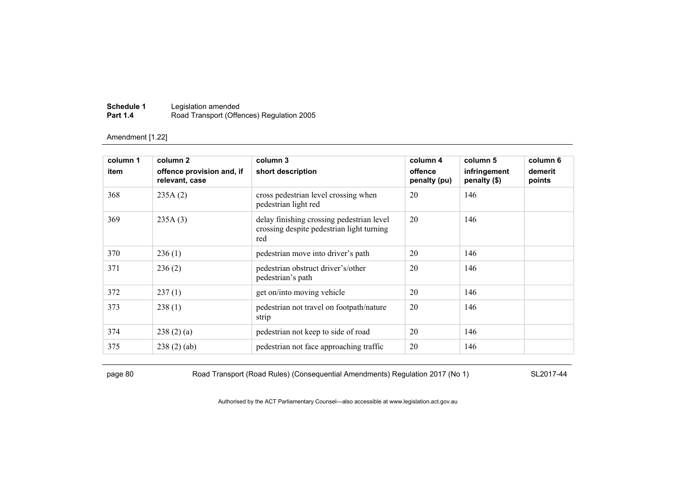| Schedule 1      | Legislation amended                       |
|-----------------|-------------------------------------------|
| <b>Part 1.4</b> | Road Transport (Offences) Regulation 2005 |

| column 1 | column 2                                    | column 3                                                                                      | column 4                | column 5                     | column 6          |
|----------|---------------------------------------------|-----------------------------------------------------------------------------------------------|-------------------------|------------------------------|-------------------|
| item     | offence provision and, if<br>relevant, case | short description                                                                             | offence<br>penalty (pu) | infringement<br>penalty (\$) | demerit<br>points |
| 368      | 235A(2)                                     | cross pedestrian level crossing when<br>pedestrian light red                                  | 20                      | 146                          |                   |
| 369      | 235A(3)                                     | delay finishing crossing pedestrian level<br>crossing despite pedestrian light turning<br>red | 20                      | 146                          |                   |
| 370      | 236(1)                                      | pedestrian move into driver's path                                                            | 20                      | 146                          |                   |
| 371      | 236(2)                                      | pedestrian obstruct driver's/other<br>pedestrian's path                                       | 20                      | 146                          |                   |
| 372      | 237(1)                                      | get on/into moving vehicle                                                                    | 20                      | 146                          |                   |
| 373      | 238(1)                                      | pedestrian not travel on footpath/nature<br>strip                                             | 20                      | 146                          |                   |
| 374      | 238(2)(a)                                   | pedestrian not keep to side of road                                                           | 20                      | 146                          |                   |
| 375      | 238(2)(ab)                                  | pedestrian not face approaching traffic                                                       | 20                      | 146                          |                   |

page 80 Road Transport (Road Rules) (Consequential Amendments) Regulation 2017 (No 1) SL2017-44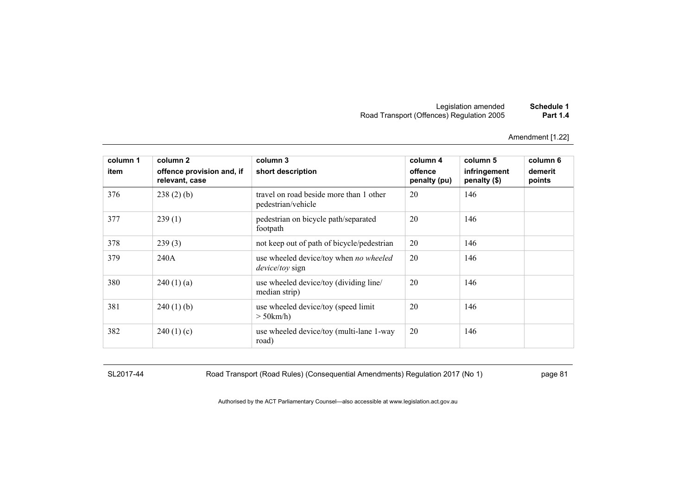Amendment [1.22]

| column 1<br>item | column 2<br>offence provision and, if<br>relevant, case | column 3<br>short description                                    | column 4<br>offence<br>penalty (pu) | column 5<br>infringement<br>penalty (\$) | column 6<br>demerit<br>points |
|------------------|---------------------------------------------------------|------------------------------------------------------------------|-------------------------------------|------------------------------------------|-------------------------------|
| 376              | $238(2)$ (b)                                            | travel on road beside more than 1 other<br>pedestrian/vehicle    | 20                                  | 146                                      |                               |
| 377              | 239(1)                                                  | pedestrian on bicycle path/separated<br>footpath                 | 20                                  | 146                                      |                               |
| 378              | 239(3)                                                  | not keep out of path of bicycle/pedestrian                       | 20                                  | 146                                      |                               |
| 379              | 240A                                                    | use wheeled device/toy when no wheeled<br><i>device/toy</i> sign | 20                                  | 146                                      |                               |
| 380              | 240(1)(a)                                               | use wheeled device/toy (dividing line/<br>median strip)          | 20                                  | 146                                      |                               |
| 381              | $240(1)$ (b)                                            | use wheeled device/toy (speed limit)<br>$>$ 50 km/h)             | 20                                  | 146                                      |                               |
| 382              | 240(1)(c)                                               | use wheeled device/toy (multi-lane 1-way<br>road)                | 20                                  | 146                                      |                               |

SL2017-44 Road Transport (Road Rules) (Consequential Amendments) Regulation 2017 (No 1) page 81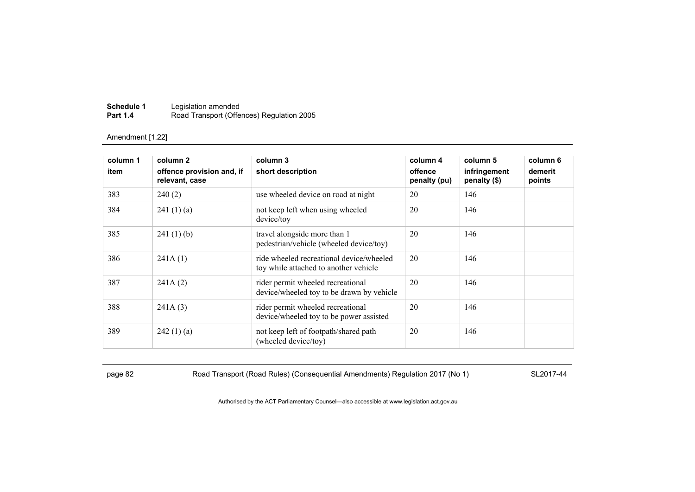| Schedule 1      | Legislation amended                       |
|-----------------|-------------------------------------------|
| <b>Part 1.4</b> | Road Transport (Offences) Regulation 2005 |

| column 1<br>item | column 2<br>offence provision and, if<br>relevant, case | column 3<br>short description                                                     | column 4<br>offence<br>penalty (pu) | column 5<br>infringement<br>penalty (\$) | column 6<br>demerit<br>points |
|------------------|---------------------------------------------------------|-----------------------------------------------------------------------------------|-------------------------------------|------------------------------------------|-------------------------------|
| 383              | 240(2)                                                  | use wheeled device on road at night                                               | 20                                  | 146                                      |                               |
| 384              | 241(1)(a)                                               | not keep left when using wheeled<br>device/toy                                    | 20                                  | 146                                      |                               |
| 385              | 241(1)(b)                                               | travel alongside more than 1<br>pedestrian/vehicle (wheeled device/toy)           | 20                                  | 146                                      |                               |
| 386              | 241A(1)                                                 | ride wheeled recreational device/wheeled<br>toy while attached to another vehicle | 20                                  | 146                                      |                               |
| 387              | 241A(2)                                                 | rider permit wheeled recreational<br>device/wheeled toy to be drawn by vehicle    | 20                                  | 146                                      |                               |
| 388              | 241A(3)                                                 | rider permit wheeled recreational<br>device/wheeled toy to be power assisted      | 20                                  | 146                                      |                               |
| 389              | 242(1)(a)                                               | not keep left of footpath/shared path<br>(wheeled device/toy)                     | 20                                  | 146                                      |                               |

page 82 Road Transport (Road Rules) (Consequential Amendments) Regulation 2017 (No 1) SL2017-44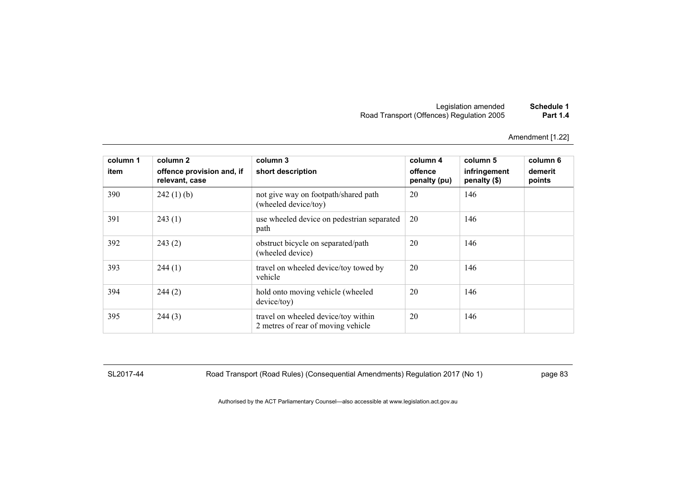Amendment [1.22]

| column 1<br>item | column 2<br>offence provision and, if<br>relevant, case | column 3<br>short description                                             | column 4<br>offence<br>penalty (pu) | column 5<br>infringement<br>penalty (\$) | column 6<br>demerit<br>points |
|------------------|---------------------------------------------------------|---------------------------------------------------------------------------|-------------------------------------|------------------------------------------|-------------------------------|
| 390              | $242(1)$ (b)                                            | not give way on footpath/shared path<br>(wheeled device/toy)              | 20                                  | 146                                      |                               |
| 391              | 243(1)                                                  | use wheeled device on pedestrian separated<br>path                        | 20                                  | 146                                      |                               |
| 392              | 243(2)                                                  | obstruct bicycle on separated/path<br>(wheeled device)                    | 20                                  | 146                                      |                               |
| 393              | 244(1)                                                  | travel on wheeled device/toy towed by<br>vehicle                          | 20                                  | 146                                      |                               |
| 394              | 244(2)                                                  | hold onto moving vehicle (wheeled<br>device/toy)                          | 20                                  | 146                                      |                               |
| 395              | 244(3)                                                  | travel on wheeled device/toy within<br>2 metres of rear of moving vehicle | 20                                  | 146                                      |                               |

SL2017-44 Road Transport (Road Rules) (Consequential Amendments) Regulation 2017 (No 1) page 83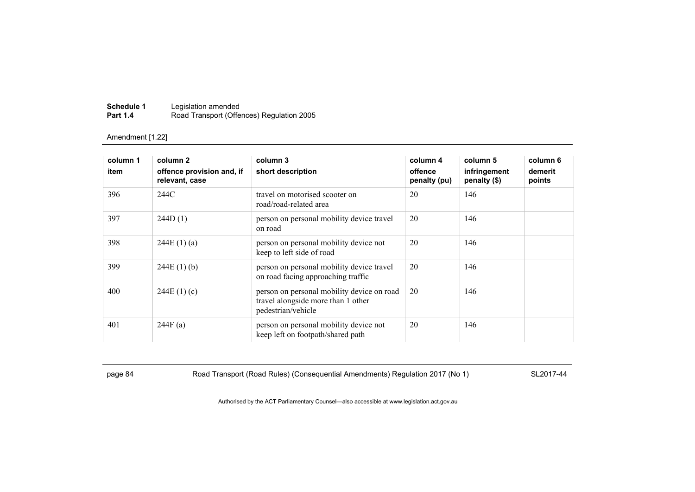| Schedule 1      | Legislation amended                       |
|-----------------|-------------------------------------------|
| <b>Part 1.4</b> | Road Transport (Offences) Regulation 2005 |

| column 1<br>item | column 2<br>offence provision and, if<br>relevant, case | column 3<br>short description                                                                          | column 4<br>offence<br>penalty (pu) | column 5<br>infringement<br>penalty (\$) | column 6<br>demerit<br>points |
|------------------|---------------------------------------------------------|--------------------------------------------------------------------------------------------------------|-------------------------------------|------------------------------------------|-------------------------------|
| 396              | 244C                                                    | travel on motorised scooter on<br>road/road-related area                                               | 20                                  | 146                                      |                               |
| 397              | 244D(1)                                                 | person on personal mobility device travel<br>on road                                                   | 20                                  | 146                                      |                               |
| 398              | 244E(1)(a)                                              | person on personal mobility device not<br>keep to left side of road                                    | 20                                  | 146                                      |                               |
| 399              | 244E(1)(b)                                              | person on personal mobility device travel<br>on road facing approaching traffic                        | 20                                  | 146                                      |                               |
| 400              | 244E(1)(c)                                              | person on personal mobility device on road<br>travel alongside more than 1 other<br>pedestrian/vehicle | 20                                  | 146                                      |                               |
| 401              | 244F(a)                                                 | person on personal mobility device not<br>keep left on footpath/shared path                            | 20                                  | 146                                      |                               |

page 84 Road Transport (Road Rules) (Consequential Amendments) Regulation 2017 (No 1) SL2017-44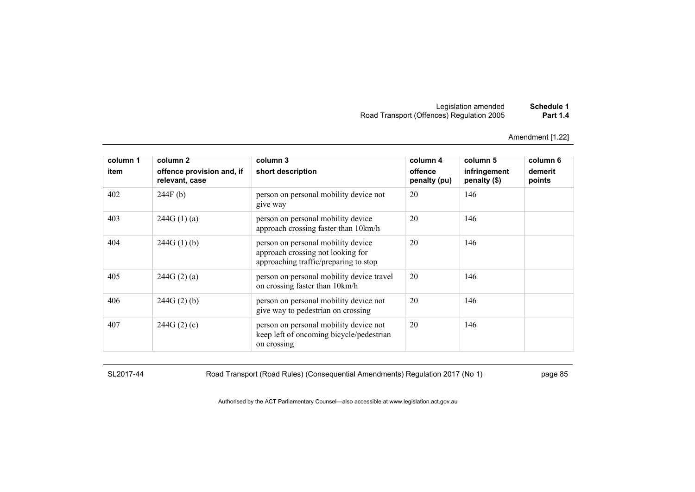Amendment [1.22]

| column 1 | column 2                                    | column 3                                                                                                         | column 4                | column 5                     | column 6          |
|----------|---------------------------------------------|------------------------------------------------------------------------------------------------------------------|-------------------------|------------------------------|-------------------|
| item     | offence provision and, if<br>relevant, case | short description                                                                                                | offence<br>penalty (pu) | infringement<br>penalty (\$) | demerit<br>points |
| 402      | 244F(b)                                     | person on personal mobility device not<br>give way                                                               | 20                      | 146                          |                   |
| 403      | 244G(1)(a)                                  | person on personal mobility device<br>approach crossing faster than 10km/h                                       | 20                      | 146                          |                   |
| 404      | 244G(1)(b)                                  | person on personal mobility device<br>approach crossing not looking for<br>approaching traffic/preparing to stop | 20                      | 146                          |                   |
| 405      | 244G(2)(a)                                  | person on personal mobility device travel<br>on crossing faster than 10km/h                                      | 20                      | 146                          |                   |
| 406      | 244G(2)(b)                                  | person on personal mobility device not<br>give way to pedestrian on crossing                                     | 20                      | 146                          |                   |
| 407      | 244G(2)(c)                                  | person on personal mobility device not<br>keep left of oncoming bicycle/pedestrian<br>on crossing                | 20                      | 146                          |                   |

SL2017-44 Road Transport (Road Rules) (Consequential Amendments) Regulation 2017 (No 1) page 85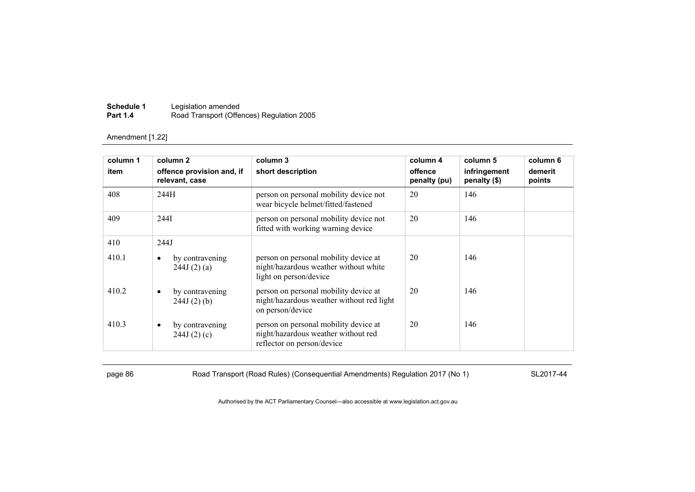| Schedule 1      | Legislation amended                       |
|-----------------|-------------------------------------------|
| <b>Part 1.4</b> | Road Transport (Offences) Regulation 2005 |

| column 1<br>item | column 2<br>offence provision and, if<br>relevant, case | column 3<br>short description                                                                              | column 4<br>offence<br>penalty (pu) | column 5<br>infringement<br>penalty (\$) | column 6<br>demerit<br>points |
|------------------|---------------------------------------------------------|------------------------------------------------------------------------------------------------------------|-------------------------------------|------------------------------------------|-------------------------------|
| 408              | 244H                                                    | person on personal mobility device not<br>wear bicycle helmet/fitted/fastened                              | 20                                  | 146                                      |                               |
| 409              | 244I                                                    | person on personal mobility device not<br>fitted with working warning device                               | 20                                  | 146                                      |                               |
| 410              | 244J                                                    |                                                                                                            |                                     |                                          |                               |
| 410.1            | by contravening<br>٠<br>244J(2)(a)                      | person on personal mobility device at<br>night/hazardous weather without white<br>light on person/device   | 20                                  | 146                                      |                               |
| 410.2            | by contravening<br>$\bullet$<br>$244J(2)$ (b)           | person on personal mobility device at<br>night/hazardous weather without red light<br>on person/device     | 20                                  | 146                                      |                               |
| 410.3            | by contravening<br>٠<br>244J(2)(c)                      | person on personal mobility device at<br>night/hazardous weather without red<br>reflector on person/device | 20                                  | 146                                      |                               |

page 86 Road Transport (Road Rules) (Consequential Amendments) Regulation 2017 (No 1) SL2017-44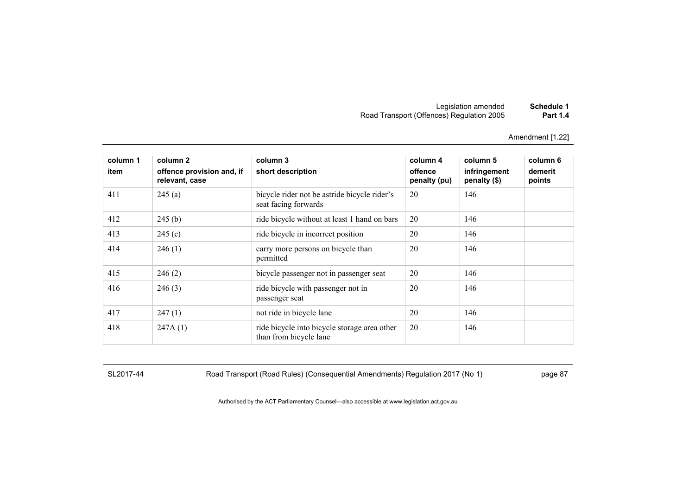Amendment [1.22]

| column 1<br>item | column 2<br>offence provision and, if<br>relevant, case | column 3<br>short description                                          | column 4<br>offence<br>penalty (pu) | column 5<br>infringement<br>penalty (\$) | column 6<br>demerit<br>points |
|------------------|---------------------------------------------------------|------------------------------------------------------------------------|-------------------------------------|------------------------------------------|-------------------------------|
| 411              | 245(a)                                                  | bicycle rider not be astride bicycle rider's<br>seat facing forwards   | 20                                  | 146                                      |                               |
| 412              | 245(b)                                                  | ride bicycle without at least 1 hand on bars                           | 20                                  | 146                                      |                               |
| 413              | 245(c)                                                  | ride bicycle in incorrect position                                     | 20                                  | 146                                      |                               |
| 414              | 246(1)                                                  | carry more persons on bicycle than<br>permitted                        | 20                                  | 146                                      |                               |
| 415              | 246(2)                                                  | bicycle passenger not in passenger seat                                | 20                                  | 146                                      |                               |
| 416              | 246(3)                                                  | ride bicycle with passenger not in<br>passenger seat                   | 20                                  | 146                                      |                               |
| 417              | 247(1)                                                  | not ride in bicycle lane                                               | 20                                  | 146                                      |                               |
| 418              | 247A(1)                                                 | ride bicycle into bicycle storage area other<br>than from bicycle lane | 20                                  | 146                                      |                               |

SL2017-44 Road Transport (Road Rules) (Consequential Amendments) Regulation 2017 (No 1) page 87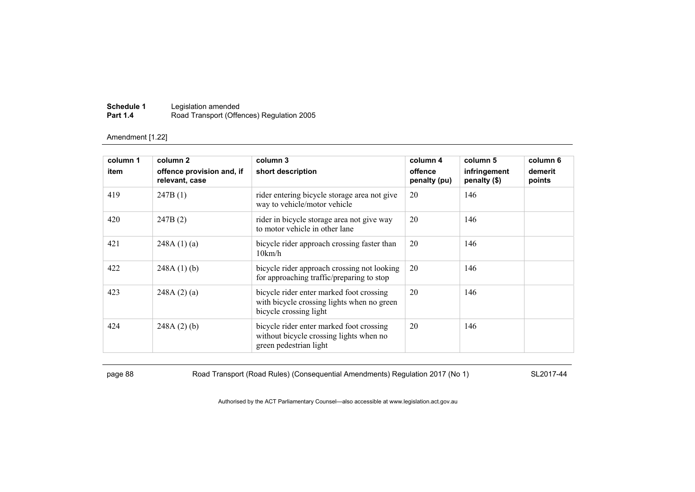| Schedule 1      | Legislation amended                       |
|-----------------|-------------------------------------------|
| <b>Part 1.4</b> | Road Transport (Offences) Regulation 2005 |

| column 1 | column 2                                    | column 3                                                                                                         | column 4                | column 5                     | column 6          |
|----------|---------------------------------------------|------------------------------------------------------------------------------------------------------------------|-------------------------|------------------------------|-------------------|
| item     | offence provision and, if<br>relevant, case | short description                                                                                                | offence<br>penalty (pu) | infringement<br>penalty (\$) | demerit<br>points |
| 419      | 247B(1)                                     | rider entering bicycle storage area not give<br>way to vehicle/motor vehicle                                     | 20                      | 146                          |                   |
| 420      | 247B(2)                                     | rider in bicycle storage area not give way<br>to motor vehicle in other lane                                     | 20                      | 146                          |                   |
| 421      | 248A(1)(a)                                  | bicycle rider approach crossing faster than<br>10km/h                                                            | 20                      | 146                          |                   |
| 422      | 248A(1)(b)                                  | bicycle rider approach crossing not looking<br>for approaching traffic/preparing to stop                         | 20                      | 146                          |                   |
| 423      | 248A(2)(a)                                  | bicycle rider enter marked foot crossing<br>with bicycle crossing lights when no green<br>bicycle crossing light | 20                      | 146                          |                   |
| 424      | 248A(2)(b)                                  | bicycle rider enter marked foot crossing<br>without bicycle crossing lights when no<br>green pedestrian light    | 20                      | 146                          |                   |

page 88 Road Transport (Road Rules) (Consequential Amendments) Regulation 2017 (No 1) SL2017-44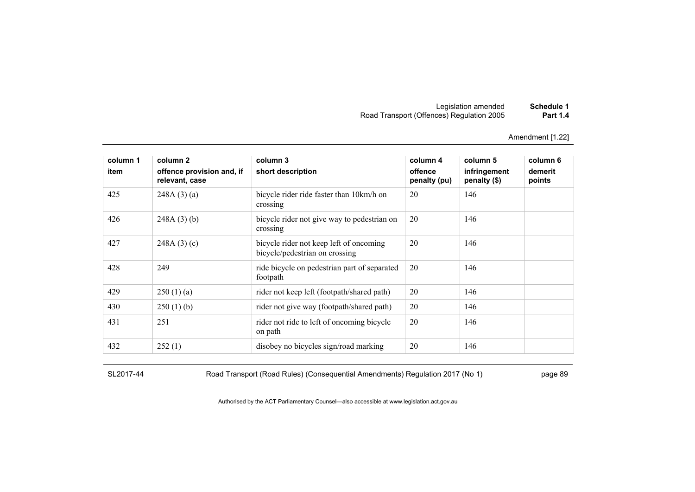Amendment [1.22]

| column 1 | column 2                                    | column 3                                                                  | column 4                | column 5                     | column 6          |
|----------|---------------------------------------------|---------------------------------------------------------------------------|-------------------------|------------------------------|-------------------|
| item     | offence provision and, if<br>relevant, case | short description                                                         | offence<br>penalty (pu) | infringement<br>penalty (\$) | demerit<br>points |
| 425      | 248A(3)(a)                                  | bicycle rider ride faster than 10km/h on<br>crossing                      | 20                      | 146                          |                   |
| 426      | $248A(3)$ (b)                               | bicycle rider not give way to pedestrian on<br>crossing                   | 20                      | 146                          |                   |
| 427      | 248A(3)(c)                                  | bicycle rider not keep left of oncoming<br>bicycle/pedestrian on crossing | 20                      | 146                          |                   |
| 428      | 249                                         | ride bicycle on pedestrian part of separated<br>footpath                  | 20                      | 146                          |                   |
| 429      | 250(1)(a)                                   | rider not keep left (footpath/shared path)                                | 20                      | 146                          |                   |
| 430      | 250(1)(b)                                   | rider not give way (footpath/shared path)                                 | 20                      | 146                          |                   |
| 431      | 251                                         | rider not ride to left of oncoming bicycle<br>on path                     | 20                      | 146                          |                   |
| 432      | 252(1)                                      | disobey no bicycles sign/road marking                                     | 20                      | 146                          |                   |

SL2017-44 Road Transport (Road Rules) (Consequential Amendments) Regulation 2017 (No 1) page 89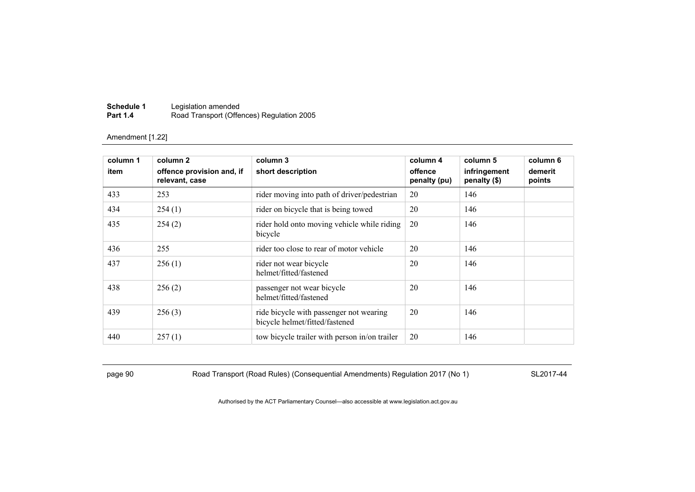| Schedule 1      | Legislation amended                       |
|-----------------|-------------------------------------------|
| <b>Part 1.4</b> | Road Transport (Offences) Regulation 2005 |

| column 1<br>item | column 2<br>offence provision and, if | column 3<br>short description                                             | column 4<br>offence | column 5<br>infringement | column 6<br>demerit |
|------------------|---------------------------------------|---------------------------------------------------------------------------|---------------------|--------------------------|---------------------|
| 433              | relevant, case<br>253                 | rider moving into path of driver/pedestrian                               | penalty (pu)<br>20  | penalty (\$)<br>146      | points              |
|                  |                                       |                                                                           |                     |                          |                     |
| 434              | 254(1)                                | rider on bicycle that is being towed                                      | 20                  | 146                      |                     |
| 435              | 254(2)                                | rider hold onto moving vehicle while riding<br>bicycle                    | 20                  | 146                      |                     |
| 436              | 255                                   | rider too close to rear of motor vehicle                                  | 20                  | 146                      |                     |
| 437              | 256(1)                                | rider not wear bicycle<br>helmet/fitted/fastened                          | 20                  | 146                      |                     |
| 438              | 256(2)                                | passenger not wear bicycle<br>helmet/fitted/fastened                      | 20                  | 146                      |                     |
| 439              | 256(3)                                | ride bicycle with passenger not wearing<br>bicycle helmet/fitted/fastened | 20                  | 146                      |                     |
| 440              | 257(1)                                | tow bicycle trailer with person in/on trailer                             | 20                  | 146                      |                     |

page 90 Road Transport (Road Rules) (Consequential Amendments) Regulation 2017 (No 1) SL2017-44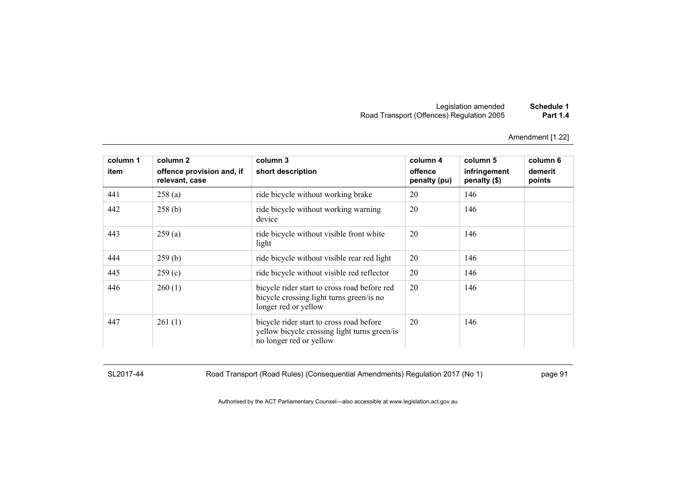| Schedule 1      | Legislation amended                       |
|-----------------|-------------------------------------------|
| <b>Part 1.4</b> | Road Transport (Offences) Regulation 2005 |

| column 1 | column 2                                    | column 3                                                                                                            | column 4                | column 5                     | column 6          |
|----------|---------------------------------------------|---------------------------------------------------------------------------------------------------------------------|-------------------------|------------------------------|-------------------|
| item     | offence provision and, if<br>relevant, case | short description                                                                                                   | offence<br>penalty (pu) | infringement<br>penalty (\$) | demerit<br>points |
| 441      | 258(a)                                      | ride bicycle without working brake                                                                                  | 20                      | 146                          |                   |
| 442      | 258(b)                                      | ride bicycle without working warning<br>device                                                                      | 20                      | 146                          |                   |
| 443      | 259(a)                                      | ride bicycle without visible front white<br>light                                                                   | 20                      | 146                          |                   |
| 444      | 259(b)                                      | ride bicycle without visible rear red light                                                                         | 20                      | 146                          |                   |
| 445      | 259(c)                                      | ride bicycle without visible red reflector                                                                          | 20                      | 146                          |                   |
| 446      | 260(1)                                      | bicycle rider start to cross road before red<br>bicycle crossing light turns green/is no<br>longer red or yellow    | 20                      | 146                          |                   |
| 447      | 261(1)                                      | bicycle rider start to cross road before<br>yellow bicycle crossing light turns green/is<br>no longer red or yellow | 20                      | 146                          |                   |

SL2017-44 Road Transport (Road Rules) (Consequential Amendments) Regulation 2017 (No 1) page 91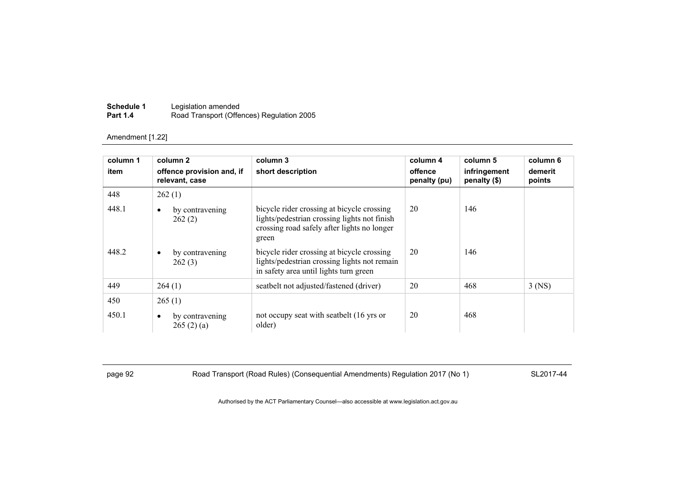| Schedule 1      | Legislation amended                       |
|-----------------|-------------------------------------------|
| <b>Part 1.4</b> | Road Transport (Offences) Regulation 2005 |

| column 1 | column 2                                    | column 3                                                                                                                                           | column 4                | column 5                     | column 6          |
|----------|---------------------------------------------|----------------------------------------------------------------------------------------------------------------------------------------------------|-------------------------|------------------------------|-------------------|
| item     | offence provision and, if<br>relevant, case | short description                                                                                                                                  | offence<br>penalty (pu) | infringement<br>penalty (\$) | demerit<br>points |
| 448      | 262(1)                                      |                                                                                                                                                    |                         |                              |                   |
| 448.1    | by contravening<br>٠<br>262(2)              | bicycle rider crossing at bicycle crossing<br>lights/pedestrian crossing lights not finish<br>crossing road safely after lights no longer<br>green | 20                      | 146                          |                   |
| 448.2    | by contravening<br>$\bullet$<br>262(3)      | bicycle rider crossing at bicycle crossing<br>lights/pedestrian crossing lights not remain<br>in safety area until lights turn green               | 20                      | 146                          |                   |
| 449      | 264(1)                                      | seatbelt not adjusted/fastened (driver)                                                                                                            | 20                      | 468                          | $3$ (NS)          |
| 450      | 265(1)                                      |                                                                                                                                                    |                         |                              |                   |
| 450.1    | by contravening<br>$\bullet$<br>265(2)(a)   | not occupy seat with seatbelt (16 yrs or<br>older)                                                                                                 | 20                      | 468                          |                   |

page 92 Road Transport (Road Rules) (Consequential Amendments) Regulation 2017 (No 1) SL2017-44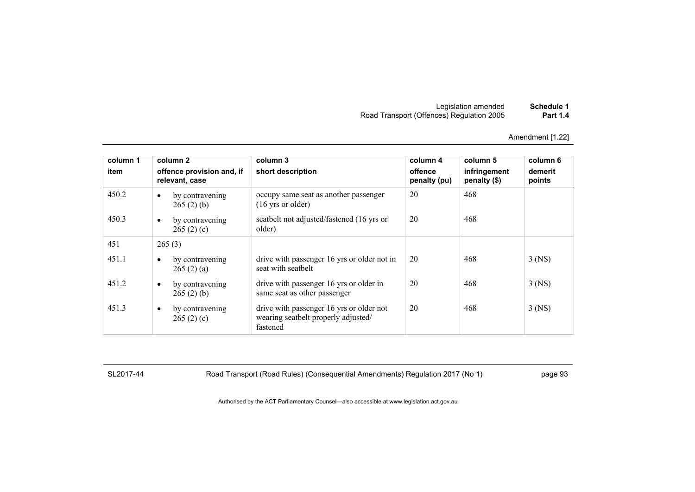| Schedule 1      | Legislation amended                       |
|-----------------|-------------------------------------------|
| <b>Part 1.4</b> | Road Transport (Offences) Regulation 2005 |

| column 1<br>item | column 2<br>offence provision and, if<br>relevant, case | column 3<br>short description                                                               | column 4<br>offence<br>penalty (pu) | column 5<br>infringement<br>penalty (\$) | column 6<br>demerit<br>points |
|------------------|---------------------------------------------------------|---------------------------------------------------------------------------------------------|-------------------------------------|------------------------------------------|-------------------------------|
| 450.2            | by contravening<br>$\bullet$<br>265(2)(b)               | occupy same seat as another passenger<br>$(16 \text{ yrs or older})$                        | 20                                  | 468                                      |                               |
| 450.3            | by contravening<br>$\bullet$<br>265(2)(c)               | seatbelt not adjusted/fastened (16 yrs or<br>older)                                         | 20                                  | 468                                      |                               |
| 451              | 265(3)                                                  |                                                                                             |                                     |                                          |                               |
| 451.1            | by contravening<br>$\bullet$<br>265(2)(a)               | drive with passenger 16 yrs or older not in<br>seat with seathelt                           | 20                                  | 468                                      | $3$ (NS)                      |
| 451.2            | by contravening<br>$\bullet$<br>265(2)(b)               | drive with passenger 16 yrs or older in<br>same seat as other passenger                     | 20                                  | 468                                      | $3$ (NS)                      |
| 451.3            | by contravening<br>$\bullet$<br>265(2)(c)               | drive with passenger 16 yrs or older not<br>wearing seatbelt properly adjusted/<br>fastened | 20                                  | 468                                      | $3$ (NS)                      |

SL2017-44 Road Transport (Road Rules) (Consequential Amendments) Regulation 2017 (No 1) page 93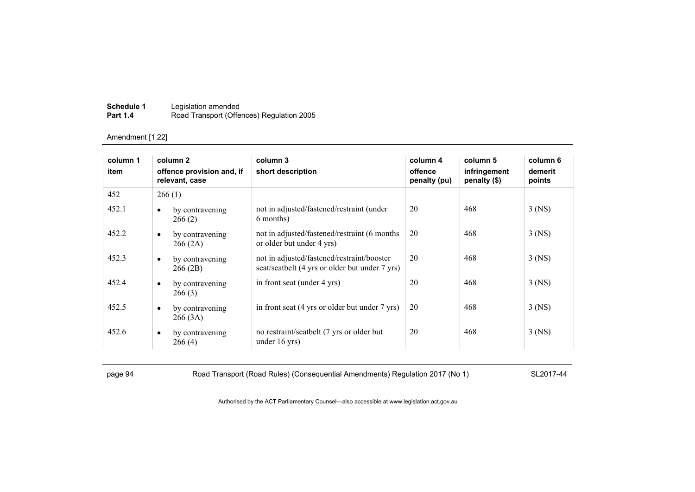| Schedule 1      | Legislation amended                       |
|-----------------|-------------------------------------------|
| <b>Part 1.4</b> | Road Transport (Offences) Regulation 2005 |

| column 1 |           | column 2                                    | column 3                                                                                     | column 4                | column 5                       | column 6          |
|----------|-----------|---------------------------------------------|----------------------------------------------------------------------------------------------|-------------------------|--------------------------------|-------------------|
| item     |           | offence provision and, if<br>relevant, case | short description                                                                            | offence<br>penalty (pu) | infringement<br>penalty $(\$)$ | demerit<br>points |
| 452      | 266(1)    |                                             |                                                                                              |                         |                                |                   |
| 452.1    | $\bullet$ | by contravening<br>266(2)                   | not in adjusted/fastened/restraint (under<br>6 months)                                       | 20                      | 468                            | $3$ (NS)          |
| 452.2    | $\bullet$ | by contravening<br>266(2A)                  | not in adjusted/fastened/restraint (6 months)<br>or older but under 4 yrs)                   | 20                      | 468                            | $3$ (NS)          |
| 452.3    | $\bullet$ | by contravening<br>266 (2B)                 | not in adjusted/fastened/restraint/booster<br>seat/seatbelt (4 yrs or older but under 7 yrs) | 20                      | 468                            | $3$ (NS)          |
| 452.4    | $\bullet$ | by contravening<br>266(3)                   | in front seat (under 4 yrs)                                                                  | 20                      | 468                            | $3$ (NS)          |
| 452.5    | $\bullet$ | by contravening<br>266(3A)                  | in front seat (4 yrs or older but under 7 yrs)                                               | 20                      | 468                            | $3$ (NS)          |
| 452.6    | $\bullet$ | by contravening<br>266(4)                   | no restraint/seatbelt (7 yrs or older but<br>under $16$ yrs)                                 | 20                      | 468                            | 3 (NS)            |

page 94 Road Transport (Road Rules) (Consequential Amendments) Regulation 2017 (No 1) SL2017-44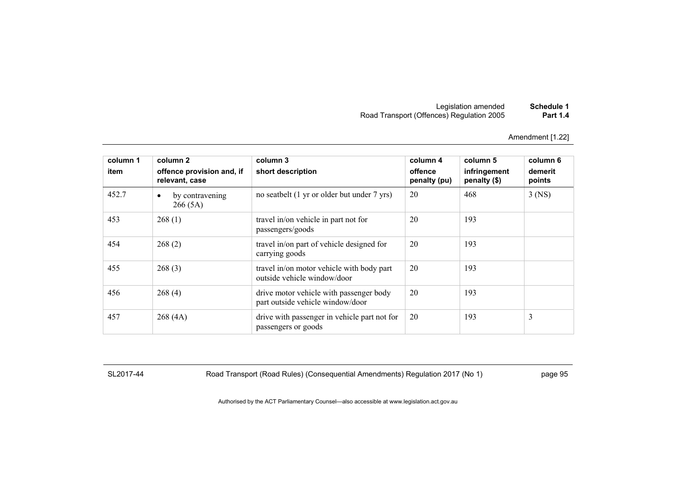| Schedule 1      | Legislation amended                       |
|-----------------|-------------------------------------------|
| <b>Part 1.4</b> | Road Transport (Offences) Regulation 2005 |

| column 1<br>item | column 2<br>offence provision and, if<br>relevant, case | column 3<br>short description                                               | column 4<br>offence<br>penalty (pu) | column 5<br>infringement<br>penalty (\$) | column 6<br>demerit<br>points |
|------------------|---------------------------------------------------------|-----------------------------------------------------------------------------|-------------------------------------|------------------------------------------|-------------------------------|
| 452.7            | by contravening<br>٠<br>266(5A)                         | no seatbelt (1 yr or older but under 7 yrs)                                 | 20                                  | 468                                      | $3$ (NS)                      |
| 453              | 268(1)                                                  | travel in/on vehicle in part not for<br>passengers/goods                    | 20                                  | 193                                      |                               |
| 454              | 268(2)                                                  | travel in/on part of vehicle designed for<br>carrying goods                 | 20                                  | 193                                      |                               |
| 455              | 268(3)                                                  | travel in/on motor vehicle with body part<br>outside vehicle window/door    | 20                                  | 193                                      |                               |
| 456              | 268(4)                                                  | drive motor vehicle with passenger body<br>part outside vehicle window/door | 20                                  | 193                                      |                               |
| 457              | 268(4A)                                                 | drive with passenger in vehicle part not for<br>passengers or goods         | 20                                  | 193                                      | 3                             |

SL2017-44 Road Transport (Road Rules) (Consequential Amendments) Regulation 2017 (No 1) page 95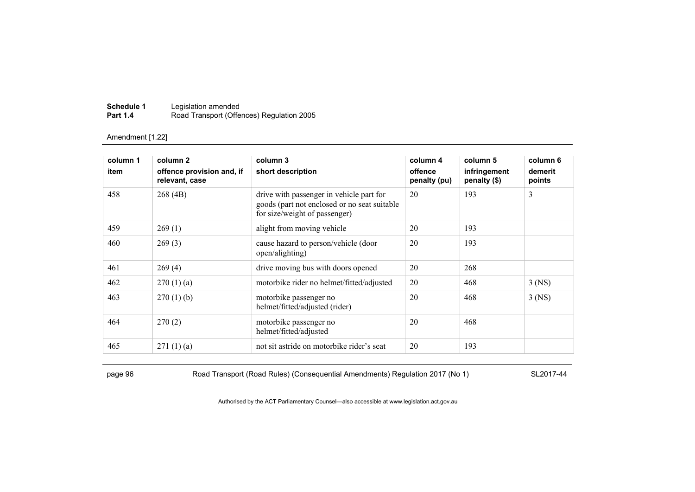| Schedule 1      | Legislation amended                       |
|-----------------|-------------------------------------------|
| <b>Part 1.4</b> | Road Transport (Offences) Regulation 2005 |

| column 1 | column 2                                    | column 3                                                                                                                  | column 4                | column 5                     | column 6          |
|----------|---------------------------------------------|---------------------------------------------------------------------------------------------------------------------------|-------------------------|------------------------------|-------------------|
| item     | offence provision and, if<br>relevant, case | short description                                                                                                         | offence<br>penalty (pu) | infringement<br>penalty (\$) | demerit<br>points |
| 458      | 268(4B)                                     | drive with passenger in vehicle part for<br>goods (part not enclosed or no seat suitable<br>for size/weight of passenger) | 20                      | 193                          | 3                 |
| 459      | 269(1)                                      | alight from moving vehicle                                                                                                | 20                      | 193                          |                   |
| 460      | 269(3)                                      | cause hazard to person/vehicle (door<br>open/alighting)                                                                   | 20                      | 193                          |                   |
| 461      | 269(4)                                      | drive moving bus with doors opened                                                                                        | 20                      | 268                          |                   |
| 462      | 270(1)(a)                                   | motorbike rider no helmet/fitted/adjusted                                                                                 | 20                      | 468                          | $3$ (NS)          |
| 463      | $270(1)$ (b)                                | motorbike passenger no<br>helmet/fitted/adjusted (rider)                                                                  | 20                      | 468                          | $3$ (NS)          |
| 464      | 270(2)                                      | motorbike passenger no<br>helmet/fitted/adjusted                                                                          | 20                      | 468                          |                   |
| 465      | 271(1)(a)                                   | not sit astride on motorbike rider's seat                                                                                 | 20                      | 193                          |                   |

page 96 Road Transport (Road Rules) (Consequential Amendments) Regulation 2017 (No 1) SL2017-44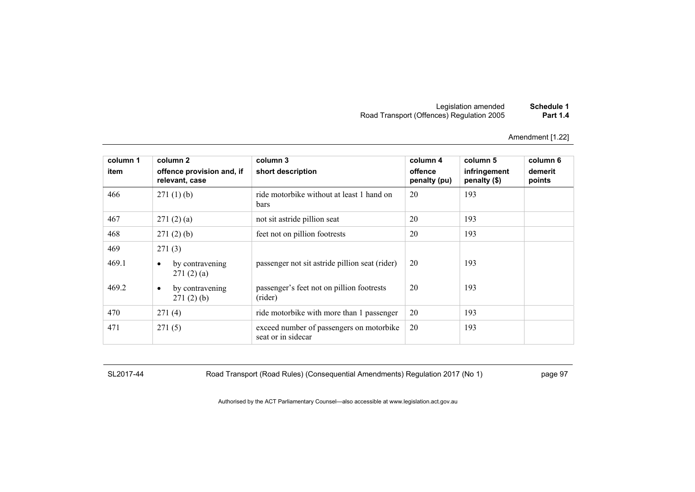| Schedule 1      | Legislation amended                       |
|-----------------|-------------------------------------------|
| <b>Part 1.4</b> | Road Transport (Offences) Regulation 2005 |

| column 1<br>item | column 2<br>offence provision and, if<br>relevant, case | column 3<br>short description                                  | column 4<br>offence<br>penalty (pu) | column 5<br>infringement<br>penalty (\$) | column 6<br>demerit<br>points |
|------------------|---------------------------------------------------------|----------------------------------------------------------------|-------------------------------------|------------------------------------------|-------------------------------|
| 466              | 271(1)(b)                                               | ride motorbike without at least 1 hand on<br>bars              | 20                                  | 193                                      |                               |
| 467              | 271(2)(a)                                               | not sit astride pillion seat                                   | 20                                  | 193                                      |                               |
| 468              | 271(2)(b)                                               | feet not on pillion footrests                                  | 20                                  | 193                                      |                               |
| 469<br>469.1     | 271(3)<br>by contravening<br>$\bullet$<br>271(2)(a)     | passenger not sit astride pillion seat (rider)                 | 20                                  | 193                                      |                               |
| 469.2            | by contravening<br>$\bullet$<br>271(2)(b)               | passenger's feet not on pillion footrests<br>(rider)           | 20                                  | 193                                      |                               |
| 470              | 271(4)                                                  | ride motorbike with more than 1 passenger                      | 20                                  | 193                                      |                               |
| 471              | 271(5)                                                  | exceed number of passengers on motorbike<br>seat or in sidecar | 20                                  | 193                                      |                               |

SL2017-44 Road Transport (Road Rules) (Consequential Amendments) Regulation 2017 (No 1) page 97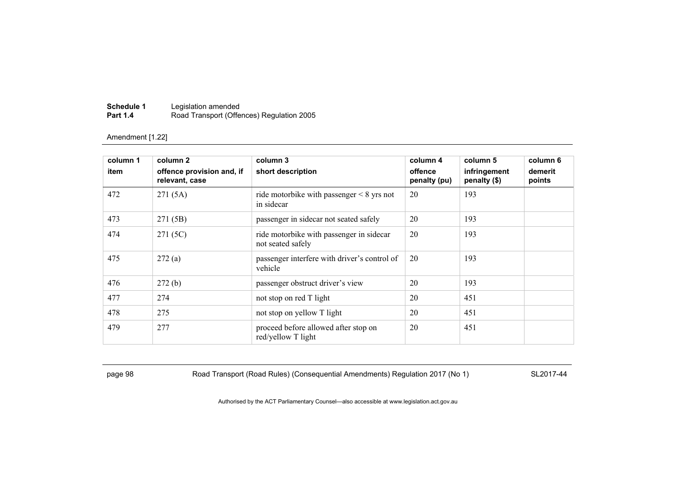| Schedule 1      | Legislation amended                       |
|-----------------|-------------------------------------------|
| <b>Part 1.4</b> | Road Transport (Offences) Regulation 2005 |

| column 1<br>item | column 2<br>offence provision and, if<br>relevant, case | column 3<br>short description                                 | column 4<br>offence<br>penalty (pu) | column 5<br>infringement<br>penalty (\$) | column 6<br>demerit<br>points |
|------------------|---------------------------------------------------------|---------------------------------------------------------------|-------------------------------------|------------------------------------------|-------------------------------|
| 472              | 271(5A)                                                 | ride motorbike with passenger $\leq 8$ yrs not<br>in sidecar  | 20                                  | 193                                      |                               |
| 473              | 271 (5B)                                                | passenger in sidecar not seated safely                        | 20                                  | 193                                      |                               |
| 474              | 271 (5C)                                                | ride motorbike with passenger in sidecar<br>not seated safely | 20                                  | 193                                      |                               |
| 475              | 272(a)                                                  | passenger interfere with driver's control of<br>vehicle       | 20                                  | 193                                      |                               |
| 476              | 272(b)                                                  | passenger obstruct driver's view                              | 20                                  | 193                                      |                               |
| 477              | 274                                                     | not stop on red T light                                       | 20                                  | 451                                      |                               |
| 478              | 275                                                     | not stop on yellow T light                                    | 20                                  | 451                                      |                               |
| 479              | 277                                                     | proceed before allowed after stop on<br>red/yellow T light    | 20                                  | 451                                      |                               |

page 98 Road Transport (Road Rules) (Consequential Amendments) Regulation 2017 (No 1) SL2017-44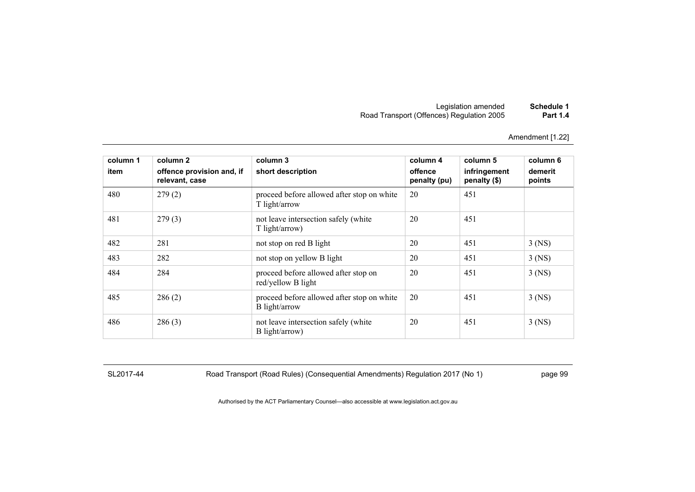Amendment [1.22]

| column 1<br>item | column 2<br>offence provision and, if<br>relevant, case | column 3<br>short description                               | column 4<br>offence<br>penalty (pu) | column 5<br>infringement<br>penalty (\$) | column 6<br>demerit<br>points |
|------------------|---------------------------------------------------------|-------------------------------------------------------------|-------------------------------------|------------------------------------------|-------------------------------|
| 480              | 279(2)                                                  | proceed before allowed after stop on white<br>T light/arrow | 20                                  | 451                                      |                               |
| 481              | 279(3)                                                  | not leave intersection safely (white<br>T light/arrow)      | 20                                  | 451                                      |                               |
| 482              | 281                                                     | not stop on red B light                                     | 20                                  | 451                                      | $3$ (NS)                      |
| 483              | 282                                                     | not stop on yellow B light                                  | 20                                  | 451                                      | $3$ (NS)                      |
| 484              | 284                                                     | proceed before allowed after stop on<br>red/yellow B light  | 20                                  | 451                                      | $3$ (NS)                      |
| 485              | 286(2)                                                  | proceed before allowed after stop on white<br>B light/arrow | 20                                  | 451                                      | $3$ (NS)                      |
| 486              | 286(3)                                                  | not leave intersection safely (white<br>B light/arrow)      | 20                                  | 451                                      | $3$ (NS)                      |

SL2017-44 Road Transport (Road Rules) (Consequential Amendments) Regulation 2017 (No 1) page 99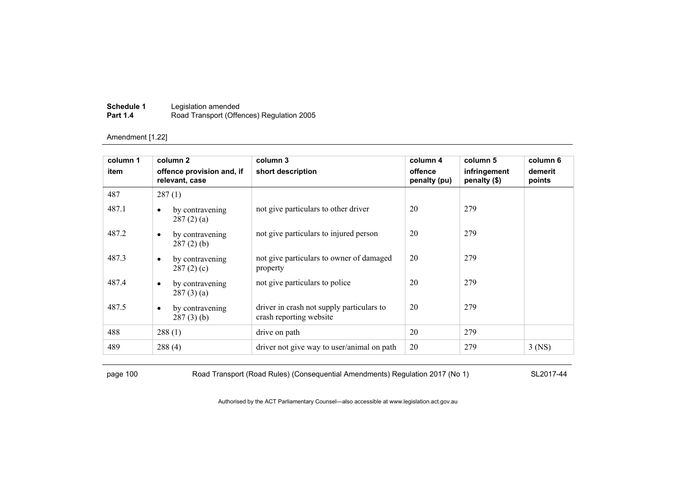| Schedule 1      | Legislation amended                       |
|-----------------|-------------------------------------------|
| <b>Part 1.4</b> | Road Transport (Offences) Regulation 2005 |

| column 1 | column 2                                     | column 3                                                             | column 4                | column 5                     | column 6          |
|----------|----------------------------------------------|----------------------------------------------------------------------|-------------------------|------------------------------|-------------------|
| item     | offence provision and, if<br>relevant, case  | short description                                                    | offence<br>penalty (pu) | infringement<br>penalty (\$) | demerit<br>points |
| 487      | 287(1)                                       |                                                                      |                         |                              |                   |
| 487.1    | by contravening<br>$\bullet$<br>287(2)(a)    | not give particulars to other driver                                 | 20                      | 279                          |                   |
| 487.2    | by contravening<br>$\bullet$<br>$287(2)$ (b) | not give particulars to injured person                               | 20                      | 279                          |                   |
| 487.3    | by contravening<br>$\bullet$<br>287(2)(c)    | not give particulars to owner of damaged<br>property                 | 20                      | 279                          |                   |
| 487.4    | by contravening<br>$\bullet$<br>287(3)(a)    | not give particulars to police                                       | 20                      | 279                          |                   |
| 487.5    | by contravening<br>$\bullet$<br>$287(3)$ (b) | driver in crash not supply particulars to<br>crash reporting website | 20                      | 279                          |                   |
| 488      | 288(1)                                       | drive on path                                                        | 20                      | 279                          |                   |
| 489      | 288(4)                                       | driver not give way to user/animal on path                           | 20                      | 279                          | $3$ (NS)          |

page 100 Road Transport (Road Rules) (Consequential Amendments) Regulation 2017 (No 1) SL2017-44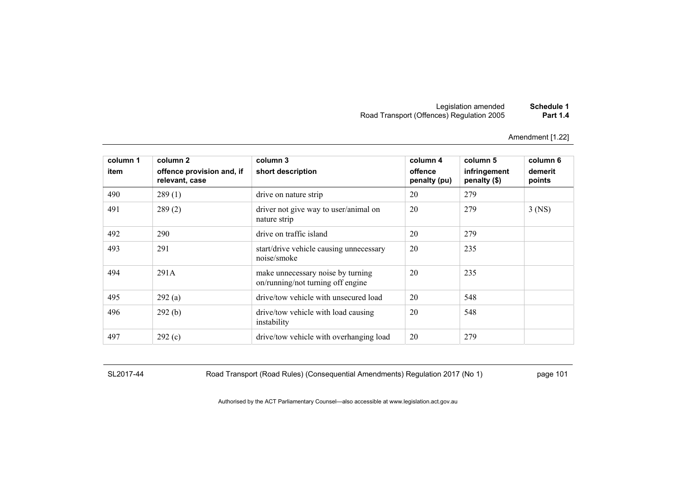Amendment [1.22]

| column 1<br>item | column 2<br>offence provision and, if<br>relevant, case | column 3<br>short description                                          | column 4<br>offence<br>penalty (pu) | column 5<br>infringement<br>penalty (\$) | column 6<br>demerit<br>points |
|------------------|---------------------------------------------------------|------------------------------------------------------------------------|-------------------------------------|------------------------------------------|-------------------------------|
| 490              | 289(1)                                                  | drive on nature strip                                                  | 20                                  | 279                                      |                               |
| 491              | 289(2)                                                  | driver not give way to user/animal on<br>nature strip                  | 20                                  | 279                                      | $3$ (NS)                      |
| 492              | 290                                                     | drive on traffic island                                                | 20                                  | 279                                      |                               |
| 493              | 291                                                     | start/drive vehicle causing unnecessary<br>noise/smoke                 | 20                                  | 235                                      |                               |
| 494              | 291A                                                    | make unnecessary noise by turning<br>on/running/not turning off engine | 20                                  | 235                                      |                               |
| 495              | 292(a)                                                  | drive/tow vehicle with unsecured load                                  | 20                                  | 548                                      |                               |
| 496              | 292(b)                                                  | drive/tow vehicle with load causing<br>instability                     | 20                                  | 548                                      |                               |
| 497              | 292(c)                                                  | drive/tow vehicle with overhanging load                                | 20                                  | 279                                      |                               |

SL2017-44 Road Transport (Road Rules) (Consequential Amendments) Regulation 2017 (No 1) page 101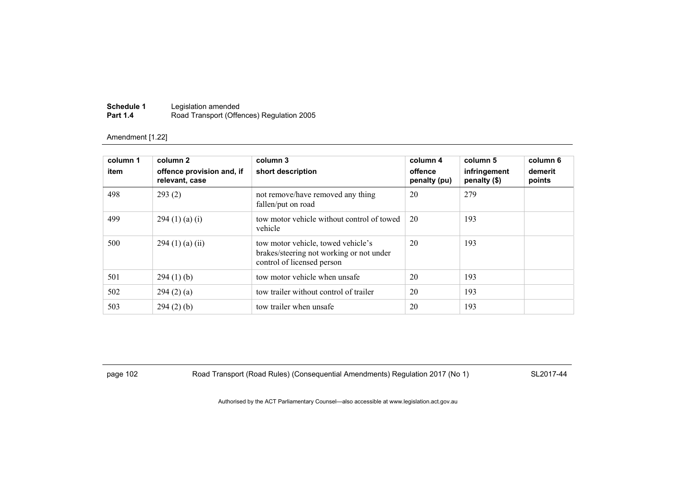| Schedule 1      | Legislation amended                       |
|-----------------|-------------------------------------------|
| <b>Part 1.4</b> | Road Transport (Offences) Regulation 2005 |

| column 1<br>item | column 2<br>offence provision and, if<br>relevant, case | column 3<br>short description                                                                                | column 4<br>offence<br>penalty (pu) | column 5<br>infringement<br>penalty (\$) | column 6<br>demerit<br>points |
|------------------|---------------------------------------------------------|--------------------------------------------------------------------------------------------------------------|-------------------------------------|------------------------------------------|-------------------------------|
| 498              | 293(2)                                                  | not remove/have removed any thing<br>fallen/put on road                                                      | 20                                  | 279                                      |                               |
| 499              | 294(1)(a)(i)                                            | tow motor vehicle without control of towed<br>vehicle                                                        | 20                                  | 193                                      |                               |
| 500              | 294(1)(a)(ii)                                           | tow motor vehicle, towed vehicle's<br>brakes/steering not working or not under<br>control of licensed person | 20                                  | 193                                      |                               |
| 501              | 294(1)(b)                                               | tow motor vehicle when unsafe                                                                                | 20                                  | 193                                      |                               |
| 502              | 294(2)(a)                                               | tow trailer without control of trailer                                                                       | 20                                  | 193                                      |                               |
| 503              | $294(2)$ (b)                                            | tow trailer when unsafe                                                                                      | 20                                  | 193                                      |                               |

page 102 Road Transport (Road Rules) (Consequential Amendments) Regulation 2017 (No 1) SL2017-44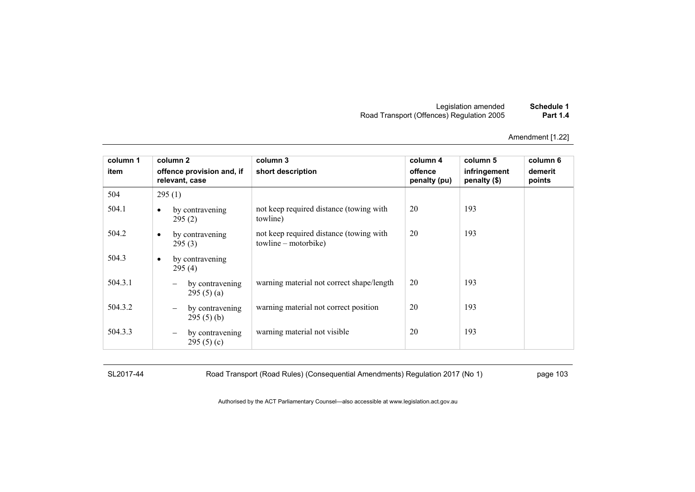| Schedule 1      | Legislation amended                       |
|-----------------|-------------------------------------------|
| <b>Part 1.4</b> | Road Transport (Offences) Regulation 2005 |

| column 1 | column 2                                                 | column 3                                                        | column 4                | column 5                     | column 6          |
|----------|----------------------------------------------------------|-----------------------------------------------------------------|-------------------------|------------------------------|-------------------|
| item     | offence provision and, if<br>relevant, case              | short description                                               | offence<br>penalty (pu) | infringement<br>penalty (\$) | demerit<br>points |
| 504      | 295(1)                                                   |                                                                 |                         |                              |                   |
| 504.1    | by contravening<br>$\bullet$<br>295(2)                   | not keep required distance (towing with<br>towline)             | 20                      | 193                          |                   |
| 504.2    | by contravening<br>$\bullet$<br>295(3)                   | not keep required distance (towing with<br>towline – motorbike) | 20                      | 193                          |                   |
| 504.3    | by contravening<br>$\bullet$<br>295(4)                   |                                                                 |                         |                              |                   |
| 504.3.1  | by contravening<br>295(5)(a)                             | warning material not correct shape/length                       | 20                      | 193                          |                   |
| 504.3.2  | by contravening<br>$\overline{\phantom{m}}$<br>295(5)(b) | warning material not correct position                           | 20                      | 193                          |                   |
| 504.3.3  | by contravening<br>$\qquad \qquad -$<br>295 $(5)(c)$     | warning material not visible                                    | 20                      | 193                          |                   |

SL2017-44 Road Transport (Road Rules) (Consequential Amendments) Regulation 2017 (No 1) page 103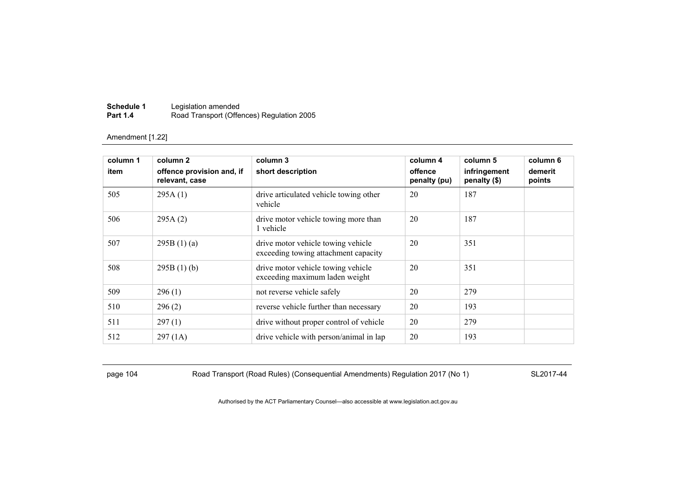| Schedule 1      | Legislation amended                       |
|-----------------|-------------------------------------------|
| <b>Part 1.4</b> | Road Transport (Offences) Regulation 2005 |

| column 1<br>item | column 2<br>offence provision and, if<br>relevant, case | column 3<br>short description                                              | column 4<br>offence<br>penalty (pu) | column 5<br>infringement<br>penalty (\$) | column 6<br>demerit<br>points |
|------------------|---------------------------------------------------------|----------------------------------------------------------------------------|-------------------------------------|------------------------------------------|-------------------------------|
| 505              | 295A(1)                                                 | drive articulated vehicle towing other<br>vehicle                          | 20                                  | 187                                      |                               |
| 506              | 295A(2)                                                 | drive motor vehicle towing more than<br>1 vehicle                          | 20                                  | 187                                      |                               |
| 507              | 295B(1)(a)                                              | drive motor vehicle towing vehicle<br>exceeding towing attachment capacity | 20                                  | 351                                      |                               |
| 508              | 295B(1)(b)                                              | drive motor vehicle towing vehicle<br>exceeding maximum laden weight       | 20                                  | 351                                      |                               |
| 509              | 296(1)                                                  | not reverse vehicle safely                                                 | 20                                  | 279                                      |                               |
| 510              | 296(2)                                                  | reverse vehicle further than necessary                                     | 20                                  | 193                                      |                               |
| 511              | 297(1)                                                  | drive without proper control of vehicle                                    | 20                                  | 279                                      |                               |
| 512              | 297(1A)                                                 | drive vehicle with person/animal in lap                                    | 20                                  | 193                                      |                               |

page 104 Road Transport (Road Rules) (Consequential Amendments) Regulation 2017 (No 1) SL2017-44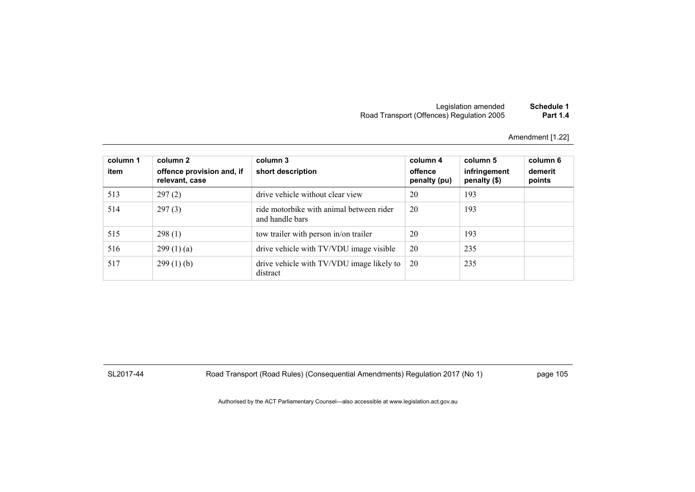Amendment [1.22]

| column 1<br>item | column 2<br>offence provision and, if<br>relevant, case | column 3<br>short description                               | column 4<br>offence<br>penalty (pu) | column 5<br>infringement<br>penalty (\$) | column 6<br>demerit<br>points |
|------------------|---------------------------------------------------------|-------------------------------------------------------------|-------------------------------------|------------------------------------------|-------------------------------|
| 513              | 297(2)                                                  | drive vehicle without clear view                            | 20                                  | 193                                      |                               |
| 514              | 297(3)                                                  | ride motorbike with animal between rider<br>and handle bars | 20                                  | 193                                      |                               |
| 515              | 298(1)                                                  | tow trailer with person in/on trailer                       | 20                                  | 193                                      |                               |
| 516              | 299(1)(a)                                               | drive vehicle with TV/VDU image visible                     | 20                                  | 235                                      |                               |
| 517              | $299(1)$ (b)                                            | drive vehicle with TV/VDU image likely to<br>distract       | 20                                  | 235                                      |                               |

SL2017-44 Road Transport (Road Rules) (Consequential Amendments) Regulation 2017 (No 1) page 105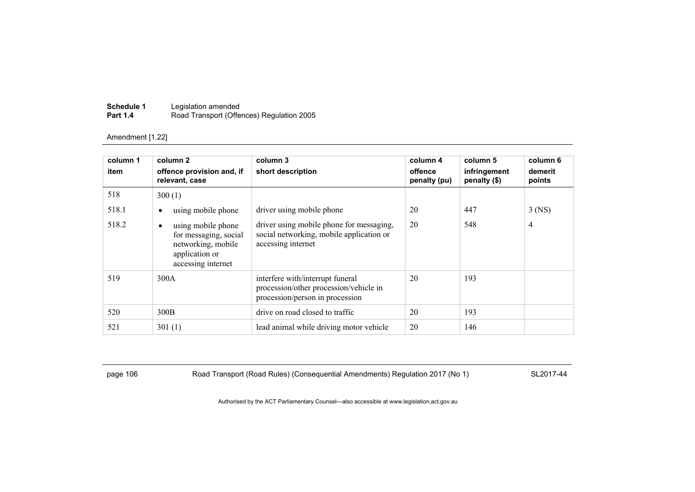| Schedule 1      | Legislation amended                       |
|-----------------|-------------------------------------------|
| <b>Part 1.4</b> | Road Transport (Offences) Regulation 2005 |

| column 1 | column 2                                                                                                       | column 3                                                                                                      | column 4                | column 5                     | column 6          |
|----------|----------------------------------------------------------------------------------------------------------------|---------------------------------------------------------------------------------------------------------------|-------------------------|------------------------------|-------------------|
| item     | offence provision and, if<br>relevant, case                                                                    | short description                                                                                             | offence<br>penalty (pu) | infringement<br>penalty (\$) | demerit<br>points |
| 518      | 300(1)                                                                                                         |                                                                                                               |                         |                              |                   |
| 518.1    | using mobile phone<br>٠                                                                                        | driver using mobile phone                                                                                     | 20                      | 447                          | $3$ (NS)          |
| 518.2    | using mobile phone<br>٠<br>for messaging, social<br>networking, mobile<br>application or<br>accessing internet | driver using mobile phone for messaging,<br>social networking, mobile application or<br>accessing internet    | 20                      | 548                          | 4                 |
| 519      | 300A                                                                                                           | interfere with/interrupt funeral<br>procession/other procession/vehicle in<br>procession/person in procession | 20                      | 193                          |                   |
| 520      | 300B                                                                                                           | drive on road closed to traffic                                                                               | 20                      | 193                          |                   |
| 521      | 301(1)                                                                                                         | lead animal while driving motor vehicle                                                                       | 20                      | 146                          |                   |

page 106 Road Transport (Road Rules) (Consequential Amendments) Regulation 2017 (No 1) SL2017-44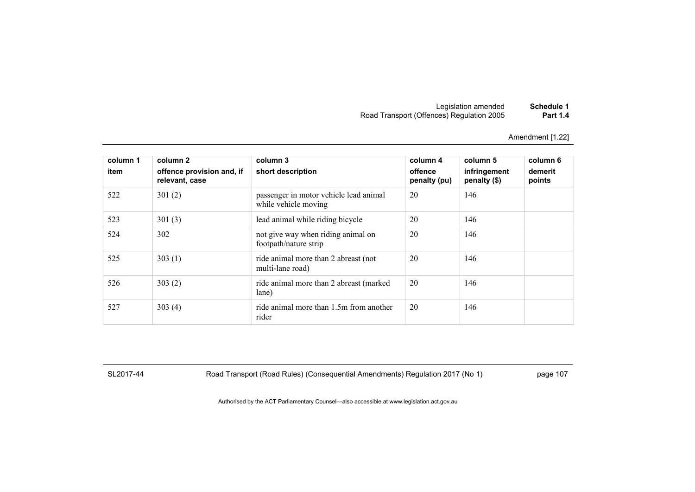Amendment [1.22]

| column 1<br>item | column 2<br>offence provision and, if<br>relevant, case | column 3<br>short description                                  | column 4<br>offence<br>penalty (pu) | column 5<br>infringement<br>penalty (\$) | column 6<br>demerit<br>points |
|------------------|---------------------------------------------------------|----------------------------------------------------------------|-------------------------------------|------------------------------------------|-------------------------------|
| 522              | 301(2)                                                  | passenger in motor vehicle lead animal<br>while vehicle moving | 20                                  | 146                                      |                               |
| 523              | 301(3)                                                  | lead animal while riding bicycle                               | 20                                  | 146                                      |                               |
| 524              | 302                                                     | not give way when riding animal on<br>footpath/nature strip    | 20                                  | 146                                      |                               |
| 525              | 303(1)                                                  | ride animal more than 2 abreast (not<br>multi-lane road)       | 20                                  | 146                                      |                               |
| 526              | 303(2)                                                  | ride animal more than 2 abreast (marked)<br>lane)              | 20                                  | 146                                      |                               |
| 527              | 303(4)                                                  | ride animal more than 1.5m from another<br>rider               | 20                                  | 146                                      |                               |

SL2017-44 Road Transport (Road Rules) (Consequential Amendments) Regulation 2017 (No 1) page 107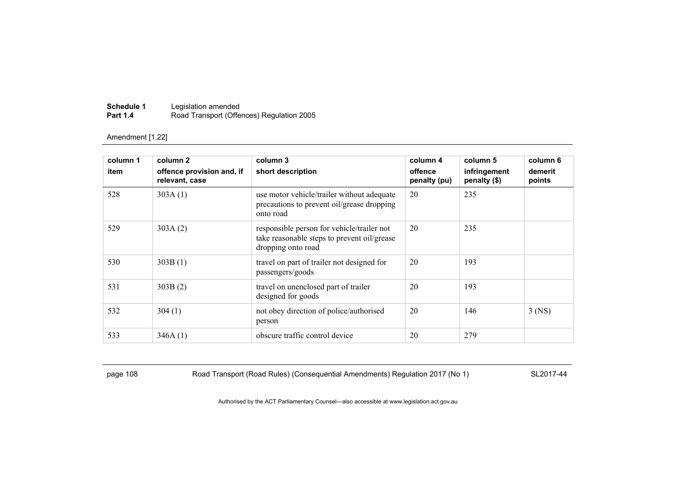| Schedule 1      | Legislation amended                       |
|-----------------|-------------------------------------------|
| <b>Part 1.4</b> | Road Transport (Offences) Regulation 2005 |

| column 1<br>item | column 2<br>offence provision and, if<br>relevant, case | column 3<br>short description                                                                                   | column 4<br>offence<br>penalty (pu) | column 5<br>infringement<br>penalty (\$) | column 6<br>demerit<br>points |
|------------------|---------------------------------------------------------|-----------------------------------------------------------------------------------------------------------------|-------------------------------------|------------------------------------------|-------------------------------|
| 528              | 303A(1)                                                 | use motor vehicle/trailer without adequate<br>precautions to prevent oil/grease dropping<br>onto road           | 20                                  | 235                                      |                               |
| 529              | 303A(2)                                                 | responsible person for vehicle/trailer not<br>take reasonable steps to prevent oil/grease<br>dropping onto road | 20                                  | 235                                      |                               |
| 530              | 303B(1)                                                 | travel on part of trailer not designed for<br>passengers/goods                                                  | 20                                  | 193                                      |                               |
| 531              | 303B(2)                                                 | travel on unenclosed part of trailer<br>designed for goods                                                      | 20                                  | 193                                      |                               |
| 532              | 304(1)                                                  | not obey direction of police/authorised<br>person                                                               | 20                                  | 146                                      | $3$ (NS)                      |
| 533              | 346A(1)                                                 | obscure traffic control device                                                                                  | 20                                  | 279                                      |                               |

page 108 Road Transport (Road Rules) (Consequential Amendments) Regulation 2017 (No 1) SL2017-44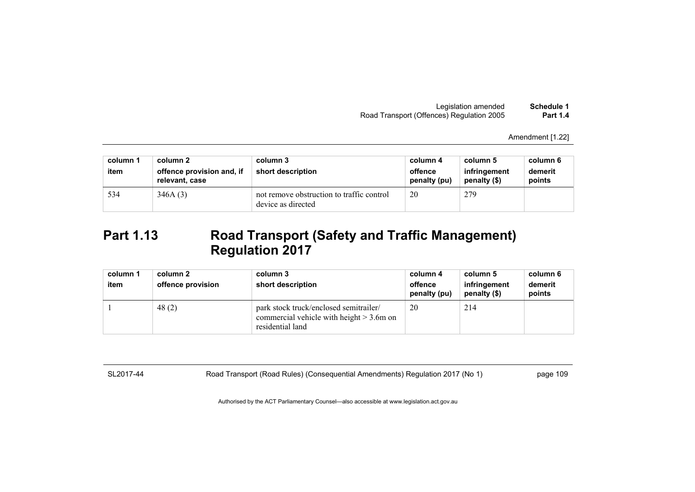Amendment [1.22]

| column 1<br>item | column 2<br>offence provision and, if<br>relevant, case | column 3<br>short description                                   | column 4<br>offence<br>penalty (pu) | column 5<br>infringement<br>penalty (\$) | column 6<br>demerit<br>points |
|------------------|---------------------------------------------------------|-----------------------------------------------------------------|-------------------------------------|------------------------------------------|-------------------------------|
| 534              | 346A(3)                                                 | not remove obstruction to traffic control<br>device as directed | 20                                  | 279                                      |                               |

# **Part 1.13 Road Transport (Safety and Traffic Management) Regulation 2017**

| column 1 | column 2          | column 3                                                                                                  | column 4                | column 5                     | column 6          |
|----------|-------------------|-----------------------------------------------------------------------------------------------------------|-------------------------|------------------------------|-------------------|
| item     | offence provision | short description                                                                                         | offence<br>penalty (pu) | infringement<br>penalty (\$) | demerit<br>points |
|          | 48(2)             | park stock truck/enclosed semitrailer/<br>commercial vehicle with height $> 3.6$ m on<br>residential land | 20                      | 214                          |                   |

SL2017-44 Road Transport (Road Rules) (Consequential Amendments) Regulation 2017 (No 1) page 109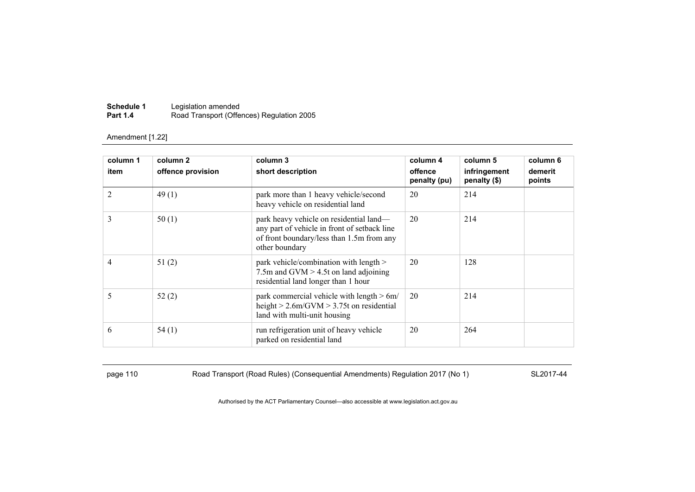| Schedule 1      | Legislation amended                       |
|-----------------|-------------------------------------------|
| <b>Part 1.4</b> | Road Transport (Offences) Regulation 2005 |

| column 1<br>item | column 2<br>offence provision | column 3<br>short description                                                                                                                          | column 4<br>offence<br>penalty (pu) | column 5<br>infringement<br>penalty $(\$)$ | column 6<br>demerit<br>points |
|------------------|-------------------------------|--------------------------------------------------------------------------------------------------------------------------------------------------------|-------------------------------------|--------------------------------------------|-------------------------------|
| $\overline{2}$   | 49(1)                         | park more than 1 heavy vehicle/second<br>heavy vehicle on residential land                                                                             | 20                                  | 214                                        |                               |
| 3                | 50(1)                         | park heavy vehicle on residential land-<br>any part of vehicle in front of setback line<br>of front boundary/less than 1.5m from any<br>other boundary | 20                                  | 214                                        |                               |
| $\overline{4}$   | 51(2)                         | park vehicle/combination with length ><br>7.5m and GVM $>$ 4.5t on land adjoining<br>residential land longer than 1 hour                               | 20                                  | 128                                        |                               |
| 5                | 52(2)                         | park commercial vehicle with length > 6m/<br>height $> 2.6$ m/GVM $> 3.75$ t on residential<br>land with multi-unit housing                            | 20                                  | 214                                        |                               |
| 6                | 54(1)                         | run refrigeration unit of heavy vehicle<br>parked on residential land                                                                                  | 20                                  | 264                                        |                               |

page 110 Road Transport (Road Rules) (Consequential Amendments) Regulation 2017 (No 1) SL2017-44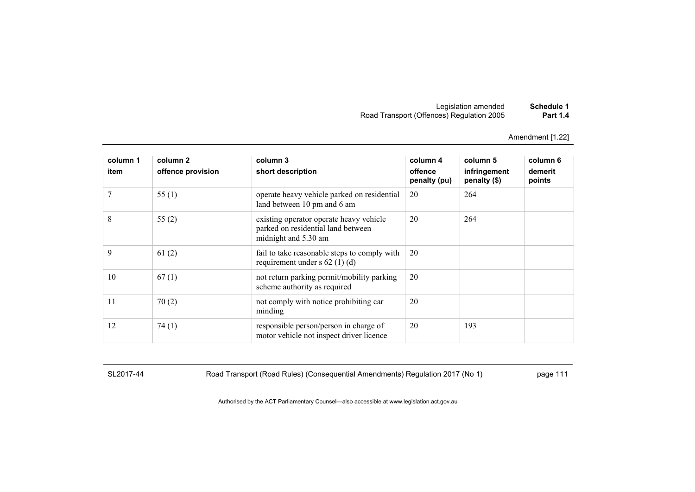Amendment [1.22]

| column 1<br>item | column 2<br>offence provision | column 3<br>short description                                                                         | column 4<br>offence<br>penalty (pu) | column 5<br>infringement<br>penalty (\$) | column 6<br>demerit<br>points |
|------------------|-------------------------------|-------------------------------------------------------------------------------------------------------|-------------------------------------|------------------------------------------|-------------------------------|
|                  | 55 $(1)$                      | operate heavy vehicle parked on residential<br>land between 10 pm and 6 am                            | 20                                  | 264                                      |                               |
| 8                | 55(2)                         | existing operator operate heavy vehicle<br>parked on residential land between<br>midnight and 5.30 am | 20                                  | 264                                      |                               |
| 9                | 61(2)                         | fail to take reasonable steps to comply with<br>requirement under s $62$ (1) (d)                      | 20                                  |                                          |                               |
| 10               | 67(1)                         | not return parking permit/mobility parking<br>scheme authority as required                            | 20                                  |                                          |                               |
| 11               | 70(2)                         | not comply with notice prohibiting car<br>minding                                                     | 20                                  |                                          |                               |
| 12               | 74(1)                         | responsible person/person in charge of<br>motor vehicle not inspect driver licence                    | 20                                  | 193                                      |                               |

SL2017-44 Road Transport (Road Rules) (Consequential Amendments) Regulation 2017 (No 1) page 111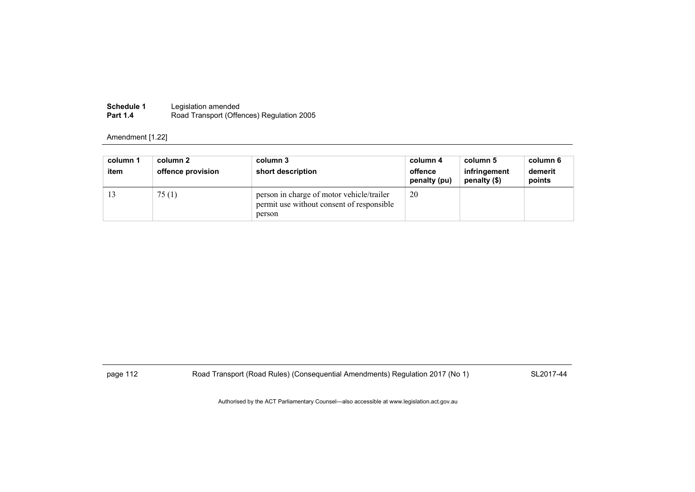| <b>Schedule 1</b> | Legislation amended                       |
|-------------------|-------------------------------------------|
| <b>Part 1.4</b>   | Road Transport (Offences) Regulation 2005 |

| column 1<br>item | column 2<br>offence provision | column 3<br>short description                                                                    | column 4<br>offence<br>penalty (pu) | column 5<br>infringement<br>penalty (\$) | column 6<br>demerit<br>points |
|------------------|-------------------------------|--------------------------------------------------------------------------------------------------|-------------------------------------|------------------------------------------|-------------------------------|
|                  | 75(1)                         | person in charge of motor vehicle/trailer<br>permit use without consent of responsible<br>person | 20                                  |                                          |                               |

page 112 Road Transport (Road Rules) (Consequential Amendments) Regulation 2017 (No 1) SL2017-44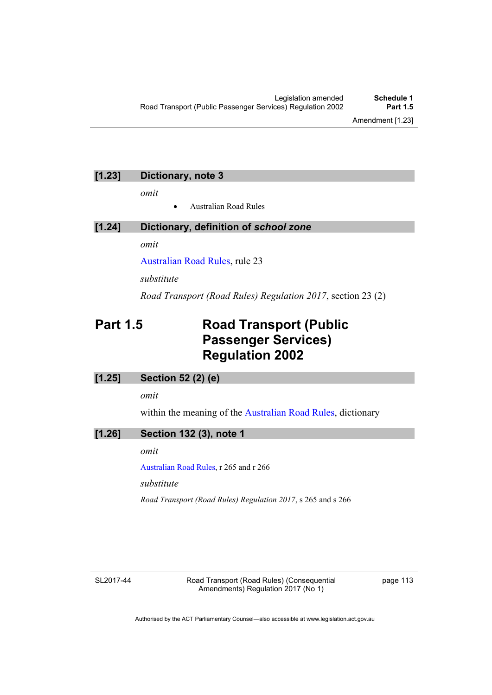# **[1.23] Dictionary, note 3**

*omit* 

Australian Road Rules

## **[1.24] Dictionary, definition of** *school zone*

*omit* 

[Australian Road Rules,](http://www.legislation.act.gov.au//ni/db_37271/default.asp) rule 23

*substitute*

*Road Transport (Road Rules) Regulation 2017*, section 23 (2)

# **Part 1.5 Road Transport (Public Passenger Services) Regulation 2002**

### **[1.25] Section 52 (2) (e)**

*omit* 

within the meaning of the [Australian Road Rules](http://www.legislation.act.gov.au//ni/db_37271/default.asp), dictionary

## **[1.26] Section 132 (3), note 1**

*omit* 

[Australian Road Rules,](http://www.legislation.act.gov.au//ni/db_37271/default.asp) r 265 and r 266

*substitute* 

*Road Transport (Road Rules) Regulation 2017*, s 265 and s 266

SL2017-44

Road Transport (Road Rules) (Consequential Amendments) Regulation 2017 (No 1)

page 113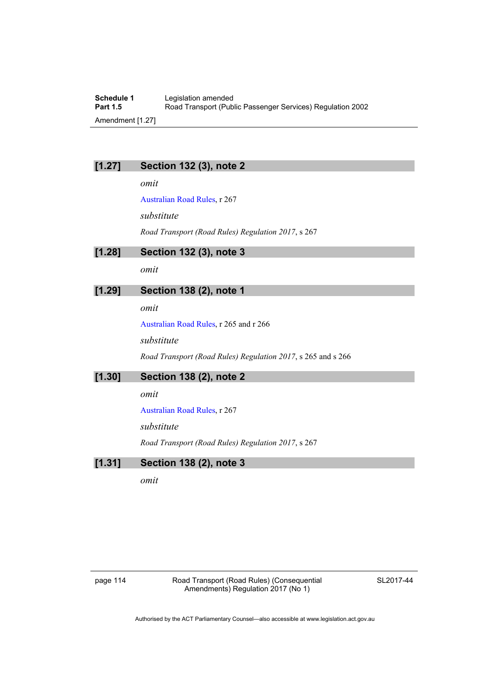**Schedule 1** Legislation amended<br> **Part 1.5** Road Transport (Pub Road Transport (Public Passenger Services) Regulation 2002 Amendment [1.27]

## **[1.27] Section 132 (3), note 2**

*omit* 

[Australian Road Rules,](http://www.legislation.act.gov.au//ni/db_37271/default.asp) r 267

*substitute* 

*Road Transport (Road Rules) Regulation 2017*, s 267

**[1.28] Section 132 (3), note 3** 

*omit* 

## **[1.29] Section 138 (2), note 1**

*omit* 

[Australian Road Rules,](http://www.legislation.act.gov.au//ni/db_37271/default.asp) r 265 and r 266

*substitute* 

*Road Transport (Road Rules) Regulation 2017*, s 265 and s 266

**[1.30] Section 138 (2), note 2** 

*omit* 

[Australian Road Rules,](http://www.legislation.act.gov.au//ni/db_37271/default.asp) r 267

*substitute* 

*Road Transport (Road Rules) Regulation 2017*, s 267

## **[1.31] Section 138 (2), note 3**

*omit* 

page 114 Road Transport (Road Rules) (Consequential Amendments) Regulation 2017 (No 1)

SL2017-44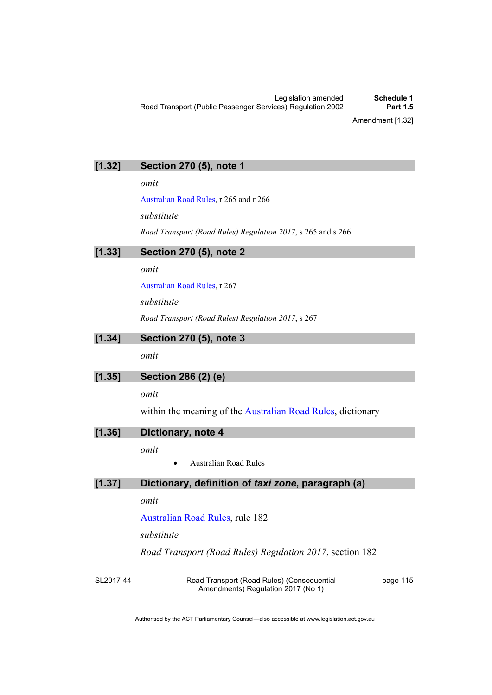### **[1.32] Section 270 (5), note 1**

*omit* 

[Australian Road Rules,](http://www.legislation.act.gov.au//ni/db_37271/default.asp) r 265 and r 266

*substitute* 

*Road Transport (Road Rules) Regulation 2017*, s 265 and s 266

**[1.33] Section 270 (5), note 2** 

*omit* 

[Australian Road Rules,](http://www.legislation.act.gov.au//ni/db_37271/default.asp) r 267

*substitute* 

*Road Transport (Road Rules) Regulation 2017*, s 267

## **[1.34] Section 270 (5), note 3**

*omit* 

### **[1.35] Section 286 (2) (e)**

*omit* 

within the meaning of the [Australian Road Rules](http://www.legislation.act.gov.au//ni/db_37271/default.asp), dictionary

### **[1.36] Dictionary, note 4**

*omit* 

Australian Road Rules

## **[1.37] Dictionary, definition of** *taxi zone***, paragraph (a)**

*omit* 

[Australian Road Rules,](http://www.legislation.act.gov.au//ni/db_37271/default.asp) rule 182

*substitute*

*Road Transport (Road Rules) Regulation 2017*, section 182

SL2017-44

Road Transport (Road Rules) (Consequential Amendments) Regulation 2017 (No 1)

page 115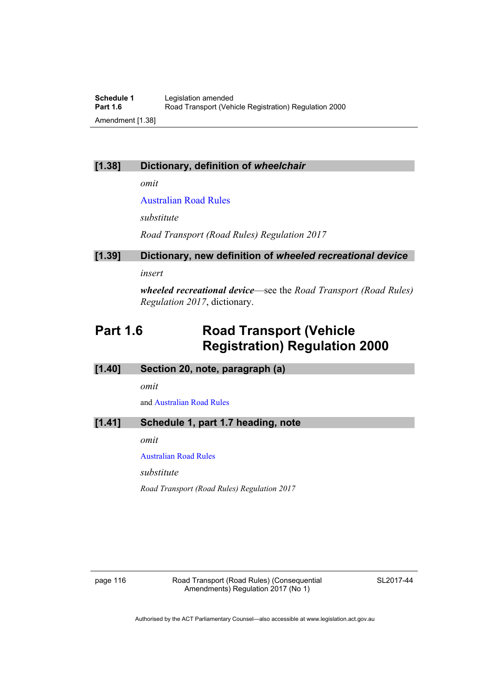## **[1.38] Dictionary, definition of** *wheelchair*

*omit* 

[Australian Road Rules](http://www.legislation.act.gov.au//ni/db_37271/default.asp)

*substitute*

*Road Transport (Road Rules) Regulation 2017* 

# **[1.39] Dictionary, new definition of** *wheeled recreational device*

*insert* 

*wheeled recreational device*—see the *Road Transport (Road Rules) Regulation 2017*, dictionary.

# **Part 1.6 Road Transport (Vehicle Registration) Regulation 2000**

| [1.40] |  |  |  | Section 20, note, paragraph (a) |  |  |
|--------|--|--|--|---------------------------------|--|--|
|--------|--|--|--|---------------------------------|--|--|

*omit* 

and [Australian Road Rules](http://www.legislation.act.gov.au//ni/db_37271/default.asp)

## **[1.41] Schedule 1, part 1.7 heading, note**

*omit* 

[Australian Road Rules](http://www.legislation.act.gov.au//ni/db_37271/default.asp)

*substitute* 

*Road Transport (Road Rules) Regulation 2017* 

page 116 Road Transport (Road Rules) (Consequential Amendments) Regulation 2017 (No 1)

SL2017-44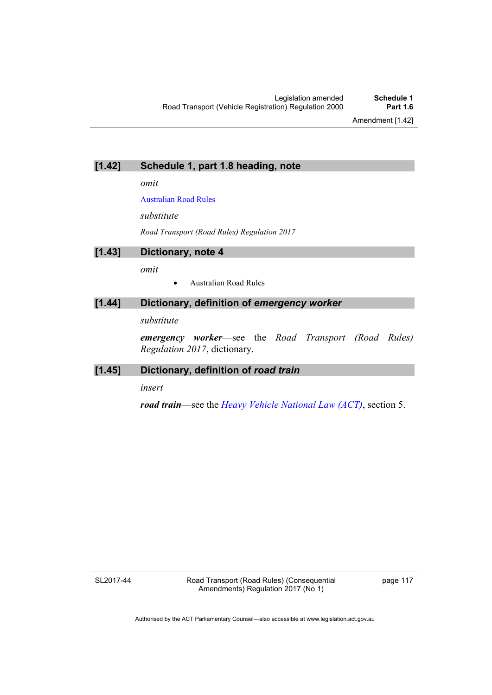## **[1.42] Schedule 1, part 1.8 heading, note**

*omit* 

[Australian Road Rules](http://www.legislation.act.gov.au//ni/db_37271/default.asp)

*substitute* 

*Road Transport (Road Rules) Regulation 2017* 

**[1.43] Dictionary, note 4**  *omit*  Australian Road Rules

## [1.44] Dictionary, definition of *emergency worker*

*substitute* 

*emergency worker*—see the *Road Transport (Road Rules) Regulation 2017*, dictionary.

## **[1.45] Dictionary, definition of** *road train*

*insert* 

*road train*—see the *[Heavy Vehicle National Law \(ACT\)](http://www.legislation.act.gov.au/a/db_49155/default.asp)*, section 5.

SL2017-44

page 117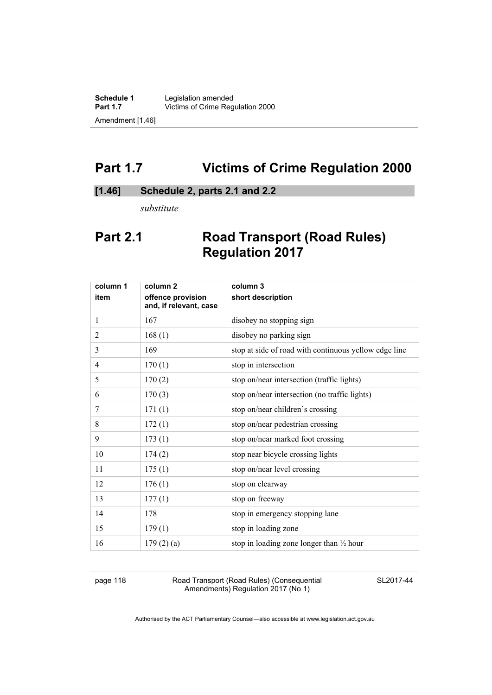# **Part 1.7 Victims of Crime Regulation 2000**

## **[1.46] Schedule 2, parts 2.1 and 2.2**

*substitute* 

# **Part 2.1 Road Transport (Road Rules) Regulation 2017**

| column 1       | column <sub>2</sub>                         | column 3                                              |
|----------------|---------------------------------------------|-------------------------------------------------------|
| item           | offence provision<br>and, if relevant, case | short description                                     |
| $\mathbf{1}$   | 167                                         | disobey no stopping sign                              |
| $\mathfrak{2}$ | 168(1)                                      | disobey no parking sign                               |
| 3              | 169                                         | stop at side of road with continuous yellow edge line |
| 4              | 170(1)                                      | stop in intersection                                  |
| 5              | 170(2)                                      | stop on/near intersection (traffic lights)            |
| 6              | 170(3)                                      | stop on/near intersection (no traffic lights)         |
| 7              | 171(1)                                      | stop on/near children's crossing                      |
| 8              | 172(1)                                      | stop on/near pedestrian crossing                      |
| 9              | 173(1)                                      | stop on/near marked foot crossing                     |
| 10             | 174(2)                                      | stop near bicycle crossing lights                     |
| 11             | 175(1)                                      | stop on/near level crossing                           |
| 12             | 176(1)                                      | stop on clearway                                      |
| 13             | 177(1)                                      | stop on freeway                                       |
| 14             | 178                                         | stop in emergency stopping lane                       |
| 15             | 179(1)                                      | stop in loading zone                                  |
| 16             | 179(2)(a)                                   | stop in loading zone longer than $\frac{1}{2}$ hour   |
|                |                                             |                                                       |

page 118 Road Transport (Road Rules) (Consequential Amendments) Regulation 2017 (No 1)

SL2017-44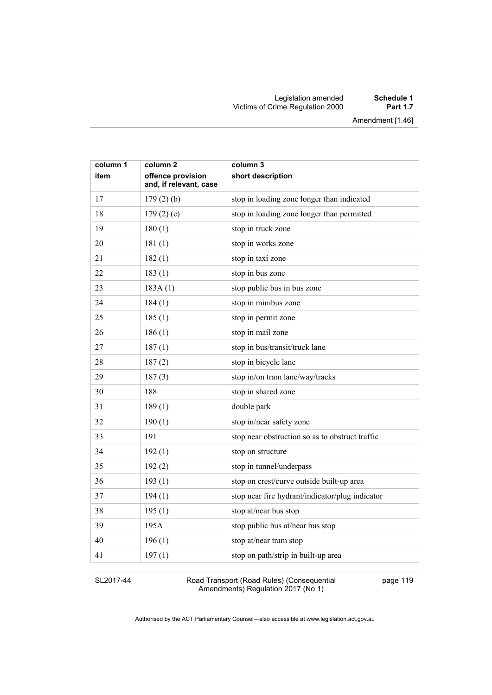#### Legislation amended **Schedule 1** Victims of Crime Regulation 2000 **Part 1.7**

Amendment [1.46]

| column 1 | column <sub>2</sub>                         | column 3                                        |
|----------|---------------------------------------------|-------------------------------------------------|
| item     | offence provision<br>and, if relevant, case | short description                               |
| 17       | 179(2)(b)                                   | stop in loading zone longer than indicated      |
| 18       | 179(2)(c)                                   | stop in loading zone longer than permitted      |
| 19       | 180(1)                                      | stop in truck zone                              |
| 20       | 181(1)                                      | stop in works zone                              |
| 21       | 182(1)                                      | stop in taxi zone                               |
| 22       | 183(1)                                      | stop in bus zone                                |
| 23       | 183A(1)                                     | stop public bus in bus zone                     |
| 24       | 184(1)                                      | stop in minibus zone                            |
| 25       | 185(1)                                      | stop in permit zone                             |
| 26       | 186(1)                                      | stop in mail zone                               |
| 27       | 187(1)                                      | stop in bus/transit/truck lane                  |
| 28       | 187(2)                                      | stop in bicycle lane                            |
| 29       | 187(3)                                      | stop in/on tram lane/way/tracks                 |
| 30       | 188                                         | stop in shared zone                             |
| 31       | 189(1)                                      | double park                                     |
| 32       | 190(1)                                      | stop in/near safety zone                        |
| 33       | 191                                         | stop near obstruction so as to obstruct traffic |
| 34       | 192(1)                                      | stop on structure                               |
| 35       | 192(2)                                      | stop in tunnel/underpass                        |
| 36       | 193(1)                                      | stop on crest/curve outside built-up area       |
| 37       | 194(1)                                      | stop near fire hydrant/indicator/plug indicator |
| 38       | 195(1)                                      | stop at/near bus stop                           |
| 39       | 195A                                        | stop public bus at/near bus stop                |
| 40       | 196(1)                                      | stop at/near tram stop                          |
| 41       | 197(1)                                      | stop on path/strip in built-up area             |

#### SL2017-44

Road Transport (Road Rules) (Consequential Amendments) Regulation 2017 (No 1)

page 119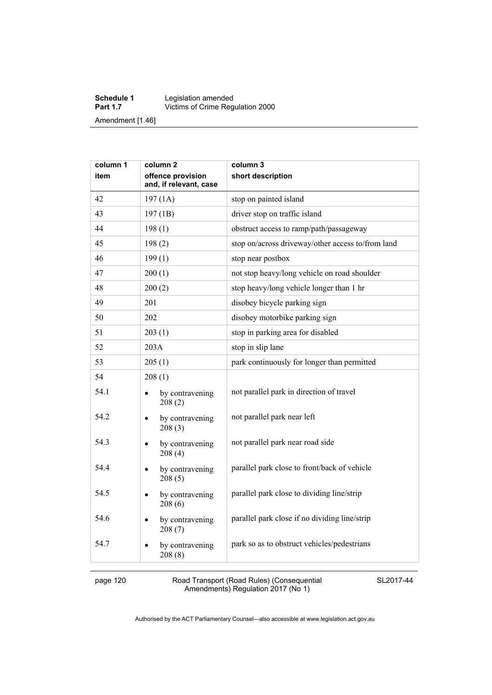#### **Schedule 1** Legislation amended **Part 1.7 Victims of Crime Regulation 2000** Amendment [1.46]

| column 1 | column <sub>2</sub>                         | column 3                                          |
|----------|---------------------------------------------|---------------------------------------------------|
| item     | offence provision<br>and, if relevant, case | short description                                 |
| 42       | 197(1A)                                     | stop on painted island                            |
| 43       | 197(1B)                                     | driver stop on traffic island                     |
| 44       | 198(1)                                      | obstruct access to ramp/path/passageway           |
| 45       | 198(2)                                      | stop on/across driveway/other access to/from land |
| 46       | 199(1)                                      | stop near postbox                                 |
| 47       | 200(1)                                      | not stop heavy/long vehicle on road shoulder      |
| 48       | 200(2)                                      | stop heavy/long vehicle longer than 1 hr          |
| 49       | 201                                         | disobey bicycle parking sign                      |
| 50       | 202                                         | disobey motorbike parking sign                    |
| 51       | 203(1)                                      | stop in parking area for disabled                 |
| 52       | 203A                                        | stop in slip lane                                 |
| 53       | 205(1)                                      | park continuously for longer than permitted       |
| 54       | 208(1)                                      |                                                   |
| 54.1     | by contravening<br>208(2)                   | not parallel park in direction of travel          |
| 54.2     | by contravening<br>$\bullet$<br>208(3)      | not parallel park near left                       |
| 54.3     | by contravening<br>208(4)                   | not parallel park near road side                  |
| 54.4     | by contravening<br>$\bullet$<br>208(5)      | parallel park close to front/back of vehicle      |
| 54.5     | by contravening<br>$\bullet$<br>208(6)      | parallel park close to dividing line/strip        |
| 54.6     | by contravening<br>208(7)                   | parallel park close if no dividing line/strip     |
| 54.7     | by contravening<br>$\bullet$<br>208(8)      | park so as to obstruct vehicles/pedestrians       |

page 120 Road Transport (Road Rules) (Consequential Amendments) Regulation 2017 (No 1)

SL2017-44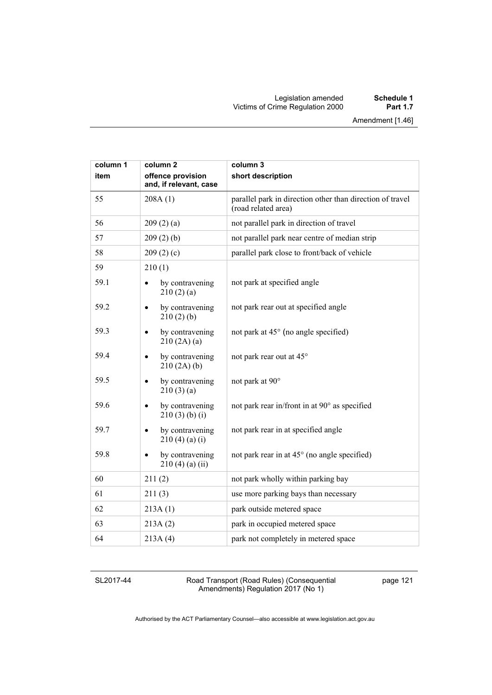#### Legislation amended **Schedule 1** Victims of Crime Regulation 2000 **Part 1.7**

| column 1 | column <sub>2</sub>                         | column 3                                                                         |
|----------|---------------------------------------------|----------------------------------------------------------------------------------|
| item     | offence provision<br>and, if relevant, case | short description                                                                |
| 55       | 208A(1)                                     | parallel park in direction other than direction of travel<br>(road related area) |
| 56       | 209(2)(a)                                   | not parallel park in direction of travel                                         |
| 57       | 209(2)(b)                                   | not parallel park near centre of median strip                                    |
| 58       | 209(2)(c)                                   | parallel park close to front/back of vehicle                                     |
| 59       | 210(1)                                      |                                                                                  |
| 59.1     | by contravening<br>210(2)(a)                | not park at specified angle                                                      |
| 59.2     | by contravening<br>$\bullet$<br>210(2)(b)   | not park rear out at specified angle                                             |
| 59.3     | by contravening<br>210(2A)(a)               | not park at 45° (no angle specified)                                             |
| 59.4     | by contravening<br>$\bullet$<br>210(2A)(b)  | not park rear out at 45°                                                         |
| 59.5     | by contravening<br>210(3)(a)                | not park at 90°                                                                  |
| 59.6     | by contravening<br>٠<br>210(3)(b)(i)        | not park rear in/front in at 90° as specified                                    |
| 59.7     | by contravening<br>210(4)(a)(i)             | not park rear in at specified angle                                              |
| 59.8     | by contravening<br>$210(4)$ (a) (ii)        | not park rear in at 45° (no angle specified)                                     |
| 60       | 211(2)                                      | not park wholly within parking bay                                               |
| 61       | 211(3)                                      | use more parking bays than necessary                                             |
| 62       | 213A(1)                                     | park outside metered space                                                       |
| 63       | 213A(2)                                     | park in occupied metered space                                                   |
| 64       | 213A(4)                                     | park not completely in metered space                                             |

SL2017-44

Road Transport (Road Rules) (Consequential Amendments) Regulation 2017 (No 1)

page 121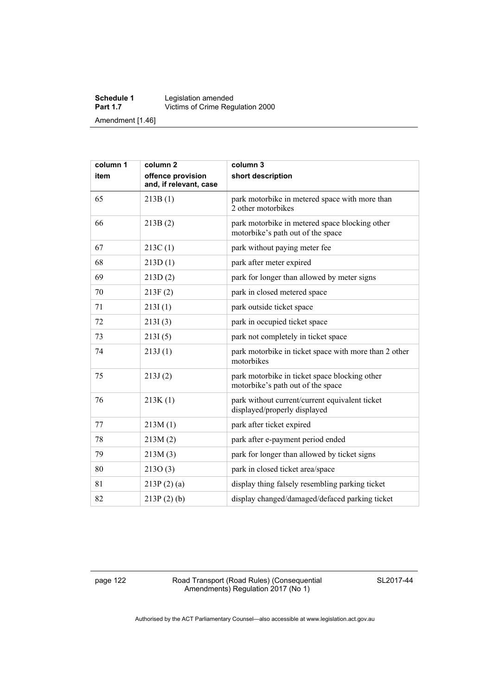#### **Schedule 1** Legislation amended **Part 1.7 Victims of Crime Regulation 2000** Amendment [1.46]

| column 1<br>item | column <sub>2</sub><br>offence provision | column 3<br>short description                                                       |
|------------------|------------------------------------------|-------------------------------------------------------------------------------------|
|                  | and, if relevant, case                   |                                                                                     |
| 65               | 213B(1)                                  | park motorbike in metered space with more than<br>2 other motorbikes                |
| 66               | 213B(2)                                  | park motorbike in metered space blocking other<br>motorbike's path out of the space |
| 67               | 213C(1)                                  | park without paying meter fee                                                       |
| 68               | 213D(1)                                  | park after meter expired                                                            |
| 69               | 213D(2)                                  | park for longer than allowed by meter signs                                         |
| 70               | 213F(2)                                  | park in closed metered space                                                        |
| 71               | 213I(1)                                  | park outside ticket space                                                           |
| 72               | 213I(3)                                  | park in occupied ticket space                                                       |
| 73               | 213I(5)                                  | park not completely in ticket space                                                 |
| 74               | 213J(1)                                  | park motorbike in ticket space with more than 2 other<br>motorbikes                 |
| 75               | 213J(2)                                  | park motorbike in ticket space blocking other<br>motorbike's path out of the space  |
| 76               | 213K(1)                                  | park without current/current equivalent ticket<br>displayed/properly displayed      |
| 77               | 213M(1)                                  | park after ticket expired                                                           |
| 78               | 213M(2)                                  | park after e-payment period ended                                                   |
| 79               | 213M(3)                                  | park for longer than allowed by ticket signs                                        |
| 80               | 213O(3)                                  | park in closed ticket area/space                                                    |
| 81               | 213P(2)(a)                               | display thing falsely resembling parking ticket                                     |
| 82               | $213P(2)$ (b)                            | display changed/damaged/defaced parking ticket                                      |

page 122 Road Transport (Road Rules) (Consequential Amendments) Regulation 2017 (No 1)

SL2017-44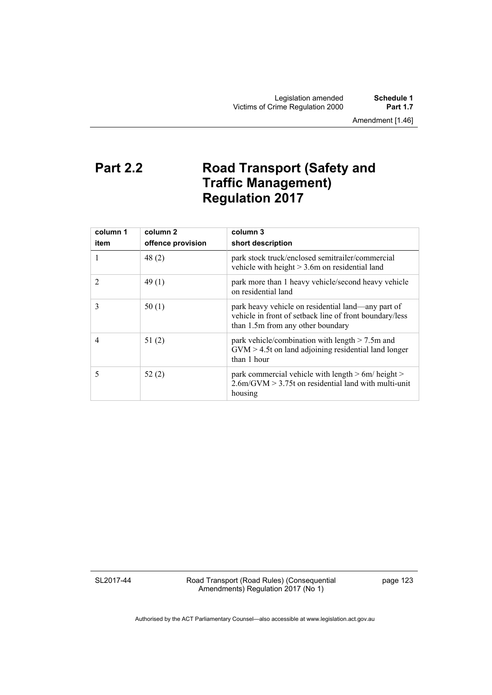Legislation amended **Schedule 1** Victims of Crime Regulation 2000

Amendment [1.46]

# **Part 2.2 Road Transport (Safety and Traffic Management) Regulation 2017**

| column 1<br>item | column 2<br>offence provision | column 3<br>short description                                                                                                                      |
|------------------|-------------------------------|----------------------------------------------------------------------------------------------------------------------------------------------------|
|                  | 48(2)                         | park stock truck/enclosed semitrailer/commercial<br>vehicle with height $> 3.6$ m on residential land                                              |
| 2                | 49(1)                         | park more than 1 heavy vehicle/second heavy vehicle<br>on residential land                                                                         |
| 3                | 50(1)                         | park heavy vehicle on residential land—any part of<br>vehicle in front of setback line of front boundary/less<br>than 1.5m from any other boundary |
| 4                | 51(2)                         | park vehicle/combination with length $> 7.5$ m and<br>$GVM > 4.5t$ on land adjoining residential land longer<br>than 1 hour                        |
| 5                | 52(2)                         | park commercial vehicle with length $> 6m/h$ eight $>$<br>$2.6$ m/GVM $> 3.75$ t on residential land with multi-unit<br>housing                    |

SL2017-44

Road Transport (Road Rules) (Consequential Amendments) Regulation 2017 (No 1)

page 123